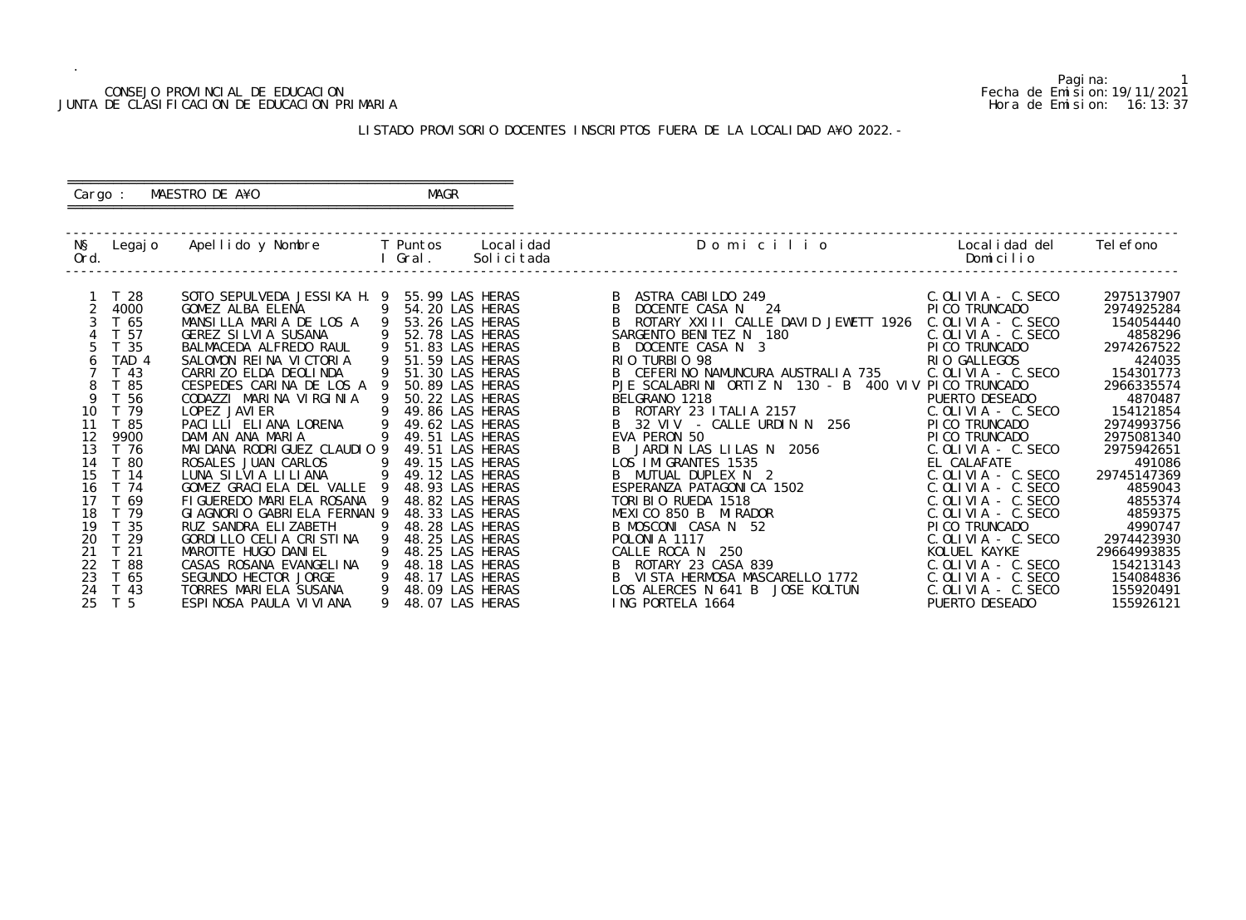#### CONSEJO PROVINCIAL DE EDUCACION Fecha de Emision:19/11/2021 JUNTA DE CLASIFICACION DE EDUCACION PRIMARIA Hora de Emision: 16:13:37

 ========================================================== Cargo : MAESTRO DE A¥O **MAGR** 

# LISTADO PROVISORIO DOCENTES INSCRIPTOS FUERA DE LA LOCALIDAD A¥O 2022.-

==========================================================

| NŞ<br>Ord. | Legaj o         | Apellido y Nombre                               | T Puntos<br>Gral. | Local i dad<br>Solicitada          | Domicilio                                            | Local i dad del<br>Domicilio                   | Tel efono          |
|------------|-----------------|-------------------------------------------------|-------------------|------------------------------------|------------------------------------------------------|------------------------------------------------|--------------------|
|            | T <sub>28</sub> | SOTO SEPULVEDA JESSIKA H. 9                     |                   | 55.99 LAS HERAS                    | ASTRA CABILDO 249                                    | $C.$ OLIVIA - $C.$ SECO                        | 2975137907         |
|            | 4000            | GOMEZ ALBA ELENA                                |                   | 54.20 LAS HERAS                    | DOCENTE CASA N 24                                    | PI CO TRUNCADO                                 | 2974925284         |
|            | T 65            | MANSILLA MARIA DE LOS A                         |                   | 53.26 LAS HERAS                    | ROTARY XXIII CALLE DAVID JEWETT 1926                 | $C.$ OLIVIA - $C.$ SECO                        | 154054440          |
|            | T 57            | <b>GEREZ SILVIA SUSANA</b>                      |                   | 52.78 LAS HERAS                    | SARGENTO BENITEZ N 180                               | $C.$ OLIVIA - $C.$ SECO                        | 4858296            |
|            | T <sub>35</sub> | BALMACEDA ALFREDO RAUL                          |                   | 51.83 LAS HERAS                    | B DOCENTE CASA N 3                                   | PI CO TRUNCADO                                 | 2974267522         |
|            | TAD 4           | SALOMON REINA VICTORIA                          |                   | 51.59 LAS HERAS                    | RIO TURBIO 98                                        | RIO GALLEGOS                                   | 424035             |
|            | $-43$           | CARRIZO ELDA DEOLINDA                           |                   | 51.30 LAS HERAS                    | B CEFERINO NAMUNCURA AUSTRALIA 735                   | $C.$ OLIVIA - $C.$ SECO                        | 154301773          |
|            | T 85            | CESPEDES CARINA DE LOS A                        |                   | 50.89 LAS HERAS                    | PJE SCALABRINI ORTIZ N 130 - B 400 VIV PICO TRUNCADO |                                                | 2966335574         |
|            | -56             | CODAZZI MARINA VIRGINIA                         |                   | 50.22 LAS HERAS                    | BELGRANO 1218                                        | PUERTO DESEADO                                 | 4870487            |
| 10         | T 79            | LOPEZ JAVI ER                                   |                   | 49.86 LAS HERAS                    | ROTARY 23 ITALIA 2157                                | $C.$ OLIVIA - $C.$ SECO                        | 154121854          |
|            | T 85            | PACILLI ELIANA LORENA                           |                   | 49.62 LAS HERAS                    | 32 VIV - CALLE URDIN N 256                           | PI CO TRUNCADO                                 | 2974993756         |
| 12         | 9900            | DAMI AN ANA MARIA                               |                   | 49.51 LAS HERAS                    | EVA PERON 50                                         | PI CO TRUNCADO                                 | 2975081340         |
| 13         | T 76            | MAI DANA RODRI GUEZ CLAUDIO 9                   |                   | 49.51 LAS HERAS                    | JARDIN LAS LILAS N 2056                              | $C.$ OLIVIA - C. SECO                          | 2975942651         |
| 14         | T 80<br>T 14    | ROSALES JUAN CARLOS                             |                   | 49.15 LAS HERAS                    | LOS IMIGRANTES 1535                                  | EL CALAFATE                                    | 491086             |
| 15<br>16   | T 74            | LUNA SILVIA LILIANA<br>GOMEZ GRACIELA DEL VALLE |                   | 49.12 LAS HERAS                    | MUTUAL DUPLEX N 2<br>ESPERANZA PATAGONICA 1502       | $C.$ OLIVIA - $C.$ SECO                        | 29745147369        |
| 17         | T 69            | FIGUEREDO MARIELA ROSANA                        |                   | 48.93 LAS HERAS<br>48.82 LAS HERAS | TORIBIO RUEDA 1518                                   | $C.$ OLIVIA - $C.$ SECO<br>C. OLIVIA - C. SECO | 4859043<br>4855374 |
| 18         | T 79            | GI AGNORIO GABRI ELA FERNAN 9                   |                   | 48.33 LAS HERAS                    | MEXICO 850 B MIRADOR                                 | $C.$ OLIVIA - $C.$ SECO                        | 4859375            |
| 19         | T 35            | RUZ SANDRA ELIZABETH                            |                   | 48.28 LAS HERAS                    | B MOSCONI CASA N 52                                  | PI CO TRUNCADO                                 | 4990747            |
| 20         | 29              | GORDILLO CELIA CRISTINA                         |                   | 48.25 LAS HERAS                    | POLONIA 1117                                         | $C.$ OLIVIA - C. SECO                          | 2974423930         |
| 21         | T <sub>21</sub> | MAROTTE HUGO DANIEL                             |                   | 48.25 LAS HERAS                    | CALLE ROCA N<br>250                                  | KOLUEL KAYKE                                   | 29664993835        |
| 22         | ່ 88            | CASAS ROSANA EVANGELINA                         |                   | 48.18 LAS HERAS                    | ROTARY 23 CASA 839                                   | C. OLIVIA - C. SECO                            | 154213143          |
| 23         | T 65            | SEGUNDO HECTOR JORGE                            |                   | 48.17 LAS HERAS                    | VI STA HERMOSA MASCARELLO 1772                       | $C.$ OLIVIA - $C.$ SECO                        | 154084836          |
|            |                 |                                                 |                   |                                    |                                                      |                                                |                    |
| 25         | T <sub>5</sub>  | ESPINOSA PAULA VI VI ANA                        |                   | 48.07 LAS HERAS                    | ING PORTELA 1664                                     | PUERTO DESEADO                                 | 155926121          |
| 24         | T 43            | TORRES MARIELA SUSANA                           |                   | 48.09 LAS HERAS                    | LOS ALERCES N 641 B<br>JOSE KOLTUN                   | $C.$ OLIVIA - $C.$ SECO                        | 155920491          |

Pagina: 1<br>Fecha de Emision: 19/11/2021<br>Hora de Emision: 16:13:37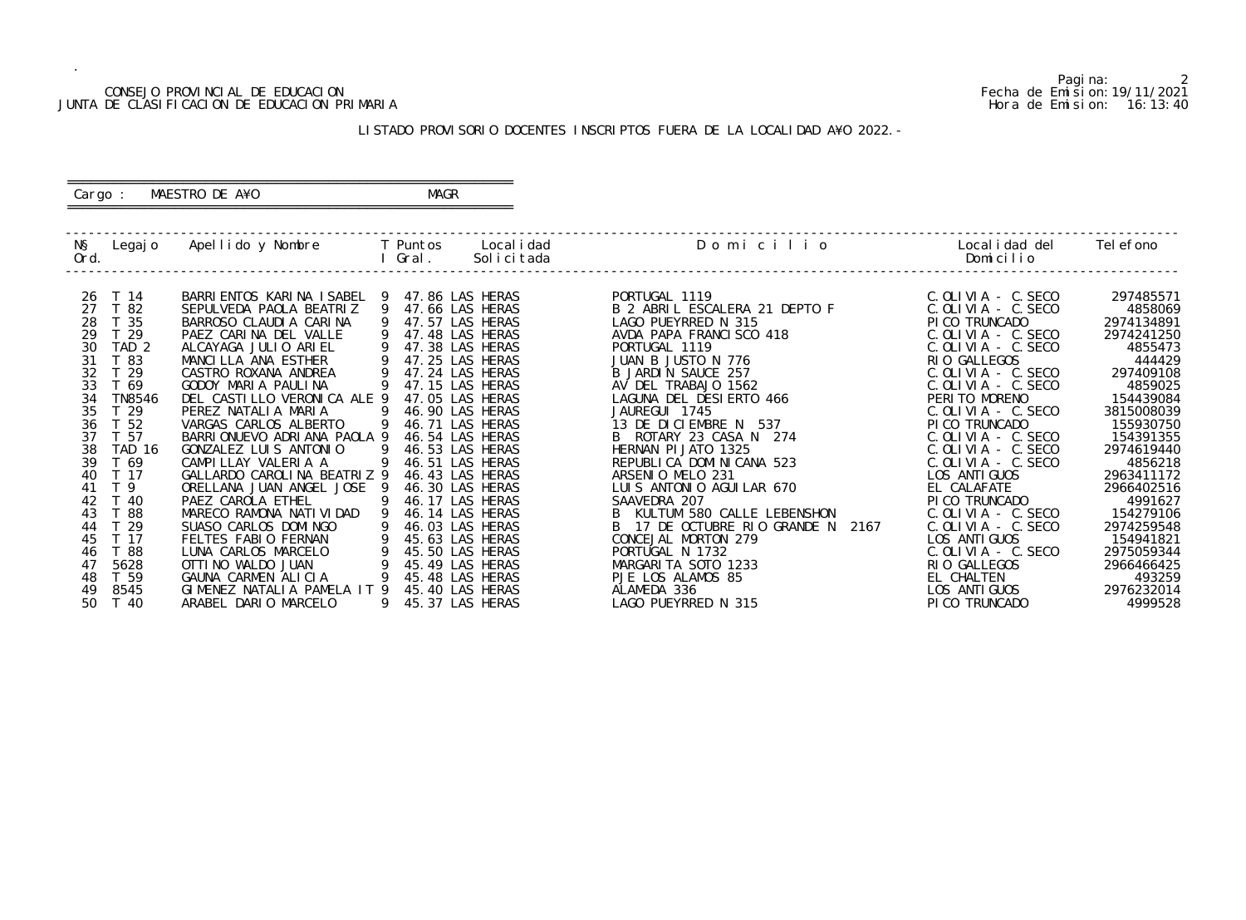#### CONSEJO PROVINCIAL DE EDUCACION Fecha de Emision:19/11/2021 JUNTA DE CLASIFICACION DE EDUCACION PRIMARIA Hora de Emision: 16:13:40

## ========================================================== Cargo : MAESTRO DE A¥O **MAGR**

# LISTADO PROVISORIO DOCENTES INSCRIPTOS FUERA DE LA LOCALIDAD A¥O 2022.-

==========================================================

| NŞ<br>Ord. | Legaj o                          | Apellido y Nombre                                       |          | T Puntos<br>Gral.                  | Local i dad<br>Solicitada | Domicilio                                                 | Local i dad del<br>Domicilio                       | Tel efono                |
|------------|----------------------------------|---------------------------------------------------------|----------|------------------------------------|---------------------------|-----------------------------------------------------------|----------------------------------------------------|--------------------------|
| -26<br>27  | T 14<br>T 82                     | BARRI ENTOS KARI NA I SABEL<br>SEPULVEDA PAOLA BEATRIZ  | <b>9</b> | 47.86 LAS HERAS<br>47.66 LAS HERAS |                           | PORTUGAL 1119<br>B 2 ABRIL ESCALERA 21 DEPTO F            | $C.$ OLIVIA - $C.$ SECO<br>$C.$ OLIVIA - $C.$ SECO | 297485571<br>4858069     |
| 28<br>29   | 35<br>T 29                       | BARROSO CLAUDIA CARINA<br>PAEZ CARINA DEL VALLE         |          | 47.57 LAS HERAS<br>47.48 LAS HERAS |                           | LAGO PUEYRRED N 315<br>AVDA PAPA FRANCISCO 418            | PI CO TRUNCADO<br>$C.$ OLIVIA - C. SECO            | 2974134891<br>2974241250 |
| 30<br>31   | TAD <sub>2</sub><br>T 83         | ALCAYAGA JULIO ARIEL<br>MANCILLA ANA ESTHER             |          | 47.38 LAS HERAS<br>47.25 LAS HERAS |                           | PORTUGAL 1119<br>JUAN B JUSTO N 776                       | $C.$ OLIVIA - $C.$ SECO<br>RIO GALLEGOS            | 4855473<br>444429        |
| 32<br>33   | 29<br>T 69                       | CASTRO ROXANA ANDREA<br>GODOY MARIA PAULINA             |          | 47.24 LAS HERAS<br>47.15 LAS HERAS |                           | B JARDIN SAUCE 257<br>AV DEL TRABAJO 1562                 | $C.$ OLIVIA - C. SECO<br>$C.$ OLIVIA - $C.$ SECO   | 297409108<br>4859025     |
| 34<br>35   | <b>TN8546</b><br>T <sub>29</sub> | DEL CASTILLO VERONICA ALE 9<br>PEREZ NATALIA MARIA      |          | 47.05 LAS HERAS<br>46.90 LAS HERAS |                           | LAGUNA DEL DESIERTO 466<br>JAUREGUI 1745                  | PERITO MORENO<br>$C.$ OLIVIA - C. SECO             | 154439084<br>3815008039  |
| 36<br>37   | T 52<br>T 57                     | VARGAS CARLOS ALBERTO<br>BARRIONUEVO ADRIANA PAOLA 9    |          | 46.71 LAS HERAS<br>46.54 LAS HERAS |                           | 537<br>13 DE DICIEMBRE N<br>B ROTARY 23 CASA N 274        | PI CO TRUNCADO<br>$C.$ OLIVIA - $C.$ SECO          | 155930750<br>154391355   |
| 38<br>39   | TAD 16<br>T 69                   | GONZALEZ LUIS ANTONIO<br>CAMPILLAY VALERIA A            | 9        | 46.53 LAS HERAS<br>46.51 LAS HERAS |                           | HERNAN PI JATO 1325<br>REPUBLICA DOMINICANA 523           | $C.$ OLIVIA - $C.$ SECO<br>$C.$ OLIVIA - $C.$ SECO | 2974619440<br>4856218    |
| 40<br>41   | T 17<br>T 9                      | GALLARDO CAROLINA BEATRIZ 9<br>ORELLANA JUAN ANGEL JOSE |          | 46.43 LAS HERAS<br>46.30 LAS HERAS |                           | ARSENIO MELO 231<br>LUIS ANTONIO AGUILAR 670              | LOS ANTI GUOS<br>EL CALAFATE                       | 2963411172<br>2966402516 |
| 42<br>43   | T 40<br>T 88                     | PAEZ CAROLA ETHEL<br>MARECO RAMONA NATI VI DAD          |          | 46.17 LAS HERAS<br>46.14 LAS HERAS |                           | SAAVEDRA 207<br>KULTUM 580 CALLE LEBENSHON                | PI CO TRUNCADO<br>$C.$ OLIVIA - $C.$ SECO          | 4991627<br>154279106     |
| 44<br>45   | T 29<br>T 17                     | SUASO CARLOS DOMINGO<br>FELTES FABIO FERNAN             |          | 46.03 LAS HERAS<br>45.63 LAS HERAS |                           | 17 DE OCTUBRE RIO GRANDE N<br>2167<br>CONCEJAL MORTON 279 | $C.$ OLIVIA - $C.$ SECO<br>LOS ANTI GUOS           | 2974259548<br>154941821  |
| 46<br>47   | T 88<br>5628                     | LUNA CARLOS MARCELO<br>OTTI NO WALDO JUAN               |          | 45.50 LAS HERAS<br>45.49 LAS HERAS |                           | PORTUGAL N 1732<br>MARGARITA SOTO 1233                    | $C.$ OLIVIA - $C.$ SECO<br>RIO GALLEGOS            | 2975059344<br>2966466425 |
| 48<br>49   | T 59<br>8545                     | GAUNA CARMEN ALICIA<br>GIMENEZ NATALIA PAMELA IT 9      |          | 45.48 LAS HERAS<br>45.40 LAS HERAS |                           | PJE LOS ALAMOS 85<br>ALAMEDA 336                          | EL CHALTEN<br>LOS ANTI GUOS                        | 493259<br>2976232014     |
| 50         | T 40                             | ARABEL DARIO MARCELO                                    |          | 45.37 LAS HERAS                    |                           | LAGO PUEYRRED N 315                                       | PI CO TRUNCADO                                     | 4999528                  |

Pagina: 2<br>Fecha de Emision: 19/11/2021<br>Hora de Emision: 16: 13: 40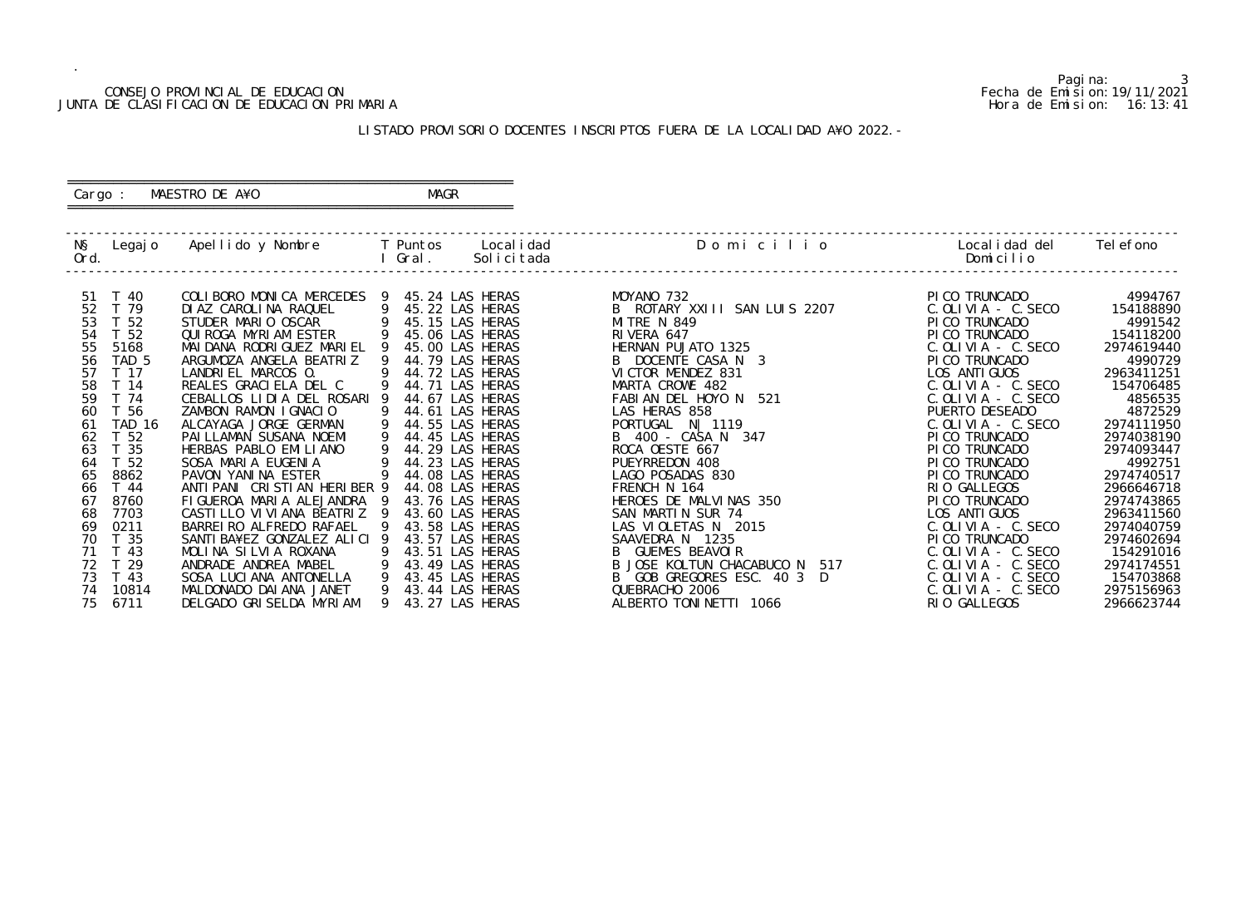#### CONSEJO PROVINCIAL DE EDUCACION Fecha de Emision:19/11/2021 JUNTA DE CLASIFICACION DE EDUCACION PRIMARIA Hora de Emision: 16:13:41

#### ========================================================== Cargo : MAESTRO DE A¥O **MAGR**

# LISTADO PROVISORIO DOCENTES INSCRIPTOS FUERA DE LA LOCALIDAD A¥O 2022.-

==========================================================

| NŞ.<br>Ord. | Legaj o          | Apellido y Nombre                            |   | T Puntos<br>Gral.                  | Local i dad<br>Solicitada | Domicilio                                                 | Local i dad del<br>Domicilio                       | Tel efono               |
|-------------|------------------|----------------------------------------------|---|------------------------------------|---------------------------|-----------------------------------------------------------|----------------------------------------------------|-------------------------|
| 51          | T 40             | COLIBORO MONICA MERCEDES                     |   | 45.24 LAS HERAS                    |                           | MOYANO 732                                                | PICO TRUNCADO                                      | 4994767                 |
| 52          | T 79             | DI AZ CAROLINA RAQUEL                        |   | 45.22 LAS HERAS                    |                           | B ROTARY XXIII SAN LUIS 2207                              | $C.$ OLIVIA - $C.$ SECO                            | 154188890               |
| 53          | T 52             | STUDER MARIO OSCAR                           |   | 45.15 LAS HERAS                    |                           | MITRE N 849                                               | PI CO TRUNCADO                                     | 4991542                 |
| 54          | T 52             | QUI ROGA MYRI AM ESTER                       |   | 45.06 LAS HERAS                    |                           | RIVERA 647                                                | PICO TRUNCADO                                      | 154118200               |
| 55          | 5168             | MAI DANA RODRI GUEZ MARI EL                  |   | 45.00 LAS HERAS                    |                           | HERNAN PUJATO 1325                                        | $C.$ OLIVIA - $C.$ SECO                            | 2974619440              |
| 56          | TAD <sub>5</sub> | ARGUMOZA ANGELA BEATRIZ                      |   | 44.79 LAS HERAS                    |                           | B DOCENTE CASA N 3                                        | PI CO TRUNCADO                                     | 4990729                 |
| 57          | T 17             | LANDRIEL MARCOS 0.                           |   | 44.72 LAS HERAS                    |                           | VICTOR MENDEZ 831                                         | LOS ANTI GUOS                                      | 2963411251              |
| 58          | T 14             | REALES GRACIELA DEL C                        |   | 44.71 LAS HERAS                    |                           | MARTA CROWE 482                                           | $C.$ OLIVIA - $C.$ SECO                            | 154706485               |
| 59          | T 74             | CEBALLOS LIDIA DEL ROSARI                    |   | 44.67 LAS HERAS                    |                           | FABIAN DEL HOYO N<br>521                                  | $C.$ OLIVIA - $C.$ SECO                            | 4856535                 |
| 60          | T 56             | ZAMBON RAMON IGNACIO                         |   | 44.61 LAS HERAS                    |                           | LAS HERAS 858                                             | PUERTO DESEADO                                     | 4872529                 |
| 61          | <b>TAD 16</b>    | ALCAYAGA JORGE GERMAN                        | 9 | 44.55 LAS HERAS                    |                           | PORTUGAL N   1119                                         | $C.$ OLIVIA - C. SECO                              | 2974111950              |
| 62          | T 52             | PAI LLAMAN SUSANA NOEMI                      |   | 44.45 LAS HERAS                    |                           | B 400 - CASA N 347                                        | PI CO TRUNCADO                                     | 2974038190              |
| 63          | T <sub>35</sub>  | HERBAS PABLO EMILIANO                        | 9 | 44.29 LAS HERAS                    |                           | ROCA OESTE 667                                            | PI CO TRUNCADO                                     | 2974093447              |
| 64          | T 52             | SOSA MARIA EUGENIA                           |   | 44.23 LAS HERAS                    |                           | PUEYRREDON 408                                            | PI CO TRUNCADO                                     | 4992751                 |
| 65          | 8862             | PAVON YANINA ESTER                           |   | 44.08 LAS HERAS                    |                           | LAGO POSADAS 830                                          | PI CO TRUNCADO                                     | 2974740517              |
| 66          | T 44             | ANTI PANI CRISTIAN HERIBER 9                 |   | 44.08 LAS HERAS                    |                           | FRENCH N 164                                              | RIO GALLEGOS                                       | 2966646718              |
| 67          | 8760             | FIGUEROA MARIA ALEJANDRA                     |   | 43.76 LAS HERAS                    |                           | HEROES DE MALVINAS 350                                    | PI CO TRUNCADO                                     | 2974743865              |
| 68          | 7703             | CASTILLO VIVIANA BEATRIZ 9                   |   | 43.60 LAS HERAS                    |                           | SAN MARTIN SUR 74                                         | LOS ANTI GUOS                                      | 2963411560              |
| 69          | 0211             | BARREI RO ALFREDO RAFAEL                     |   | 43.58 LAS HERAS                    |                           | LAS VIOLETAS N 2015                                       | $C.$ OLIVIA - $C.$ SECO                            | 2974040759              |
| 70          | T 35             | SANTI BA¥EZ GONZALEZ ALICI 9                 |   | 43.57 LAS HERAS                    |                           | SAAVEDRA N 1235                                           | PI CO TRUNCADO                                     | 2974602694              |
| 71<br>72    | T 43<br>T 29     | MOLINA SILVIA ROXANA<br>ANDRADE ANDREA MABEL | 9 | 43.51 LAS HERAS<br>43.49 LAS HERAS |                           | <b>GUEMES BEAVOIR</b><br>517<br>B JOSE KOLTUN CHACABUCO N | $C.$ OLIVIA - $C.$ SECO<br>$C.$ OLIVIA - $C.$ SECO | 154291016               |
| 73          | T <sub>43</sub>  | SOSA LUCIANA ANTONELLA                       |   | 43.45 LAS HERAS                    |                           | GOB GREGORES ESC. 40 3 D                                  | C. OLIVIA - C. SECO                                | 2974174551<br>154703868 |
| 74          | 10814            | MALDONADO DAI ANA JANET                      |   | 43.44 LAS HERAS                    |                           | QUEBRACHO 2006                                            | $C.$ OLIVIA - $C.$ SECO                            | 2975156963              |
| 75          | 6711             | DELGADO GRISELDA MYRIAM                      |   | 43.27 LAS HERAS                    |                           | ALBERTO TONINETTI 1066                                    | RIO GALLEGOS                                       | 2966623744              |
|             |                  |                                              |   |                                    |                           |                                                           |                                                    |                         |

Pagina: 3<br>Fecha de Emision: 19/11/2021<br>Hora de Emision: 16: 13: 41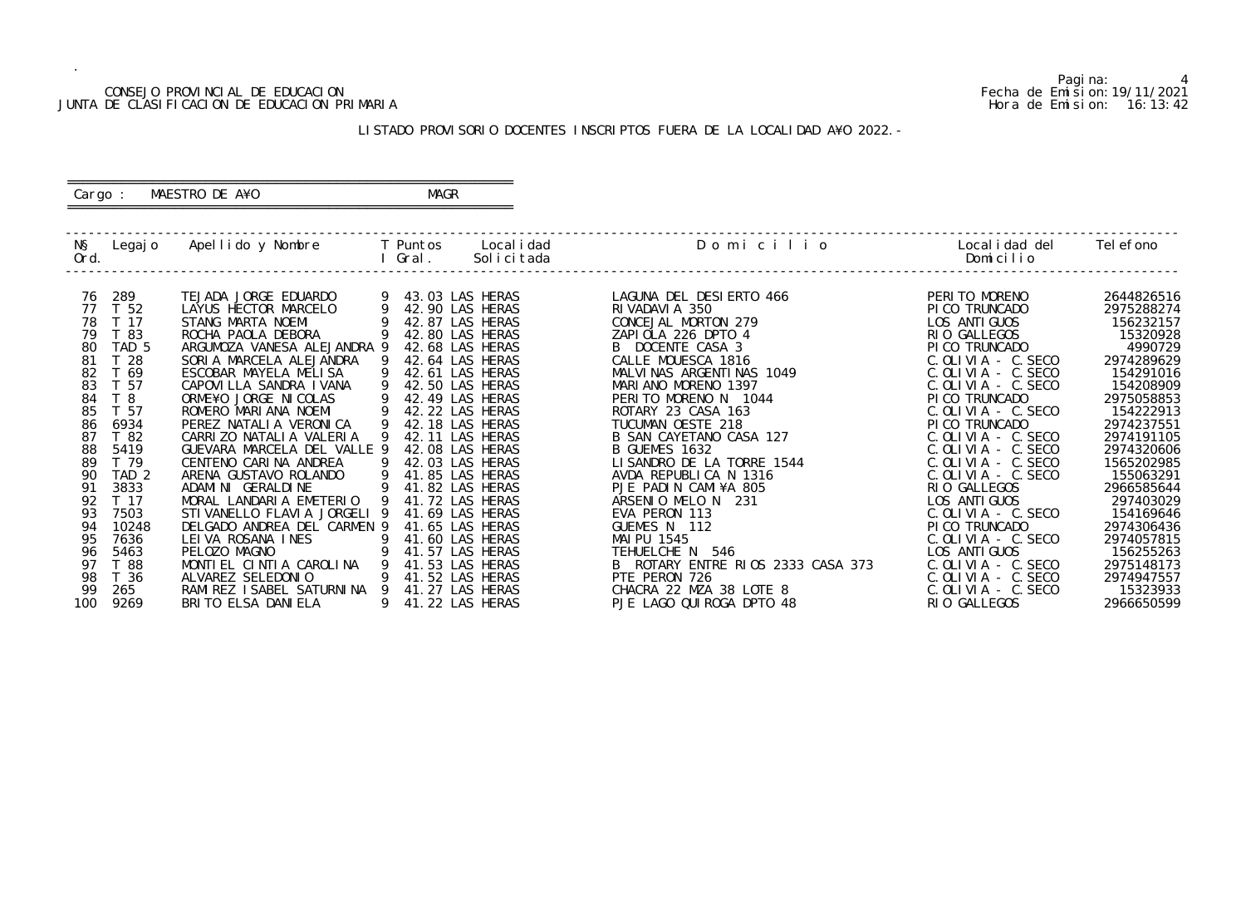#### CONSEJO PROVINCIAL DE EDUCACION Fecha de Emision:19/11/2021 JUNTA DE CLASIFICACION DE EDUCACION PRIMARIA Hora de Emision: 16:13:42

 ========================================================== Cargo : MAESTRO DE A¥O **MAGR** 

# LISTADO PROVISORIO DOCENTES INSCRIPTOS FUERA DE LA LOCALIDAD A¥O 2022.-

==========================================================

| NŞ<br>Ord. | Legaj o                  | Apellido y Nombre                                            |   | T Puntos<br>Gral.                  | Local i dad<br>Solicitada | Domicilio                                          | Local i dad del<br>Domicilio                       | Tel efono                |
|------------|--------------------------|--------------------------------------------------------------|---|------------------------------------|---------------------------|----------------------------------------------------|----------------------------------------------------|--------------------------|
| 76<br>77   | 289<br>T 52              | TEJADA JORGE EDUARDO<br>LAYUS HECTOR MARCELO                 |   | 43.03 LAS HERAS<br>42.90 LAS HERAS |                           | LAGUNA DEL DESIERTO 466<br>RIVADAVIA 350           | PERITO MORENO<br>PICO TRUNCADO                     | 2644826516<br>2975288274 |
| 78         | T 17                     | STANG MARTA NOEMI                                            |   | 42.87 LAS HERAS                    |                           | CONCEJAL MORTON 279                                | LOS ANTI GUOS                                      | 156232157                |
| 79<br>80   | T 83<br>TAD <sub>5</sub> | ROCHA PAOLA DEBORA<br>ARGUMOZA VANESA ALEJANDRA 9            |   | 42.80 LAS HERAS<br>42.68 LAS HERAS |                           | ZAPIOLA 226 DPTO 4<br>B DOCENTE CASA 3             | RIO GALLEGOS<br>PI CO TRUNCADO                     | 15320928<br>4990729      |
| 81<br>82   | T <sub>28</sub><br>T 69  | SORIA MARCELA ALEJANDRA<br>ESCOBAR MAYELA MELISA             |   | 42.64 LAS HERAS<br>42.61 LAS HERAS |                           | CALLE MOUESCA 1816<br>MALVINAS ARGENTINAS 1049     | $C.$ OLIVIA - $C.$ SECO<br>$C.$ OLIVIA - $C.$ SECO | 2974289629<br>154291016  |
| 83         | T 57                     | CAPOVILLA SANDRA IVANA                                       |   | 42.50 LAS HERAS                    |                           | MARIANO MORENO 1397                                | C. OLIVIA - C. SECO                                | 154208909                |
| 84<br>85   | T <sub>8</sub><br>T 57   | ORME¥O JORGE NI COLAS<br>ROMERO MARIANA NOEMI                |   | 42.49 LAS HERAS<br>42.22 LAS HERAS |                           | PERITO MORENO N 1044<br>ROTARY 23 CASA 163         | PI CO TRUNCADO<br>$C.$ OLIVIA - $C.$ SECO          | 2975058853<br>154222913  |
| 86<br>87   | 6934<br>T 82             | PEREZ NATALIA VERONICA<br>CARRIZO NATALIA VALERIA            |   | 42.18 LAS HERAS<br>42.11 LAS HERAS |                           | TUCUMAN OESTE 218<br>B SAN CAYETANO CASA 127       | PICO TRUNCADO<br>$C.$ OLIVIA - $C.$ SECO           | 2974237551<br>2974191105 |
| 88         | 5419                     | GUEVARA MARCELA DEL VALLE 9                                  |   | 42.08 LAS HERAS                    |                           | B GUEMES 1632                                      | $C.$ OLIVIA - $C.$ SECO                            | 2974320606               |
| 89<br>90   | T 79<br>TAD <sub>2</sub> | CENTENO CARINA ANDREA<br>ARENA GUSTAVO ROLANDO               |   | 42.03 LAS HERAS<br>41.85 LAS HERAS |                           | LISANDRO DE LA TORRE 1544<br>AVDA REPUBLICA N 1316 | $C.$ OLIVIA - $C.$ SECO<br>$C.$ OLIVIA - $C.$ SECO | 1565202985<br>155063291  |
| 91<br>92   | 3833<br>T 17             | ADAMI NI GERALDI NE<br>MORAL LANDARIA EMETERIO               |   | 41.82 LAS HERAS<br>41.72 LAS HERAS |                           | PJE PADIN CAMI¥A 805<br>ARSENIO MELO N 231         | RIO GALLEGOS<br>LOS ANTI GUOS                      | 2966585644<br>297403029  |
| 93<br>94   | 7503<br>10248            | STI VANELLO FLAVI A JORGELI 9<br>DELGADO ANDREA DEL CARMEN 9 |   | 41.69 LAS HERAS<br>41.65 LAS HERAS |                           | EVA PERON 113<br>GUEMES N 112                      | $C.$ OLIVIA - $C.$ SECO<br>PI CO TRUNCADO          | 154169646<br>2974306436  |
| 95         | 7636                     | LEIVA ROSANA INES                                            |   | 41.60 LAS HERAS                    |                           | MAI PU 1545                                        | $C.$ OLIVIA - $C.$ SECO                            | 2974057815               |
| 96<br>97   | 5463<br>T 88             | PELOZO MAGNO<br>MONTIEL CINTIA CAROLINA                      |   | 41.57 LAS HERAS<br>41.53 LAS HERAS |                           | TEHUELCHE N 546<br>ROTARY ENTRE RIOS 2333 CASA 373 | LOS ANTI GUOS<br>C. OLIVIA - C. SECO               | 156255263<br>2975148173  |
| 98<br>99   | T 36<br>265              | ALVAREZ SELEDONIO<br>RAMI REZ I SABEL SATURNI NA 9           |   | 41.52 LAS HERAS<br>41.27 LAS HERAS |                           | PTE PERON 726<br>CHACRA 22 MZA 38 LOTE 8           | $C.$ OLIVIA - $C.$ SECO<br>$C.$ OLIVIA - $C.$ SECO | 2974947557<br>15323933   |
| 100        | 9269                     | BRITO ELSA DANIELA                                           | 9 | 41.22 LAS HERAS                    |                           | PJE LAGO QUI ROGA DPTO 48                          | RIO GALLEGOS                                       | 2966650599               |

Pagina: 4<br>Fecha de Emision: 19/11/2021<br>Hora de Emision: 16: 13: 42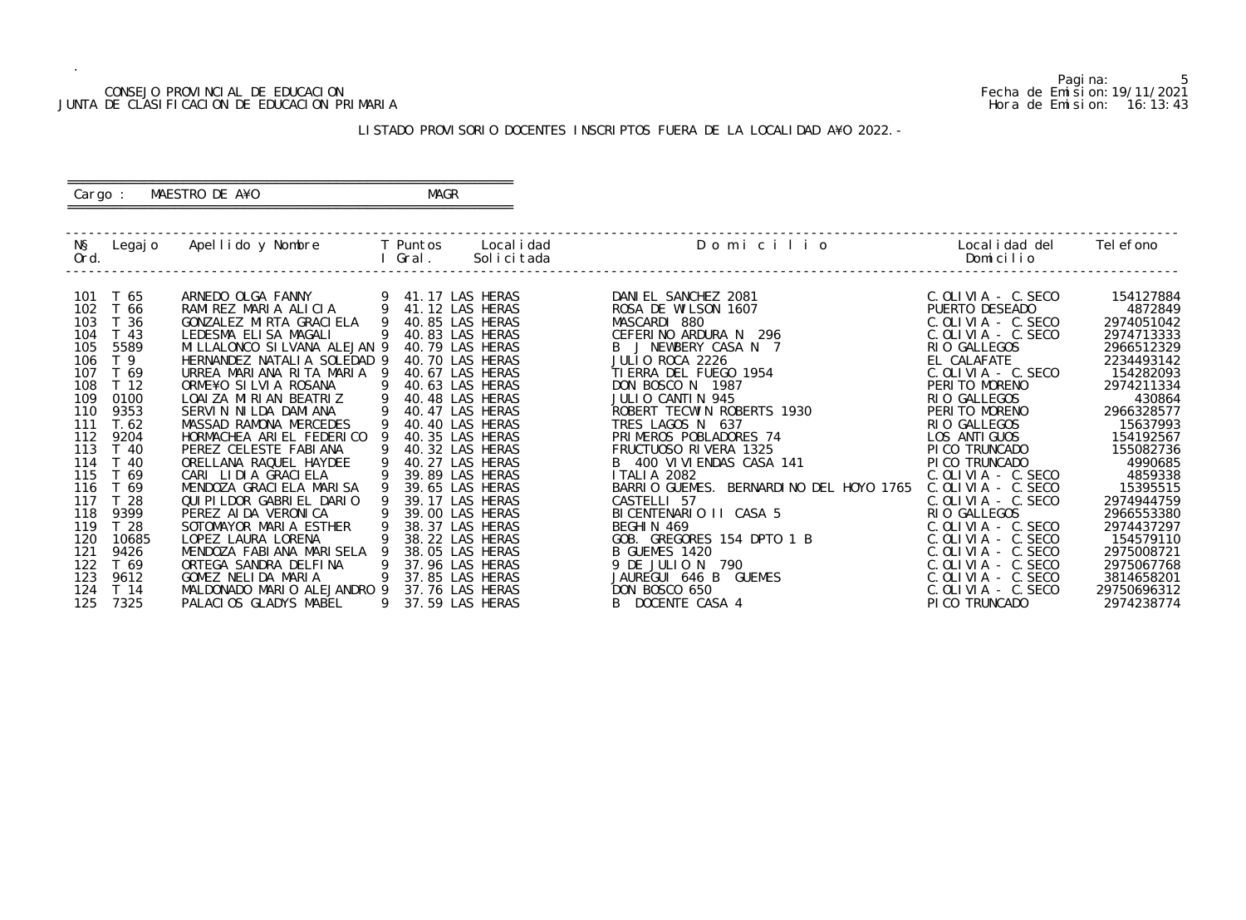#### CONSEJO PROVINCIAL DE EDUCACION Fecha de Emision:19/11/2021 JUNTA DE CLASIFICACION DE EDUCACION PRIMARIA Hora de Emision: 16:13:43

 ========================================================== Cargo : MAESTRO DE A¥O **MAGR** 

# LISTADO PROVISORIO DOCENTES INSCRIPTOS FUERA DE LA LOCALIDAD A¥O 2022.-

==========================================================

| NŞ<br>Ord. | Legaj o  | Apellido y Nombre             |   | T Puntos<br>Gral. | Local i dad<br>Solicitada | Domicilio                               | Local i dad del<br>Domicilio | Tel efono   |
|------------|----------|-------------------------------|---|-------------------|---------------------------|-----------------------------------------|------------------------------|-------------|
|            |          |                               |   |                   |                           |                                         |                              |             |
|            | 101 T 65 | ARNEDO OLGA FANNY             |   | 41.17 LAS HERAS   |                           | DANIEL SANCHEZ 2081                     | $C.$ OLIVIA - C. SECO        | 154127884   |
| 102        | T 66     | RAMIREZ MARIA ALICIA          | 9 | 41.12 LAS HERAS   |                           | ROSA DE WILSON 1607                     | PUERTO DESEADO               | 4872849     |
| 103        | T 36     | GONZALEZ MIRTA GRACIELA       |   | 40.85 LAS HERAS   |                           | MASCARDI 880                            | $C.$ OLIVIA - $C.$ SECO      | 2974051042  |
| 104        | T 43     | LEDESMA ELISA MAGALI          |   | 40.83 LAS HERAS   |                           | CEFERINO ARDURA N 296                   | $C.$ OLIVIA - $C.$ SECO      | 2974713333  |
| 105        | 5589     | MI LLALONCO SI LVANA ALEJAN 9 |   | 40.79 LAS HERAS   |                           | B J NEWBERY CASA N 7                    | RIO GALLEGOS                 | 2966512329  |
| 106        | T 9      | HERNANDEZ NATALIA SOLEDAD 9   |   | 40.70 LAS HERAS   |                           | JULIO ROCA 2226                         | EL CALAFATE                  | 2234493142  |
| 107        | T 69     | URREA MARIANA RITA MARIA 9    |   | 40.67 LAS HERAS   |                           | TI ERRA DEL FUEGO 1954                  | $C.$ OLIVIA - $C.$ SECO      | 154282093   |
| 108        | T 12     | ORME¥O SILVIA ROSANA          |   | 40.63 LAS HERAS   |                           | DON BOSCO N 1987                        | PERITO MORENO                | 2974211334  |
| 109        | 0100     | LOAIZA MIRIAN BEATRIZ         |   | 40.48 LAS HERAS   |                           | JULIO CANTIN 945                        | RIO GALLEGOS                 | 430864      |
| 110        | 9353     | SERVIN NILDA DAMIANA          |   | 40.47 LAS HERAS   |                           | ROBERT TECWIN ROBERTS 1930              | PERITO MORENO                | 2966328577  |
| 111        | T. 62    | MASSAD RAMONA MERCEDES        |   | 40.40 LAS HERAS   |                           | TRES LAGOS N 637                        | RIO GALLEGOS                 | 15637993    |
| 112        | 9204     | HORMACHEA ARIEL FEDERICO      |   | 40.35 LAS HERAS   |                           | PRIMEROS POBLADORES 74                  | LOS ANTI GUOS                | 154192567   |
| 113        | T 40     | PEREZ CELESTE FABIANA         |   | 40.32 LAS HERAS   |                           | FRUCTUOSO RIVERA 1325                   | PI CO TRUNCADO               | 155082736   |
| 114        | T 40     | ORELLANA RAQUEL HAYDEE        |   | 40.27 LAS HERAS   |                           | B 400 VI VI ENDAS CASA 141              | PI CO TRUNCADO               | 4990685     |
| 115        | T 69     | CARI LIDIA GRACIELA           |   | 39.89 LAS HERAS   |                           | <b>ITALIA 2082</b>                      | $C.$ OLIVIA - $C.$ SECO      | 4859338     |
| 116        | T 69     | MENDOZA GRACI ELA MARI SA     |   | 39.65 LAS HERAS   |                           | BARRIO GUEMES. BERNARDINO DEL HOYO 1765 | $C.$ OLIVIA - $C.$ SECO      | 15395515    |
| 117        | T 28     | QUI PI LDOR GABRI EL DARIO    |   | 39.17 LAS HERAS   |                           | CASTELLI 57                             | $C.$ OLIVIA - $C.$ SECO      | 2974944759  |
| 118        | 9399     | PEREZ AI DA VERONI CA         |   | 39.00 LAS HERAS   |                           | BICENTENARIO II CASA 5                  | RIO GALLEGOS                 | 2966553380  |
| 119        | T 28     | SOTOMAYOR MARIA ESTHER        |   | 38.37 LAS HERAS   |                           | BEGHIN 469                              | $C.$ OLIVIA - $C.$ SECO      | 2974437297  |
| 120        | 10685    | LOPEZ LAURA LORENA            |   | 38.22 LAS HERAS   |                           | GOB. GREGORES 154 DPTO 1 B              | $C.$ OLIVIA - $C.$ SECO      | 154579110   |
| 121        | 9426     | MENDOZA FABIANA MARISELA      |   | 38.05 LAS HERAS   |                           | B GUEMES 1420                           | $C.$ OLIVIA - $C.$ SECO      | 2975008721  |
| 122        | T 69     | ORTEGA SANDRA DELFINA         |   | 37.96 LAS HERAS   |                           | 9 DE JULIO N<br>790                     | $C.$ OLIVIA - $C.$ SECO      | 2975067768  |
| 123        | 9612     | GOMEZ NELIDA MARIA            | 9 | 37.85 LAS HERAS   |                           | JAUREGUI 646 B<br>GUEMES                | $C.$ OLIVIA - $C.$ SECO      | 3814658201  |
| 124        | T 14     | MALDONADO MARIO ALEJANDRO 9   |   | 37.76 LAS HERAS   |                           | DON BOSCO 650                           | C. OLIVIA - C. SECO          | 29750696312 |
| 125        | 7325     | PALACIOS GLADYS MABEL         | 9 | 37.59 LAS HERAS   |                           | B DOCENTE CASA 4                        | PICO TRUNCADO                | 2974238774  |

5<br>Fecha de Emision: 19/11/2021<br>Hora de Emision: 16: 13: 43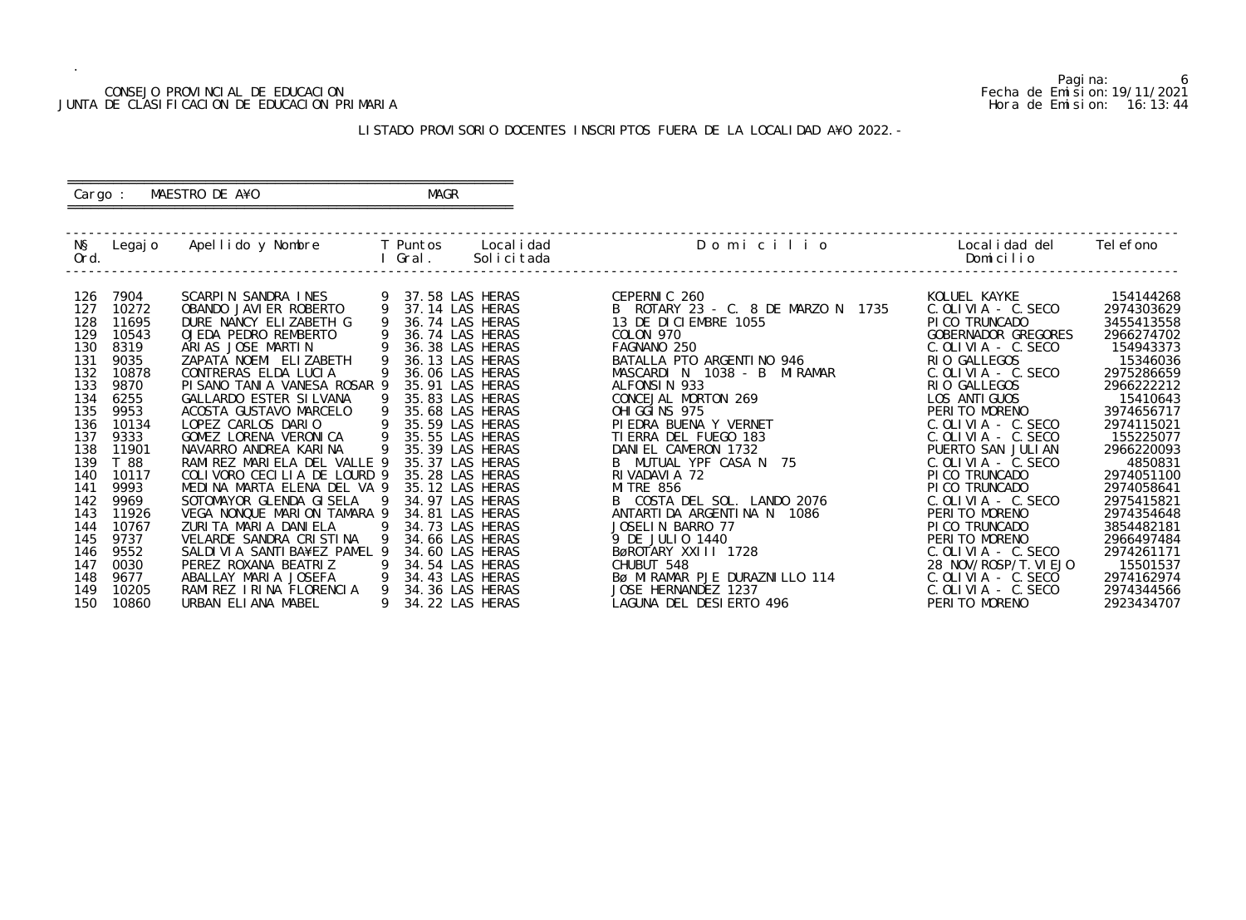#### CONSEJO PROVINCIAL DE EDUCACION Fecha de Emision:19/11/2021 JUNTA DE CLASIFICACION DE EDUCACION PRIMARIA Hora de Emision: 16:13:44

 ========================================================== Cargo : MAESTRO DE A¥O **MAGR** 

# LISTADO PROVISORIO DOCENTES INSCRIPTOS FUERA DE LA LOCALIDAD A¥O 2022.-

==========================================================

| NŞ<br>Ord. | Legaj o | Apellido y Nombre              |   | T Puntos<br>Gral. | Local i dad<br>Solicitada | Domicilio                          | Local i dad del<br>Domicilio             | Tel efono  |
|------------|---------|--------------------------------|---|-------------------|---------------------------|------------------------------------|------------------------------------------|------------|
| 126        | 7904    | SCARPIN SANDRA INES            |   | 37.58 LAS HERAS   |                           | CEPERNIC 260                       | KOLUEL KAYKE                             | 154144268  |
| 127        | 10272   | OBANDO JAVI ER ROBERTO         |   | 37.14 LAS HERAS   |                           | B ROTARY 23 - C. 8 DE MARZO N 1735 | $C.$ OLIVIA - $C.$ SECO                  | 2974303629 |
| 128        | 11695   | DURE NANCY ELIZABETH G         |   | 36.74 LAS HERAS   |                           | 13 DE DICIEMBRE 1055               | PI CO TRUNCADO                           | 3455413558 |
| 129        | 10543   | OJEDA PEDRO REMBERTO           |   | 36.74 LAS HERAS   |                           | COLON 970                          | GOBERNADOR GREGORES                      | 2966274702 |
| 130        | 8319    | ARIAS JOSE MARTIN              |   | 36.38 LAS HERAS   |                           | FAGNANO 250                        | $C.$ OLIVIA - $C.$ SECO                  | 154943373  |
| 131        | 9035    | ZAPATA NOEMI ELIZABETH         |   | 36.13 LAS HERAS   |                           | BATALLA PTO ARGENTINO 946          | RIO GALLEGOS                             | 15346036   |
| 132        | 10878   | CONTRERAS ELDA LUCIA           |   | 36.06 LAS HERAS   |                           | MASCARDI N 1038 - B<br>MI RAMAR    | $C.$ OLIVIA - $C.$ SECO                  | 2975286659 |
| 133        | 9870    | PI SANO TANI A VANESA ROSAR 9  |   | 35.91 LAS HERAS   |                           | ALFONSIN 933                       | RIO GALLEGOS                             | 2966222212 |
| 134        | 6255    | GALLARDO ESTER SI LVANA        |   | 35.83 LAS HERAS   |                           | CONCEJAL MORTON 269                | LOS ANTI GUOS                            | 15410643   |
| 135        | 9953    | ACOSTA GUSTAVO MARCELO         |   | 35.68 LAS HERAS   |                           | OHI GGI NS 975                     | PERITO MORENO                            | 3974656717 |
| 136        | 10134   | LOPEZ CARLOS DARIO             |   | 35.59 LAS HERAS   |                           | PI EDRA BUENA Y VERNET             | $C.$ OLIVIA - $C.$ SECO                  | 2974115021 |
| 137        | 9333    | GOMEZ LORENA VERONICA          |   | 35.55 LAS HERAS   |                           | TI ERRA DEL FUEGO 183              | $C.$ OLIVIA - $C.$ SECO                  | 155225077  |
| 138        | 11901   | NAVARRO ANDREA KARINA          |   | 35.39 LAS HERAS   |                           | DANIEL CAMERON 1732                | PUERTO SAN JULIAN                        | 2966220093 |
| 139        | T 88    | RAMIREZ MARIELA DEL VALLE 9    |   | 35.37 LAS HERAS   |                           | B MUTUAL YPF CASA N 75             | $C.$ OLIVIA - $C.$ SECO                  | 4850831    |
| 140        | 10117   | COLIVORO CECILIA DE LOURD 9    |   | 35.28 LAS HERAS   |                           | RI VADAVI A 72                     | PI CO TRUNCADO                           | 2974051100 |
| 141        | 9993    | MEDINA MARTA ELENA DEL VA 9    |   | 35.12 LAS HERAS   |                           | <b>MI TRE 856</b>                  | PI CO TRUNCADO                           | 2974058641 |
| 142        | 9969    | SOTOMAYOR GLENDA GISELA        |   | 34.97 LAS HERAS   |                           | B COSTA DEL SOL. LANDO 2076        | $C.$ OLIVIA - C. SECO                    | 2975415821 |
| 143        | 11926   | VEGA NONQUE MARION TAMARA 9    |   | 34.81 LAS HERAS   |                           | ANTARTI DA ARGENTI NA N 1086       | PERITO MORENO                            | 2974354648 |
| 144        | 10767   | ZURITA MARIA DANIELA           |   | 34.73 LAS HERAS   |                           | JOSELIN BARRO 77                   | PI CO TRUNCADO                           | 3854482181 |
| 145        | 9737    | VELARDE SANDRA CRISTINA        |   | 34.66 LAS HERAS   |                           | 9 DE JULIO 1440                    | PERITO MORENO                            | 2966497484 |
| 146        | 9552    | SALDI VI A SANTI BA¥EZ PAMEL 9 | 9 | 34.60 LAS HERAS   |                           | BøROTARY XXIII 1728                | $C.$ OLIVIA - C. SECO                    | 2974261171 |
| 147        | 0030    | PEREZ ROXANA BEATRIZ           |   | 34.54 LAS HERAS   |                           | CHUBUT 548                         | 28 NOV/ROSP/T. VI EJO                    | 15501537   |
| 148        | 9677    | ABALLAY MARIA JOSEFA           |   | 34.43 LAS HERAS   |                           | BØ MIRAMAR PJE DURAZNILLO 114      | $C.$ OLIVIA - $C.$ SECO                  | 2974162974 |
| 149        | 10205   | RAMIREZ IRINA FLORENCIA        | 9 | 34.36 LAS HERAS   |                           | JOSE HERNANDEZ 1237                | $C.$ OLIVIA - $C.$ SECO<br>PERITO MORENO | 2974344566 |
| 150        | 10860   | URBAN ELIANA MABEL             |   | 34.22 LAS HERAS   |                           | LAGUNA DEL DESIERTO 496            |                                          | 2923434707 |

6<br>Fecha de Emision: 19/11/2021<br>Hora de Emision: 16: 13: 44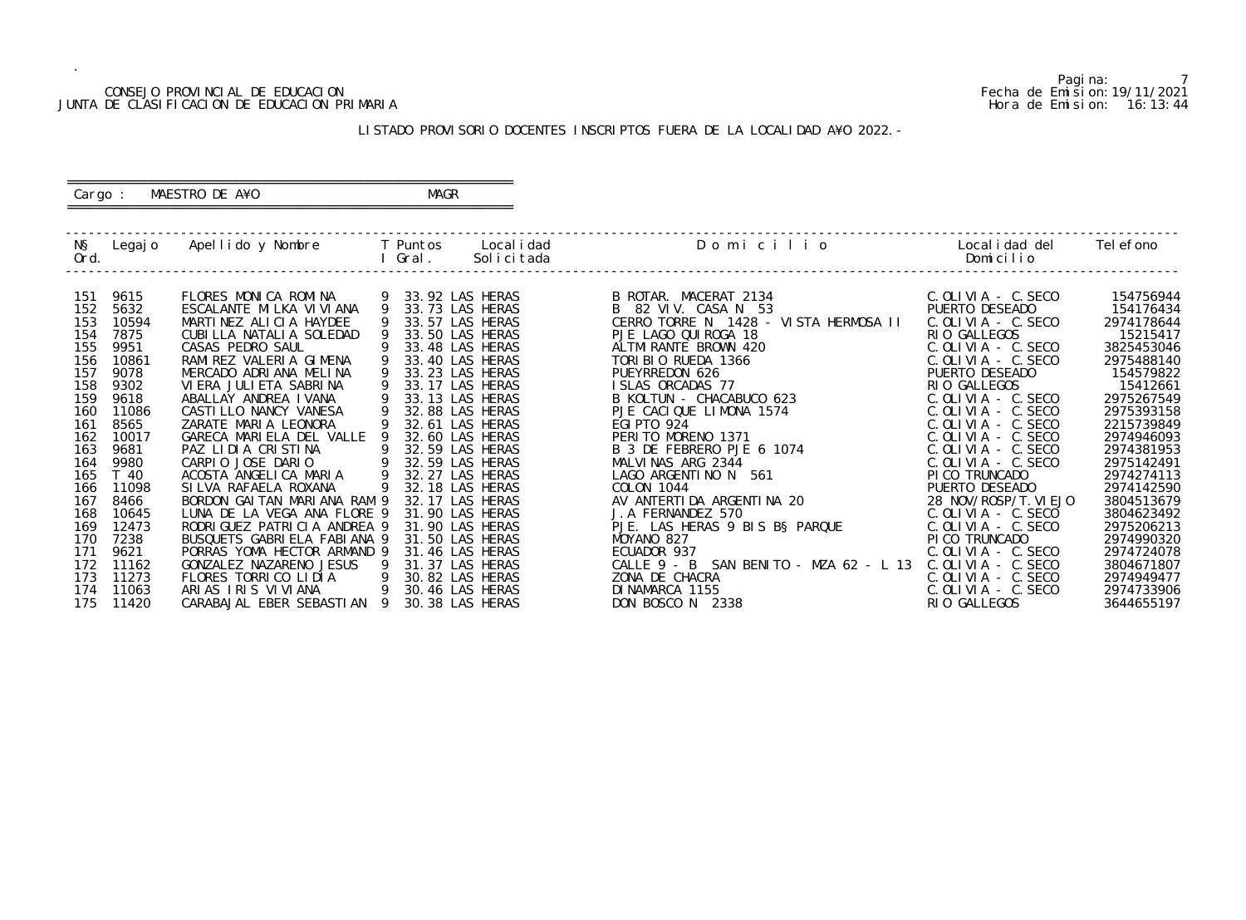#### CONSEJO PROVINCIAL DE EDUCACION Fecha de Emision:19/11/2021 JUNTA DE CLASIFICACION DE EDUCACION PRIMARIA Hora de Emision: 16:13:44

 ========================================================== Cargo : MAESTRO DE A¥O **MAGR** 

# LISTADO PROVISORIO DOCENTES INSCRIPTOS FUERA DE LA LOCALIDAD A¥O 2022.-

==========================================================

| NŞ<br>Ord. | Legaj o | Apellido y Nombre             |                | T Puntos<br>Gral. | Local i dad<br>Solicitada | Domicilio                                      | Local i dad del<br>Domicilio | Tel efono  |
|------------|---------|-------------------------------|----------------|-------------------|---------------------------|------------------------------------------------|------------------------------|------------|
|            |         |                               |                |                   |                           |                                                |                              |            |
| 151        | 9615    | FLORES MONICA ROMINA          |                | 33.92 LAS HERAS   |                           | B ROTAR. MACERAT 2134                          | $C.$ OLIVIA - $C.$ SECO      | 154756944  |
| 152        | 5632    | ESCALANTE MILKA VI VI ANA     |                | 33.73 LAS HERAS   |                           | B 82 VIV. CASA N 53                            | PUERTO DESEADO               | 154176434  |
| 153        | 10594   | MARTINEZ ALICIA HAYDEE        |                | 33.57 LAS HERAS   |                           | CERRO TORRE N 1428 - VISTA HERMOSA II          | $C.$ OLIVIA - $C.$ SECO      | 2974178644 |
| 154        | 7875    | CUBILLA NATALIA SOLEDAD       |                |                   | 33.50 LAS HERAS           | PJE LAGO QUI ROGA 18                           | RIO GALLEGOS                 | 15215417   |
| 155        | 9951    | CASAS PEDRO SAUL              |                | 33.48 LAS HERAS   |                           | ALTMI RANTE BROWN 420                          | $C.$ OLIVIA - $C.$ SECO      | 3825453046 |
| 156        | 10861   | RAMIREZ VALERIA GIMENA        |                | 33.40 LAS HERAS   |                           | TORIBIO RUEDA 1366                             | $C.$ OLIVIA - $C.$ SECO      | 2975488140 |
| 157        | 9078    | MERCADO ADRIANA MELINA        |                | 33.23 LAS HERAS   |                           | PUEYRREDON 626                                 | PUERTO DESEADO               | 154579822  |
| 158        | 9302    | VI ERA JULI ETA SABRI NA      |                | 33.17 LAS HERAS   |                           | ISLAS ORCADAS 77                               | RIO GALLEGOS                 | 15412661   |
| 159        | 9618    | ABALLAY ANDREA IVANA          |                | 33.13 LAS HERAS   |                           | B KOLTUN - CHACABUCO 623                       | $C.$ OLIVIA - $C.$ SECO      | 2975267549 |
| 160        | 11086   | CASTI LLO NANCY VANESA        |                | 32.88 LAS HERAS   |                           | PJE CACIQUE LIMONA 1574                        | $C.$ OLIVIA - $C.$ SECO      | 2975393158 |
| 161        | 8565    | ZARATE MARIA LEONORA          |                |                   | 32.61 LAS HERAS           | <b>EGI PTO 924</b>                             | $C.$ OLIVIA - $C.$ SECO      | 2215739849 |
| 162        | 10017   | GARECA MARIELA DEL VALLE      |                |                   | 32.60 LAS HERAS           | PERITO MORENO 1371                             | C. OLIVIA - C. SECO          | 2974946093 |
| 163        | 9681    | PAZ LIDIA CRISTINA            | 9              |                   | 32.59 LAS HERAS           | B 3 DE FEBRERO PJE 6 1074                      | $C.$ OLIVIA - $C.$ SECO      | 2974381953 |
| 164        | 9980    | CARPIO JOSE DARIO             |                | 32.59 LAS HERAS   |                           | MALVINAS ARG 2344                              | $C.$ OLIVIA - $C.$ SECO      | 2975142491 |
| 165        | T 40    | ACOSTA ANGELICA MARIA         | - 9            | 32.27 LAS HERAS   |                           | LAGO ARGENTINO N 561                           | PI CO TRUNCADO               | 2974274113 |
| 166        | 11098   | SI LVA RAFAELA ROXANA         | 9              | 32.18 LAS HERAS   |                           | COLON 1044                                     | PUERTO DESEADO               | 2974142590 |
| 167        | 8466    | BORDON GAI TAN MARI ANA RAM 9 |                | 32.17 LAS HERAS   |                           | AV ANTERTIDA ARGENTINA 20<br>J.A FERNANDEZ 570 | 28 NOV/ROSP/T. VI EJO        | 3804513679 |
| 168        | 10645   | LUNA DE LA VEGA ANA FLORE 9   |                | 31.90 LAS HERAS   |                           | J. A FERNANDEZ 570                             | $C.$ OLIVIA - $C.$ SECO      | 3804623492 |
| 169        | 12473   | RODRI GUEZ PATRI CIA ANDREA 9 |                | 31.90 LAS HERAS   |                           | PJE. LAS HERAS 9 BIS B§ PARQUE                 | $C.$ OLIVIA - $C.$ SECO      | 2975206213 |
| 170        | 7238    | BUSQUETS GABRIELA FABIANA 9   |                | 31.50 LAS HERAS   |                           | MOYANO 827                                     | PI CO TRUNCADO               | 2974990320 |
| 171        | 9621    | PORRAS YOMA HECTOR ARMAND 9   |                | 31.46 LAS HERAS   |                           | ECUADOR 937                                    | C. OLIVIA - C. SECO          | 2974724078 |
| 172        | 11162   | GONZALEZ NAZARENO JESUS       | $\overline{9}$ | 31.37 LAS HERAS   |                           | CALLE 9 - B SAN BENITO - MZA 62 - L 13         | $C.$ OLIVIA - $C.$ SECO      | 3804671807 |
| 173        | 11273   | FLORES TORRICO LIDIA          | - 9            | 30.82 LAS HERAS   |                           | ZONA DE CHACRA                                 | $C.$ OLIVIA - $C.$ SECO      | 2974949477 |
| 174        | 11063   | ARIAS IRIS VIVIANA            | $\overline{9}$ | 30.46 LAS HERAS   |                           | DI NAMARCA 1155                                | $C.$ OLIVIA - $C.$ SECO      | 2974733906 |
| 175        | 11420   | CARABAJAL EBER SEBASTIAN 9    |                | 30.38 LAS HERAS   |                           | DON BOSCO N 2338                               | RIO GALLEGOS                 | 3644655197 |

Pagina: 7<br>Fecha de Emision: 19/11/2021<br>Hora de Emision: 16: 13: 44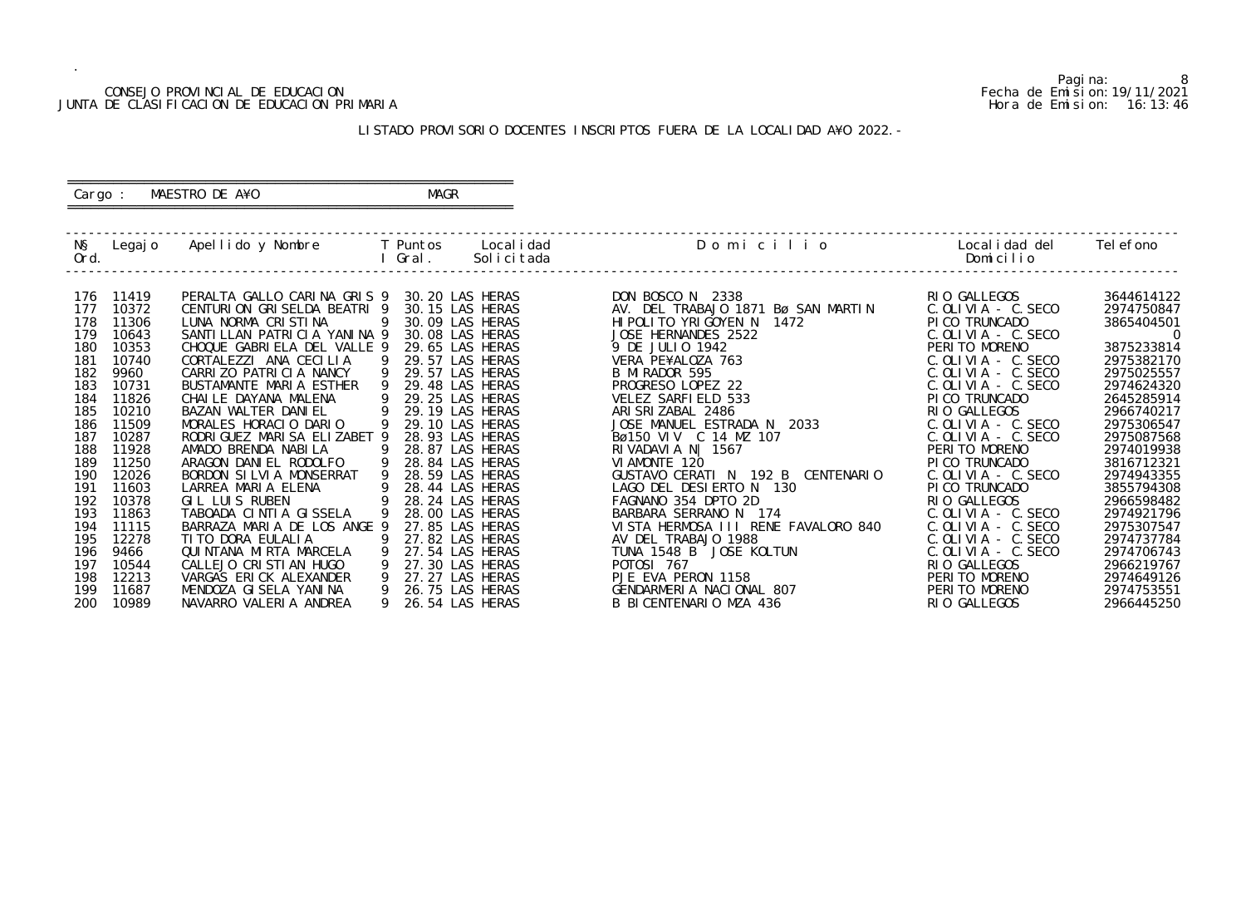#### CONSEJO PROVINCIAL DE EDUCACION Fecha de Emision:19/11/2021 JUNTA DE CLASIFICACION DE EDUCACION PRIMARIA Hora de Emision: 16:13:46

## ========================================================== Cargo : MAESTRO DE A¥O **MAGR**

# LISTADO PROVISORIO DOCENTES INSCRIPTOS FUERA DE LA LOCALIDAD A¥O 2022.-

==========================================================

| NŞ<br>Ord. | Legaj o        | Apellido y Nombre                                 |    | <b>Example T</b> Puntos<br>Gral. | Local i dad<br>Solicitada          | Domicilio                                          | Local i dad del<br>Domicilio  | Tel efono                |
|------------|----------------|---------------------------------------------------|----|----------------------------------|------------------------------------|----------------------------------------------------|-------------------------------|--------------------------|
| 176        | 11419          | PERALTA GALLO CARINA GRIS 9                       |    |                                  | 30.20 LAS HERAS                    | DON BOSCO N 2338                                   | RIO GALLEGOS                  | 3644614122               |
| 177        | 10372          | CENTURION GRISELDA BEATRI 9                       |    |                                  | 30.15 LAS HERAS                    | AV. DEL TRABAJO 1871 Bø SAN MARTIN                 | $C.$ OLIVIA $-$ C. SECO       | 2974750847               |
| 178        | 11306          | LUNA NORMA CRISTINA                               | 9  |                                  | 30.09 LAS HERAS                    | HI POLITO YRIGOYEN N<br>1472                       | PICO TRUNCADO                 | 3865404501               |
| 179        | 10643          | SANTI LLAN PATRI CI A YANI NA 9                   |    |                                  | 30.08 LAS HERAS                    | JOSE HERNANDES 2522                                | $C.$ OLIVIA - $C.$ SECO       | $\overline{0}$           |
| 180        | 10353          | CHOQUE GABRIELA DEL VALLE 9                       |    |                                  | 29.65 LAS HERAS                    | 9 DE JULIO 1942                                    | PERITO MORENO                 | 3875233814               |
| 181        | 10740          | CORTALEZZI ANA CECILIA                            | -9 |                                  | 29.57 LAS HERAS                    | VERA PE¥ALOZA 763                                  | $C.$ OLIVIA - $C.$ SECO       | 2975382170               |
| 182        | 9960           | CARRIZO PATRICIA NANCY                            | 9  |                                  | 29.57 LAS HERAS                    | B MI RADOR 595                                     | $C.$ OLIVIA - $C.$ SECO       | 2975025557               |
| 183        | 10731          | BUSTAMANTE MARIA ESTHER                           |    |                                  | 29.48 LAS HERAS                    | PROGRESO LOPEZ 22                                  | $C.$ OLIVIA - $C.$ SECO       | 2974624320               |
| 184        | 11826          | CHAILE DAYANA MALENA                              |    |                                  | 29.25 LAS HERAS                    | VELEZ SARFIELD 533                                 | PI CO TRUNCADO                | 2645285914               |
| 185        | 10210          | BAZAN WALTER DANIEL                               | 9  |                                  | 29.19 LAS HERAS                    | ARI SRI ZABAL 2486                                 | RIO GALLEGOS                  | 2966740217               |
| 186        | 11509          | MORALES HORACIO DARIO                             |    |                                  | 29.10 LAS HERAS                    | JOSE MANUEL ESTRADA N 2033                         | $C.$ OLIVIA - $C.$ SECO       | 2975306547               |
| 187        | 10287          | RODRI GUEZ MARI SA ELIZABET 9                     |    |                                  | 28.93 LAS HERAS                    | Bø150 VIV C 14 MZ 107                              | $C.$ OLIVIA - $C.$ SECO       | 2975087568               |
| 188        | 11928          | AMADO BRENDA NABILA                               |    |                                  | 28.87 LAS HERAS                    | RIVADAVIA N  1567                                  | PERITO MORENO                 | 2974019938               |
| 189        | 11250          | ARAGON DANIEL RODOLFO                             |    |                                  | 28.84 LAS HERAS                    | VI AMONTE 120                                      | PI CO TRUNCADO                | 3816712321               |
| 190        | 12026          | BORDON SILVIA MONSERRAT                           |    |                                  | 28.59 LAS HERAS                    | GUSTAVO CERATI N 192 B CENTENARIO                  | $C.$ OLIVIA - C. SECO         | 2974943355               |
| 191        | 11603          | LARREA MARIA ELENA                                |    |                                  | 28.44 LAS HERAS                    | LAGO DEL DESIERTO N 130                            | PICO TRUNCADO                 | 3855794308               |
| 192        | 10378          | GIL LUIS RUBEN                                    |    |                                  | 28.24 LAS HERAS                    | FAGNANO 354 DPTO 2D                                | RIO GALLEGOS                  | 2966598482               |
| 193        | 11863          | TABOADA CINTIA GISSELA                            |    |                                  | 28.00 LAS HERAS                    | BARBARA SERRANO N 174                              | $C.$ OLIVIA - $C.$ SECO       | 2974921796               |
| 194        | 11115          | BARRAZA MARIA DE LOS ANGE 9                       |    |                                  | 27.85 LAS HERAS                    | VISTA HERMOSA III RENE FAVALORO 840                | $C.$ OLIVIA - $C.$ SECO       | 2975307547               |
| 195        | 12278          | TI TO DORA EULALIA                                |    |                                  | 27.82 LAS HERAS                    | AV DEL TRABAJO 1988                                | $C.$ OLIVIA - $C.$ SECO       | 2974737784               |
| 196        | 9466           | QUI NTANA MI RTA MARCELA                          | 9  |                                  | 27.54 LAS HERAS                    | TUNA 1548 B JOSE KOLTUN                            | $C.$ OLIVIA - $C.$ SECO       | 2974706743               |
| 197        | 10544          | CALLEJO CRISTIAN HUGO                             | 9  |                                  | 27.30 LAS HERAS                    | P0T0SI 767                                         | RIO GALLEGOS                  | 2966219767               |
| 198        | 12213          | VARGAS ERICK ALEXANDER                            | 9  |                                  | 27.27 LAS HERAS                    | PJE EVA PERON 1158                                 | PERITO MORENO                 | 2974649126               |
| 199<br>200 | 11687<br>10989 | MENDOZA GI SELA YANI NA<br>NAVARRO VALERIA ANDREA |    |                                  | 26.75 LAS HERAS<br>26.54 LAS HERAS | GENDARMERIA NACIONAL 807<br>B BICENTENARIO MZA 436 | PERITO MORENO<br>RIO GALLEGOS | 2974753551<br>2966445250 |
|            |                |                                                   |    |                                  |                                    |                                                    |                               |                          |

8<br>Fecha de Emision: 19/11/2021<br>Hora de Emision: 16: 13: 46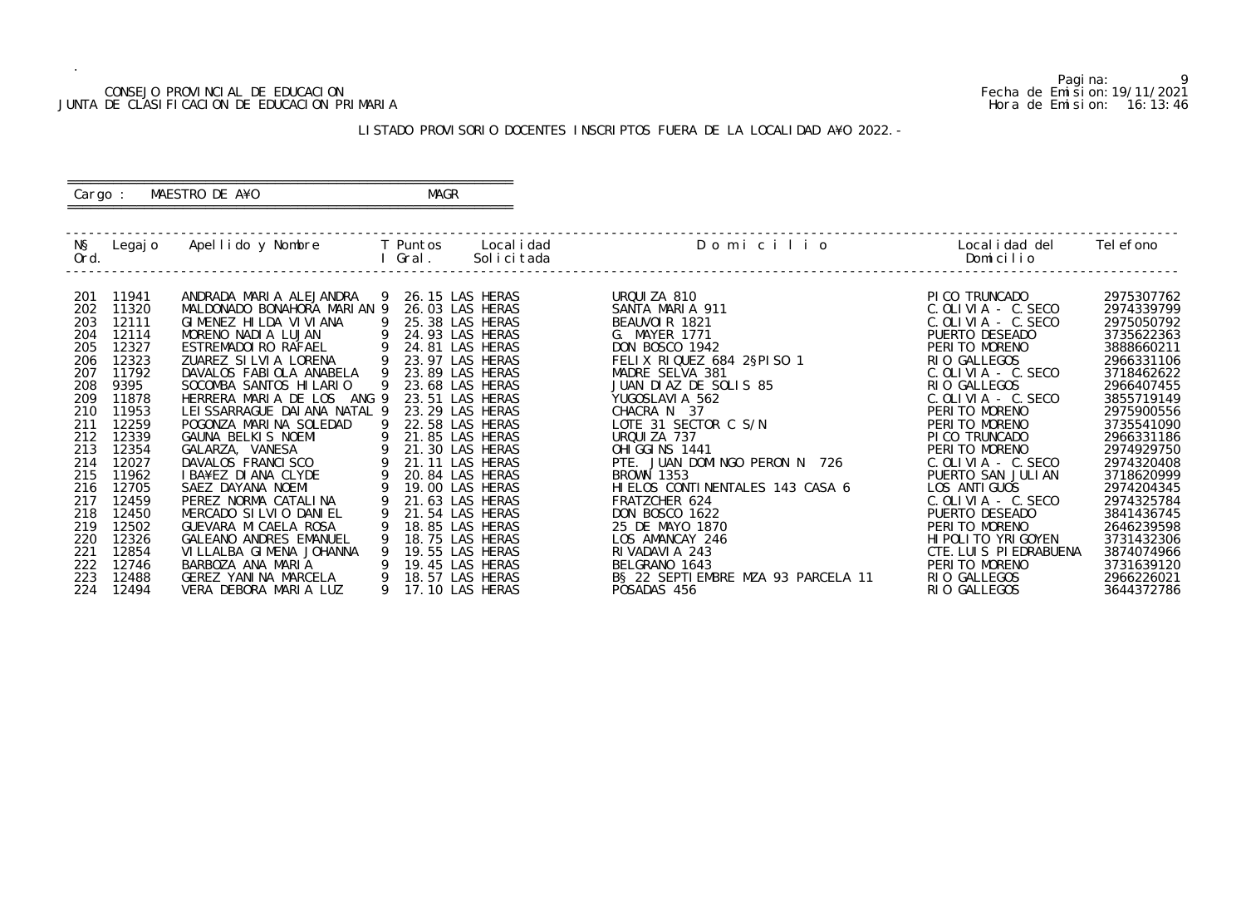#### CONSEJO PROVINCIAL DE EDUCACION Fecha de Emision:19/11/2021 JUNTA DE CLASIFICACION DE EDUCACION PRIMARIA Hora de Emision: 16:13:46

## ========================================================== Cargo : MAESTRO DE A¥O **MAGR**

# LISTADO PROVISORIO DOCENTES INSCRIPTOS FUERA DE LA LOCALIDAD A¥O 2022.-

==========================================================

| NŞ<br>Ord.                                                                                                          | Legaj o                                                                                                                                              | Apellido y Nombre                                                                                                                                                                                                                                                                                                                                                                                                                               |   | T Puntos<br>Gral.                                                                                                                                                                                                                                                                                                               | Local i dad<br>Solicitada | Domicilio                                                                                                                                                                                                                                                                                                                                                                | Local i dad del<br>Domicilio                                                                                                                                                                                                                                                                                                                                  | Tel efono                                                                                                                                                                                                                                  |
|---------------------------------------------------------------------------------------------------------------------|------------------------------------------------------------------------------------------------------------------------------------------------------|-------------------------------------------------------------------------------------------------------------------------------------------------------------------------------------------------------------------------------------------------------------------------------------------------------------------------------------------------------------------------------------------------------------------------------------------------|---|---------------------------------------------------------------------------------------------------------------------------------------------------------------------------------------------------------------------------------------------------------------------------------------------------------------------------------|---------------------------|--------------------------------------------------------------------------------------------------------------------------------------------------------------------------------------------------------------------------------------------------------------------------------------------------------------------------------------------------------------------------|---------------------------------------------------------------------------------------------------------------------------------------------------------------------------------------------------------------------------------------------------------------------------------------------------------------------------------------------------------------|--------------------------------------------------------------------------------------------------------------------------------------------------------------------------------------------------------------------------------------------|
| 201<br>202<br>203<br>204<br>205<br>206<br>207<br>208<br>209<br>210<br>211<br>212<br>213<br>214<br>215<br>216<br>217 | 11941<br>11320<br>12111<br>12114<br>12327<br>12323<br>11792<br>9395<br>11878<br>11953<br>12259<br>12339<br>12354<br>12027<br>11962<br>12705<br>12459 | ANDRADA MARIA ALEJANDRA<br>MALDONADO BONAHORA MARIAN 9<br>GIMENEZ HILDA VIVIANA<br>MORENO NADIA LUJAN<br>ESTREMADOIRO RAFAEL<br>ZUAREZ SILVIA LORENA<br>DAVALOS FABIOLA ANABELA<br>SOCOMBA SANTOS HILARIO<br>HERRERA MARIA DE LOS<br>ANG 9<br>LEI SSARRAGUE DAI ANA NATAL 9<br>POGONZA MARINA SOLEDAD<br><b>GAUNA BELKIS NOEMI</b><br>GALARZA, VANESA<br>DAVALOS FRANCISCO<br>I BA¥EZ DI ANA CLYDE<br>SAEZ DAYANA NOEMI<br>PEREZ NORMA CATALINA | 9 | 26.15 LAS HERAS<br>26.03 LAS HERAS<br>25.38 LAS HERAS<br>24.93 LAS HERAS<br>24.81 LAS HERAS<br>23.97 LAS HERAS<br>23.89 LAS HERAS<br>23.68 LAS HERAS<br>23.51 LAS HERAS<br>23.29 LAS HERAS<br>22.58 LAS HERAS<br>21.85 LAS HERAS<br>21.30 LAS HERAS<br>21.11 LAS HERAS<br>20.84 LAS HERAS<br>19.00 LAS HERAS<br>21.63 LAS HERAS |                           | URQUIZA 810<br>SANTA MARIA 911<br>BEAUVOIR 1821<br>G. MAYER 1771<br><b>DON BOSCO 1942</b><br>FELIX RIQUEZ 684 2§PISO 1<br>MADRE SELVA 381<br>JUAN DIAZ DE SOLIS 85<br>YUGOSLAVI A 562<br>CHACRA N 37<br>LOTE 31 SECTOR C S/N<br>URQUIZA 737<br>OHI GGI NS 1441<br>PTE. JUAN DOMINGO PERON N 726<br><b>BROWN 1353</b><br>HIELOS CONTINENTALES 143 CASA 6<br>FRATZCHER 624 | PICO TRUNCADO<br>$C.$ OLIVIA - $C.$ SECO<br>$C.$ OLIVIA - $C.$ SECO<br>PUERTO DESEADO<br>PERITO MORENO<br>RIO GALLEGOS<br>$C.$ OLIVIA - $C.$ SECO<br>RIO GALLEGOS<br>$C.$ OLIVIA - $C.$ SECO<br>PERITO MORENO<br>PERITO MORENO<br>PI CO TRUNCADO<br>PERITO MORENO<br>$C.$ OLIVIA - $C.$ SECO<br>PUERTO SAN JULIAN<br>LOS ANTI GUOS<br>$C.$ OLIVIA $-$ C. SECO | 2975307762<br>2974339799<br>2975050792<br>3735622363<br>3888660211<br>2966331106<br>3718462622<br>2966407455<br>3855719149<br>2975900556<br>3735541090<br>2966331186<br>2974929750<br>2974320408<br>3718620999<br>2974204345<br>2974325784 |
| 218<br>219<br>220<br>221                                                                                            | 12450<br>12502<br>12326<br>12854                                                                                                                     | MERCADO SILVIO DANIEL<br>GUEVARA MI CAELA ROSA<br><b>GALEANO ANDRES EMANUEL</b><br>VI LLALBA GI MENA JOHANNA                                                                                                                                                                                                                                                                                                                                    |   | 21.54 LAS HERAS<br>18.85 LAS HERAS<br>18.75 LAS HERAS<br>19.55 LAS HERAS                                                                                                                                                                                                                                                        |                           | <b>DON BOSCO 1622</b><br>25 DE MAYO 1870<br>LOS AMANCAY 246<br>RIVADAVIA 243                                                                                                                                                                                                                                                                                             | PUERTO DESEADO<br>PERITO MORENO<br>HI POLI TO YRI GOYEN<br>CTE. LUIS PIEDRABUENA                                                                                                                                                                                                                                                                              | 3841436745<br>2646239598<br>3731432306<br>3874074966                                                                                                                                                                                       |
| 222<br>223<br>224                                                                                                   | 12746<br>12488<br>12494                                                                                                                              | BARBOZA ANA MARIA<br>GEREZ YANINA MARCELA<br>VERA DEBORA MARIA LUZ                                                                                                                                                                                                                                                                                                                                                                              |   | 19.45 LAS HERAS<br>18.57 LAS HERAS<br>17.10 LAS HERAS                                                                                                                                                                                                                                                                           |                           | BELGRANO 1643<br>B§ 22 SEPTI EMBRE MZA 93 PARCELA 11<br>POSADAS 456                                                                                                                                                                                                                                                                                                      | PERITO MORENO<br>RIO GALLEGOS<br>RIO GALLEGOS                                                                                                                                                                                                                                                                                                                 | 3731639120<br>2966226021<br>3644372786                                                                                                                                                                                                     |

Pagina: 9<br>Fecha de Emision: 19/11/2021<br>Hora de Emision: 16:13:46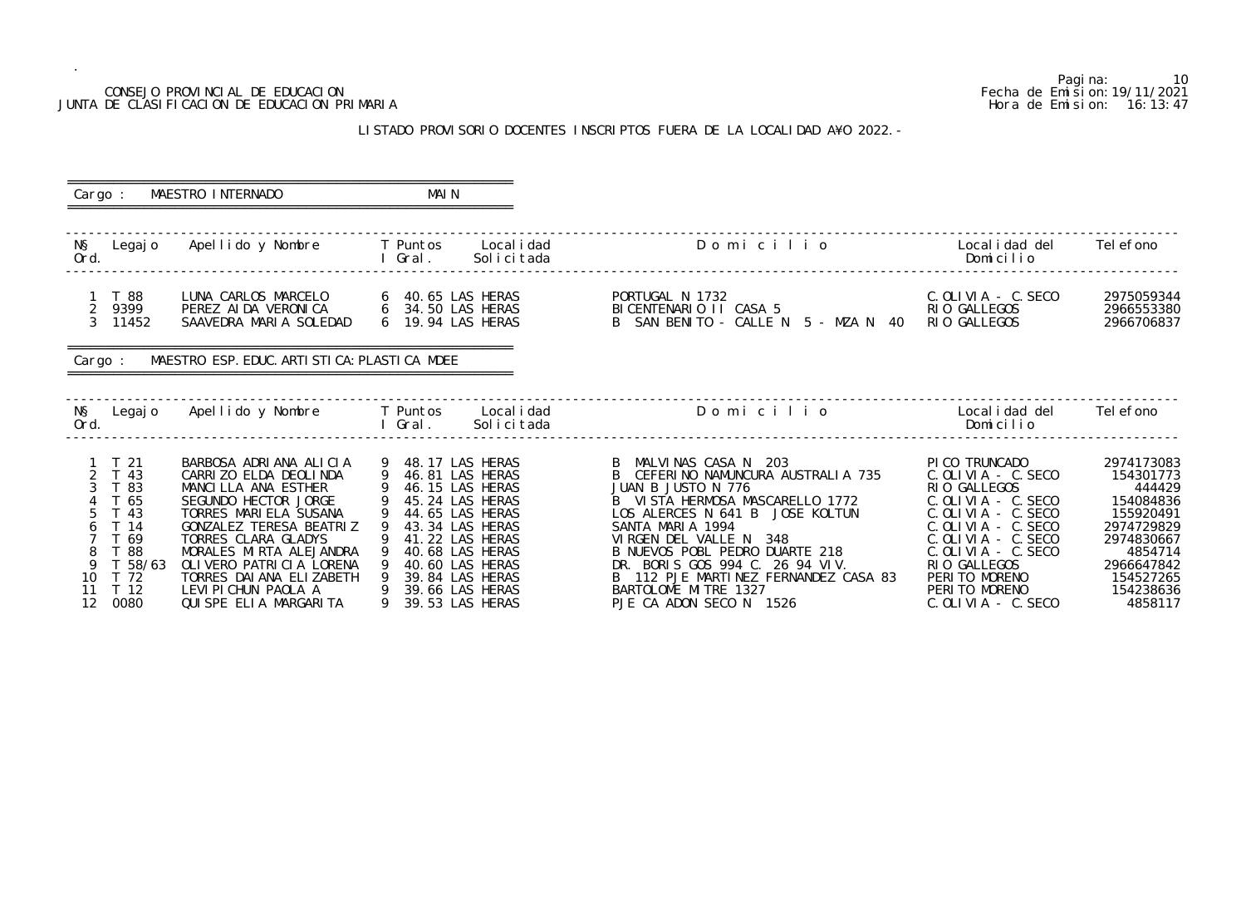## CONSEJO PROVINCIAL DE EDUCACION JUNTA DE CLASIFICACION DE EDUCACION PRIMARIA

.

#### LISTADO PROVISORIO DOCENTES INSCRIPTOS FUERA DE LA LOCALIDAD

|                                                                                                                                   | CONSEJO PROVINCIAL DE EDUCACION<br>JUNTA DE CLASIFICACION DE EDUCACION PRIMARIA                                                                                                                                                                                                                                |                                             |                                                                                                                                                                                              | LISTADO PROVISORIO DOCENTES INSCRIPTOS FUERA DE LA LOCALIDAD A¥O 2022. -                                                                                                                                                                                                                                                                                          |                                                                                                                                                                                                                                                   | Pagi na:<br>10<br>Fecha de Emi si on: 19/11/2021<br>Hora de Emision: 16:13:47                                                                            |
|-----------------------------------------------------------------------------------------------------------------------------------|----------------------------------------------------------------------------------------------------------------------------------------------------------------------------------------------------------------------------------------------------------------------------------------------------------------|---------------------------------------------|----------------------------------------------------------------------------------------------------------------------------------------------------------------------------------------------|-------------------------------------------------------------------------------------------------------------------------------------------------------------------------------------------------------------------------------------------------------------------------------------------------------------------------------------------------------------------|---------------------------------------------------------------------------------------------------------------------------------------------------------------------------------------------------------------------------------------------------|----------------------------------------------------------------------------------------------------------------------------------------------------------|
| Cargo :                                                                                                                           | MAESTRO INTERNADO                                                                                                                                                                                                                                                                                              | MAI N                                       |                                                                                                                                                                                              |                                                                                                                                                                                                                                                                                                                                                                   |                                                                                                                                                                                                                                                   |                                                                                                                                                          |
| NŞ<br>Legaj o<br>Ord.                                                                                                             | Apellido y Nombre                                                                                                                                                                                                                                                                                              | T Puntos<br>Gral.                           | Local i dad<br>Solicitada                                                                                                                                                                    | Domicilio                                                                                                                                                                                                                                                                                                                                                         | Local i dad del<br>Domicilio                                                                                                                                                                                                                      | Tel efono                                                                                                                                                |
| 1 T 88<br>2 <sup>7</sup><br>9399<br>$\mathcal{S}$<br>11452                                                                        | LUNA CARLOS MARCELO<br>PEREZ AI DA VERONI CA<br>SAAVEDRA MARIA SOLEDAD                                                                                                                                                                                                                                         | 6 19.94 LAS HERAS                           |                                                                                                                                                                                              | PORTUGAL N 1732<br>BICENTENARIO II CASA 5<br>B SAN BENITO - CALLE N 5 - MZA N 40                                                                                                                                                                                                                                                                                  | $C.$ OLIVIA - $C.$ SECO<br>RIO GALLEGOS<br>RIO GALLEGOS                                                                                                                                                                                           | 2975059344<br>2966553380<br>2966706837                                                                                                                   |
| Cargo :                                                                                                                           | MAESTRO ESP. EDUC. ARTI STI CA: PLASTI CA MDEE                                                                                                                                                                                                                                                                 |                                             |                                                                                                                                                                                              |                                                                                                                                                                                                                                                                                                                                                                   |                                                                                                                                                                                                                                                   |                                                                                                                                                          |
| NŞ<br>Legaj o<br>Ord.                                                                                                             | Apellido y Nombre                                                                                                                                                                                                                                                                                              | T Puntos<br>Gral.                           | Local i dad<br>Solicitada                                                                                                                                                                    | Domicilio                                                                                                                                                                                                                                                                                                                                                         | Local i dad del<br>Domicilio                                                                                                                                                                                                                      | Tel efono                                                                                                                                                |
| $1 \quad T \quad 21$<br>2 T 43<br>-83<br>T 65<br>T 43<br>T 14<br>T 69<br>88<br>T 58/63<br>9<br>10<br>T 72<br>T 12<br>11<br>12.000 | BARBOSA ADRIANA ALICIA<br>CARRIZO ELDA DEOLINDA<br>MANCILLA ANA ESTHER<br>SEGUNDO HECTOR JORGE<br>TORRES MARIELA SUSANA<br>GONZALEZ TERESA BEATRIZ<br>TORRES CLARA GLADYS<br>MORALES MIRTA ALEJANDRA<br>OLIVERO PATRICIA LORENA<br>TORRES DAI ANA ELIZABETH<br>LEVI PI CHUN PAOLA A<br>AIII CDE ELLA MADCADITA | 9 48.17 LAS HERAS<br>9 46.81 LAS HERAS<br>9 | 46.15 LAS HERAS<br>45.24 LAS HERAS<br>44.65 LAS HERAS<br>43.34 LAS HERAS<br>41.22 LAS HERAS<br>40.68 LAS HERAS<br>40.60 LAS HERAS<br>39.84 LAS HERAS<br>39.66 LAS HERAS<br>20 E2 I AC LIEDAC | B MALVINAS CASA N 203<br>CEFERINO NAMUNCURA AUSTRALIA 735<br>JUAN B JUSTO N 776<br>B VISTA HERMOSA MASCARELLO 1772<br>LOS ALERCES N 641 B JOSE KOLTUN<br>SANTA MARIA 1994<br>VIRGEN DEL VALLE N 348<br>B NUEVOS POBL PEDRO DUARTE 218<br>DR. BORIS GOS 994 C. 26 94 VIV.<br>112 PJE MARTINEZ FERNANDEZ CASA 83<br>BARTOLOME MITRE 1327<br>DIE CA ADON CECO N 1524 | PICO TRUNCADO<br>$C.$ OLIVIA - $C.$ SECO<br>RIO GALLEGOS<br>$C.$ OLIVIA - $C.$ SECO<br>$C.$ OLIVIA - $C.$ SECO<br>$C.$ OLIVIA - $C.$ SECO<br>$C.$ OLIVIA - $C.$ SECO<br>$C.$ OLIVIA - $C.$ SECO<br>RIO GALLEGOS<br>PERITO MORENO<br>PERITO MORENO | 2974173083<br>154301773<br>444429<br>154084836<br>155920491<br>2974729829<br>2974830667<br>4854714<br>2966647842<br>154527265<br>154238636<br>$A$ OEO117 |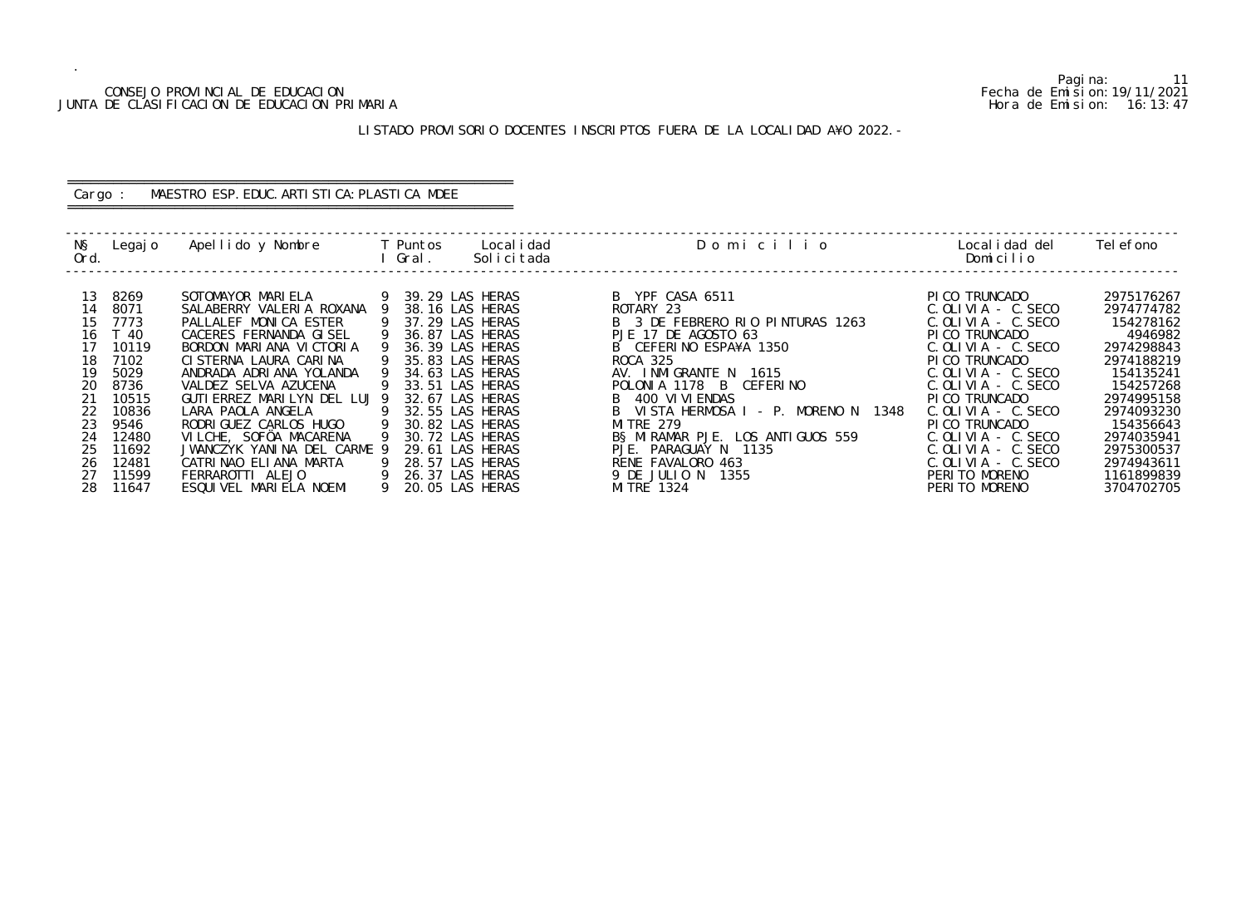#### CONSEJO PROVINCIAL DE EDUCACION Fecha de Emision:19/11/2021 JUNTA DE CLASIFICACION DE EDUCACION PRIMARIA Hora de Emision: 16:13:47

# ========================================================== Cargo : MAESTRO ESP. EDUC. ARTISTICA: PLASTICA MDEE

# LISTADO PROVISORIO DOCENTES INSCRIPTOS FUERA DE LA LOCALIDAD A¥O 2022.-

==========================================================

| NŞ<br>Ord. | Legaj o | Apellido y Nombre            |     | T Puntos<br>Gral. | Local i dad<br>Solicitada | Domicilio                               | Local i dad del<br>Domicilio | Tel efono  |
|------------|---------|------------------------------|-----|-------------------|---------------------------|-----------------------------------------|------------------------------|------------|
|            |         |                              |     |                   |                           |                                         |                              |            |
| 13         | 8269    | SOTOMAYOR MARIELA            |     | 39.29 LAS HERAS   |                           | B YPF CASA 6511                         | PI CO TRUNCADO               | 2975176267 |
| 14         | 8071    | SALABERRY VALERIA ROXANA     |     | 38.16 LAS HERAS   |                           | ROTARY 23                               | $C.$ OLIVIA - $C.$ SECO      | 2974774782 |
| 15         | 7773    | PALLALEF MONICA ESTER        |     | 37.29 LAS HERAS   |                           | B 3 DE FEBRERO RIO PINTURAS 1263        | $C.$ OLIVIA - C. SECO        | 154278162  |
|            | 16 T 40 | CACERES FERNANDA GISEL       |     | 36.87 LAS HERAS   |                           | PJE 17 DE AGOSTO 63                     | PICO TRUNCADO                | 4946982    |
| 17         | 10119   | BORDON MARIANA VICTORIA      |     | 36.39 LAS HERAS   |                           | B CEFERINO ESPA¥A 1350                  | $C.$ OLIVIA - C. SECO        | 2974298843 |
| 18         | 7102    | CISTERNA LAURA CARINA        |     | 35.83 LAS HERAS   |                           | ROCA 325                                | PI CO TRUNCADO               | 2974188219 |
| 19         | 5029    | ANDRADA ADRIANA YOLANDA      |     | 34.63 LAS HERAS   |                           | AV. INMIGRANTE N 1615                   | $C.$ OLIVIA $-$ C. SECO      | 154135241  |
| 20         | 8736    | VALDEZ SELVA AZUCENA         |     | 33.51 LAS HERAS   |                           | POLONIA 1178 B CEFERINO                 | $C.$ OLIVIA - $C.$ SECO      | 154257268  |
| 21         | 10515   | GUTI ERREZ MARILYN DEL LUJ 9 |     | 32.67 LAS HERAS   |                           | B 400 VI VI ENDAS                       | PICO TRUNCADO                | 2974995158 |
| 22         | 10836   | LARA PAOLA ANGELA            |     | 32.55 LAS HERAS   |                           | B VISTA HERMOSA I - P. MORENO N<br>1348 | $C.$ OLIVIA - $C.$ SECO      | 2974093230 |
| 23         | 9546    | RODRI GUEZ CARLOS HUGO       | - 9 | 30.82 LAS HERAS   |                           | <b>MI TRE 279</b>                       | PI CO TRUNCADO               | 154356643  |
| 24         | 12480   | VILCHE, SOFÖA MACARENA       |     | 30.72 LAS HERAS   |                           | BS MIRAMAR PJE. LOS ANTIGUOS 559        | $C.$ OLIVIA - C. SECO        | 2974035941 |
| 25         | 11692   | JWANCZYK YANINA DEL CARME 9  |     | 29.61 LAS HERAS   |                           | PJE. PARAGUAY N 1135                    | $C.$ OLIVIA - $C.$ SECO      | 2975300537 |
| 26         | 12481   | CATRINAO ELIANA MARTA        |     | 28.57 LAS HERAS   |                           | RENE FAVALORO 463                       | $C.$ OLIVIA - $C.$ SECO      | 2974943611 |
| 27         | 11599   | FERRAROTTI ALEJO             | 9.  | 26.37 LAS HERAS   |                           | 9 DE JULIO N<br>1355                    | PERITO MORENO                | 1161899839 |
| 28         | 11647   | ESQUIVEL MARIELA NOEMI       | 9   | 20.05 LAS HERAS   |                           | MI TRE 1324                             | PERITO MORENO                | 3704702705 |

Pagina: 11<br>Fecha de Emision: 19/11/2021<br>Hora de Emision: 16:13:47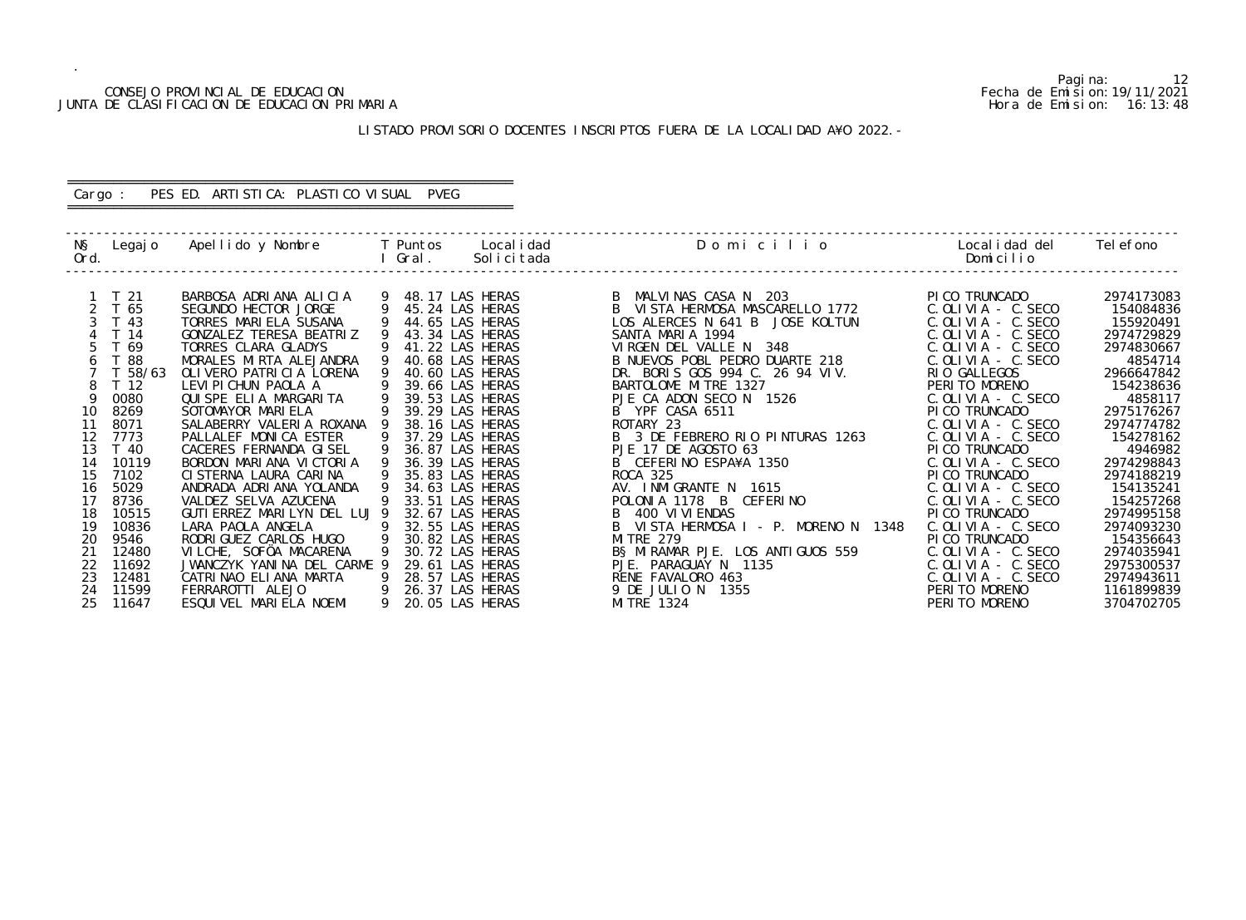#### CONSEJO PROVINCIAL DE EDUCACION Fecha de Emision:19/11/2021 JUNTA DE CLASIFICACION DE EDUCACION PRIMARIA Hora de Emision: 16:13:48

# LISTADO PROVISORIO DOCENTES INSCRIPTOS FUERA DE LA LOCALIDAD A¥O 2022.-

# ========================================================== Cargo : PES ED. ARTISTICA: PLASTICO VISUAL PVEG

==========================================================

| NŞ<br>Ord. | Legaj o         | Apellido y Nombre            |   | T Puntos<br>Gral . | Local i dad<br>Solicitada | Domicilio                               | Local i dad del<br>Domicilio | Tel efono  |
|------------|-----------------|------------------------------|---|--------------------|---------------------------|-----------------------------------------|------------------------------|------------|
|            |                 |                              |   |                    |                           |                                         |                              |            |
|            | T 21            | BARBOSA ADRIANA ALICIA       |   | 9 48.17 LAS HERAS  |                           | MALVINAS CASA N 203<br>B                | PI CO TRUNCADO               | 2974173083 |
|            | T 65            | SEGUNDO HECTOR JORGE         | 9 | 45.24 LAS HERAS    |                           | B.<br>VISTA HERMOSA MASCARELLO 1772     | $C.$ OLIVIA - C. SECO        | 154084836  |
|            | T 43            | TORRES MARIELA SUSANA        |   | 44.65 LAS HERAS    |                           | LOS ALERCES N 641 B<br>JOSE KOLTUN      | $C.$ OLIVIA - C. SECO        | 155920491  |
|            | T 14            | GONZALEZ TERESA BEATRIZ      |   | 43.34 LAS HERAS    |                           | SANTA MARIA 1994                        | $C.$ OLIVIA - $C.$ SECO      | 2974729829 |
|            | T 69            | TORRES CLARA GLADYS          |   | 41.22 LAS HERAS    |                           | VIRGEN DEL VALLE N 348                  | $C.$ OLIVIA - C. SECO        | 2974830667 |
|            | T 88            | MORALES MIRTA ALEJANDRA      |   | 40.68 LAS HERAS    |                           | B NUEVOS POBL PEDRO DUARTE 218          | $C.$ OLIVIA - $C.$ SECO      | 4854714    |
|            | T 58/63         | OLI VERO PATRI CI A LORENA   |   | 40.60 LAS HERAS    |                           | BORIS GOS 994 C. 26 94 VIV.<br>DR.      | RIO GALLEGOS                 | 2966647842 |
|            | T <sub>12</sub> | LEVI PI CHUN PAOLA A         |   | 39.66 LAS HERAS    |                           | BARTOLOME MITRE 1327                    | PERITO MORENO                | 154238636  |
| Q          | 0080            | QUISPE ELIA MARGARITA        |   | 39.53 LAS HERAS    |                           | PJE CA ADON SECO N 1526                 | $C.$ OLIVIA - $C.$ SECO      | 4858117    |
| 10         | 8269            | SOTOMAYOR MARIELA            |   | 39.29 LAS HERAS    |                           | B YPF CASA 6511                         | PI CO TRUNCADO               | 2975176267 |
| 11         | 8071            | SALABERRY VALERIA ROXANA     |   | 38.16 LAS HERAS    |                           | ROTARY 23                               | C. OLIVIA - C. SECO          | 2974774782 |
| 12         | 7773            | PALLALEF MONICA ESTER        |   | 37.29 LAS HERAS    |                           | B 3 DE FEBRERO RIO PINTURAS 1263        | $C.$ OLIVIA - $C.$ SECO      | 154278162  |
| 13         | T 40            | CACERES FERNANDA GISEL       | 9 | 36.87 LAS HERAS    |                           | PJE 17 DE AGOSTO 63                     | PI CO TRUNCADO               | 4946982    |
| 14         | 10119           | BORDON MARIANA VICTORIA      |   | 36.39 LAS HERAS    |                           | CEFERINO ESPA¥A 1350                    | $C.$ OLIVIA - $C.$ SECO      | 2974298843 |
| 15         | 7102            | CI STERNA LAURA CARINA       |   | 35.83 LAS HERAS    |                           | ROCA 325                                | PI CO TRUNCADO               | 2974188219 |
| 16         | 5029            | ANDRADA ADRIANA YOLANDA      |   | 34.63 LAS HERAS    |                           | AV. INMIGRANTE N 1615                   | $C.$ OLIVIA - C. SECO        | 154135241  |
| 17         | 8736            | VALDEZ SELVA AZUCENA         |   | 33.51 LAS HERAS    |                           | POLONIA 1178 B CEFERINO                 | $C.$ OLIVIA - $C.$ SECO      | 154257268  |
| 18         | 10515           | GUTI ERREZ MARILYN DEL LUJ 9 |   | 32.67 LAS HERAS    |                           | 400 VI VI ENDAS                         | PI CO TRUNCADO               | 2974995158 |
| 19         | 10836           | LARA PAOLA ANGELA            |   | 32.55 LAS HERAS    |                           | B<br>VISTA HERMOSA I - P. MORENO N 1348 | $C.$ OLIVIA - $C.$ SECO      | 2974093230 |
| 20         | 9546            | RODRI GUEZ CARLOS HUGO       | 9 | 30.82 LAS HERAS    |                           | <b>MI TRE 279</b>                       | PI CO TRUNCADO               | 154356643  |
| 21         | 12480           | VILCHE, SOFÖA MACARENA       |   | 30.72 LAS HERAS    |                           | B§ MIRAMAR PJE. LOS ANTIGUOS 559        | $C.$ OLIVIA - $C.$ SECO      | 2974035941 |
| 22         | 11692           | JWANCZYK YANINA DEL CARME 9  |   | 29.61 LAS HERAS    |                           | PJE. PARAGUAY N 1135                    | $C.$ OLIVIA - $C.$ SECO      | 2975300537 |
| 23         | 12481           | CATRINAO ELIANA MARTA        |   | 28.57 LAS HERAS    |                           | RENE FAVALORO 463                       | $C.$ OLIVIA - C. SECO        | 2974943611 |
| 24         | 11599           | FERRAROTTI ALEJO             | 9 | 26.37 LAS HERAS    |                           | 9 DE JULIO N<br>1355                    | PERITO MORENO                | 1161899839 |
| 25         | 11647           | ESQUIVEL MARIELA NOEMI       | 9 | 20.05 LAS HERAS    |                           | MI TRE 1324                             | PERITO MORENO                | 3704702705 |

Pagina: 12<br>Fecha de Emision: 19/11/2021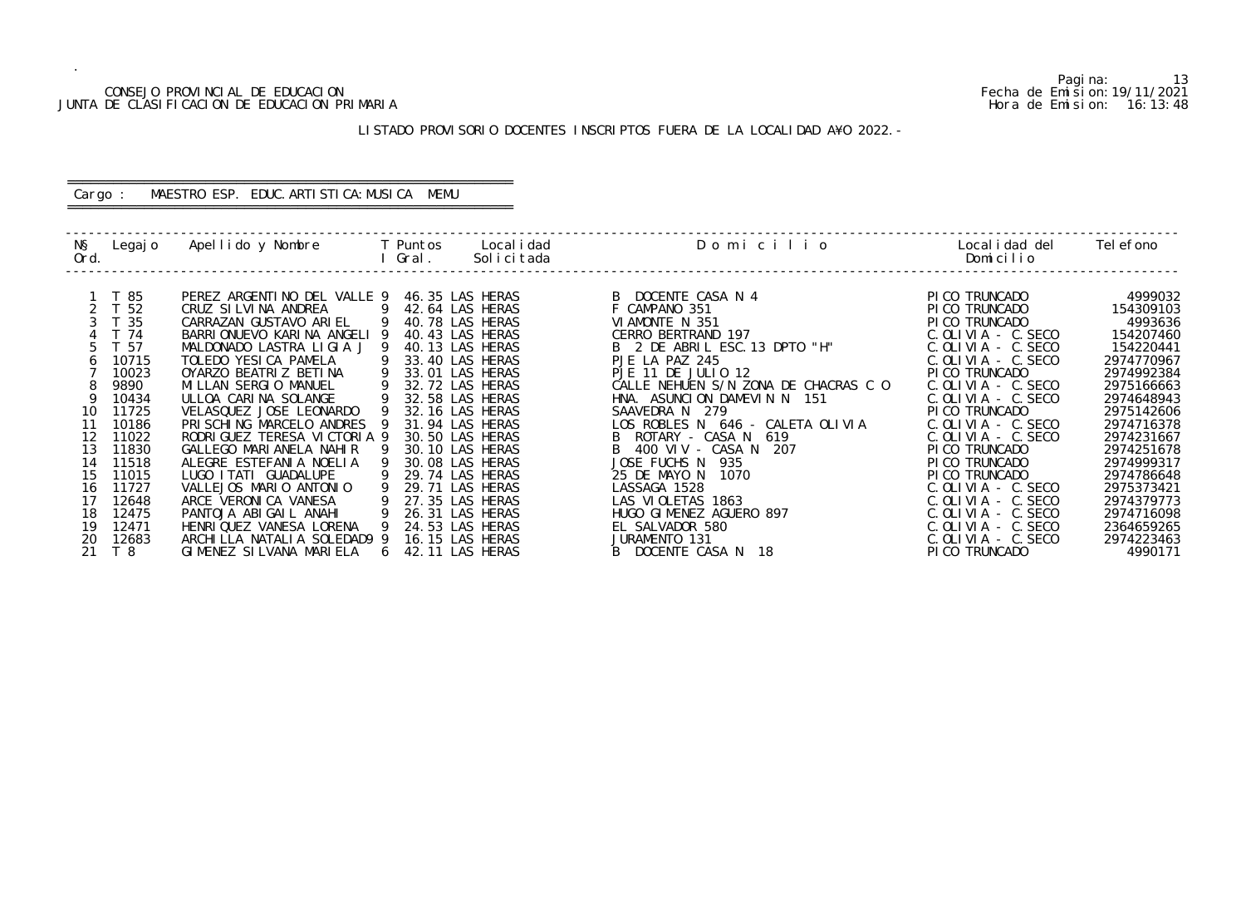#### CONSEJO PROVINCIAL DE EDUCACION Fecha de Emision:19/11/2021 JUNTA DE CLASIFICACION DE EDUCACION PRIMARIA Hora de Emision: 16:13:48

# LISTADO PROVISORIO DOCENTES INSCRIPTOS FUERA DE LA LOCALIDAD A¥O 2022.-

# ========================================================== Cargo : MAESTRO ESP. EDUC.ARTISTICA:MUSICA MEMU

==========================================================

| NŞ<br>Ord. | Legaj o | Apellido y Nombre           |            | T Puntos<br>Gral. | Local i dad<br>Solicitada | Domicilio                            | Local i dad del<br>Domicilio | Tel efono  |
|------------|---------|-----------------------------|------------|-------------------|---------------------------|--------------------------------------|------------------------------|------------|
|            |         |                             |            |                   |                           |                                      |                              |            |
|            | T 85    | PEREZ ARGENTINO DEL VALLE 9 |            |                   | 46.35 LAS HERAS           | B DOCENTE CASA N 4                   | PI CO TRUNCADO               | 4999032    |
|            | T 52    | CRUZ SILVINA ANDREA         | -9         |                   | 42.64 LAS HERAS           | F CAMPANO 351                        | PICO TRUNCADO                | 154309103  |
|            | T 35    | CARRAZAN GUSTAVO ARIEL      | -9         |                   | 40.78 LAS HERAS           | VIAMONTE N 351                       | PICO TRUNCADO                | 4993636    |
|            | T 74    | BARRIONUEVO KARINA ANGELI 9 |            |                   | 40.43 LAS HERAS           | CERRO BERTRAND 197                   | $C.$ OLIVIA $-$ C. SECO      | 154207460  |
|            | T 57    | MALDONADO LASTRA LIGIA J    |            |                   | 40.13 LAS HERAS           | B 2 DE ABRIL ESC. 13 DPTO "H"        | $C.$ OLIVIA - $C.$ SECO      | 154220441  |
|            | 10715   | TOLEDO YESICA PAMELA        |            |                   | 33.40 LAS HERAS           | PJE LA PAZ 245                       | $C.$ OLIVIA - C. SECO        | 2974770967 |
|            | 10023   | OYARZO BEATRIZ BETINA       | 9          |                   | 33.01 LAS HERAS           | PJE 11 DE JULIO 12                   | PI CO TRUNCADO               | 2974992384 |
|            | 9890    | MILLAN SERGIO MANUEL        |            |                   | 32.72 LAS HERAS           | CALLE NEHUEN S/N ZONA DE CHACRAS C O | $C.$ OLIVIA - $C.$ SECO      | 2975166663 |
|            | 10434   | ULLOA CARINA SOLANGE        |            |                   | 32.58 LAS HERAS           | HNA. ASUNCION DAMEVIN N 151          | $C.$ OLIVIA - $C.$ SECO      | 2974648943 |
| 10         | 11725   | VELASQUEZ JOSE LEONARDO     |            |                   | 32.16 LAS HERAS           | SAAVEDRA N 279                       | PI CO TRUNCADO               | 2975142606 |
| 11         | 10186   | PRI SCHING MARCELO ANDRES   |            |                   | 31.94 LAS HERAS           | LOS ROBLES N 646 - CALETA OLIVIA     | $C.$ OLIVIA - C. SECO        | 2974716378 |
| 12         | 11022   | RODRIGUEZ TERESA VICTORIA 9 |            |                   | 30.50 LAS HERAS           | ROTARY - CASA N<br>619               | $C.$ OLIVIA - C. SECO        | 2974231667 |
| 13         | 11830   | GALLEGO MARIANELA NAHIR     |            |                   | 30.10 LAS HERAS           | $B$ 400 VIV - CASA N<br>207          | PI CO TRUNCADO               | 2974251678 |
| 14         | 11518   | ALEGRE ESTEFANIA NOELIA     |            |                   | 30.08 LAS HERAS           | JOSE FUCHS N 935                     | PICO TRUNCADO                | 2974999317 |
| 15         | 11015   | LUGO I TATI GUADALUPE       |            |                   | 29.74 LAS HERAS           | 25 DE MAYO N<br>1070                 | PI CO TRUNCADO               | 2974786648 |
| 16         | 11727   | VALLEJOS MARIO ANTONIO      |            |                   | 29.71 LAS HERAS           | LASSAGA 1528                         | $C.$ OLIVIA - $C.$ SECO      | 2975373421 |
| 17         | 12648   | ARCE VERONICA VANESA        |            |                   | 27.35 LAS HERAS           | LAS VIOLETAS 1863                    | $C.$ OLIVIA - $C.$ SECO      | 2974379773 |
| 18         | 12475   | PANTOJA ABIGAIL ANAHI       |            |                   | 26.31 LAS HERAS           | HUGO GIMENEZ AGUERO 897              | $C.$ OLIVIA - $C.$ SECO      | 2974716098 |
| 19         | 12471   | HENRIQUEZ VANESA LORENA     |            |                   | 24.53 LAS HERAS           | EL SALVADOR 580                      | $C.$ OLIVIA - C. SECO        | 2364659265 |
| 20         | 12683   | ARCHILLA NATALIA SOLEDAD9 9 |            |                   | 16.15 LAS HERAS           | JURAMENTO 131                        | $C.$ OLIVIA $-$ C. SECO      | 2974223463 |
|            | T 8     | GIMENEZ SILVANA MARIELA     | $\sqrt{2}$ |                   | 42.11 LAS HERAS           | B DOCENTE CASA N<br>18               | PI CO TRUNCADO               | 4990171    |

Pagina: 13<br>Fecha de Emision: 19/11/2021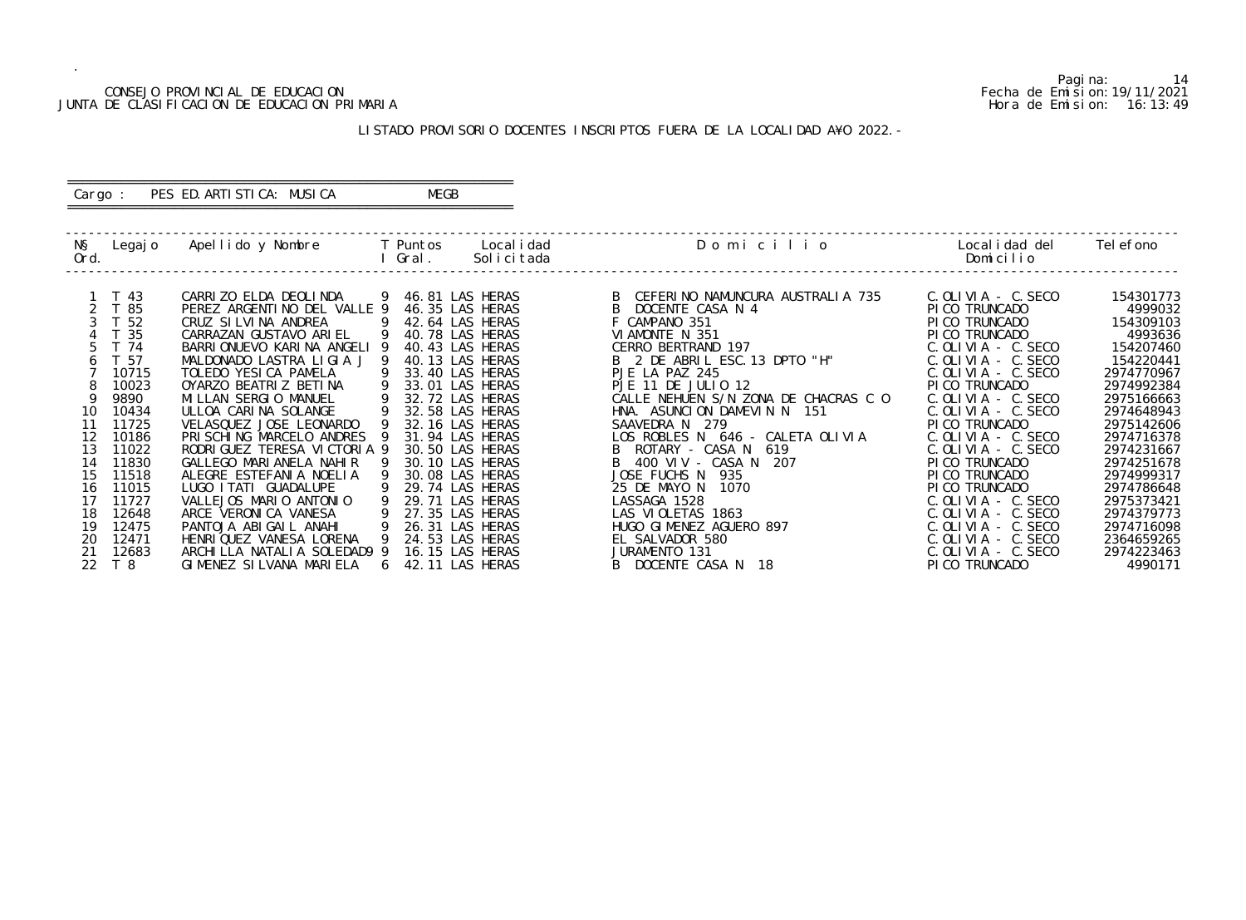#### CONSEJO PROVINCIAL DE EDUCACION Fecha de Emision:19/11/2021 JUNTA DE CLASIFICACION DE EDUCACION PRIMARIA Hora de Emision: 16:13:49

# ========================================================== Cargo : PES ED. ARTISTICA: MUSICA MEGB

# LISTADO PROVISORIO DOCENTES INSCRIPTOS FUERA DE LA LOCALIDAD A¥O 2022.-

==========================================================

| NŞ<br>Ord.     | Legaj o | Apellido y Nombre              |                 | T Puntos<br>Gral. | Local i dad<br>Solicitada | Domicilio                            | Local i dad del<br>Domicilio | Tel efono  |
|----------------|---------|--------------------------------|-----------------|-------------------|---------------------------|--------------------------------------|------------------------------|------------|
|                |         |                                |                 |                   |                           |                                      |                              |            |
|                | T 43    | CARRIZO ELDA DEOLINDA          |                 | 9 46.81 LAS HERAS |                           | CEFERINO NAMUNCURA AUSTRALIA 735     | C. OLIVIA - C. SECO          | 154301773  |
| 2 <sup>7</sup> | T 85    | PEREZ ARGENTINO DEL VALLE 9    |                 | 46.35 LAS HERAS   |                           | DOCENTE CASA N 4                     | PI CO TRUNCADO               | 4999032    |
|                | T 52    | CRUZ SILVINA ANDREA            | $\overline{9}$  | 42.64 LAS HERAS   |                           | F CAMPANO 351                        | PICO TRUNCADO                | 154309103  |
|                | T 35    | CARRAZAN GUSTAVO ARIEL         | - 9             | 40.78 LAS HERAS   |                           | VIAMONTE N 351                       | PICO TRUNCADO                | 4993636    |
|                | T 74    | BARRIONUEVO KARINA ANGELI 9    |                 | 40.43 LAS HERAS   |                           | CERRO BERTRAND 197                   | $C.$ OLIVIA - $C.$ SECO      | 154207460  |
|                | T 57    | MALDONADO LASTRA LIGIA J 9     |                 | 40.13 LAS HERAS   |                           | B 2 DE ABRIL ESC. 13 DPTO "H"        | $C.$ OLIVIA - $C.$ SECO      | 154220441  |
|                | 10715   | TOLEDO YESICA PAMELA           | 9               | 33.40 LAS HERAS   |                           | PJE LA PAZ 245                       | C. OLIVIA - C. SECO          | 2974770967 |
|                | 10023   | OYARZO BEATRIZ BETINA          |                 | 33.01 LAS HERAS   |                           | PJE 11 DE JULIO 12                   | PI CO TRUNCADO               | 2974992384 |
|                | 9890    | MILLAN SERGIO MANUEL           |                 | 32.72 LAS HERAS   |                           | CALLE NEHUEN S/N ZONA DE CHACRAS C O | $C.$ OLIVIA - $C.$ SECO      | 2975166663 |
| 10             | 10434   | ULLOA CARINA SOLANGE           | - 9             | 32.58 LAS HERAS   |                           | HNA. ASUNCION DAMEVIN N 151          | $C.$ OLIVIA - $C.$ SECO      | 2974648943 |
| 11             | 11725   | VELASQUEZ JOSE LEONARDO        |                 | 32.16 LAS HERAS   |                           | SAAVEDRA N 279                       | PI CO TRUNCADO               | 2975142606 |
| 12             | 10186   | PRISCHING MARCELO ANDRES 9     |                 | 31.94 LAS HERAS   |                           | LOS ROBLES N 646 - CALETA OLIVIA     | $C.$ OLIVIA - C. SECO        | 2974716378 |
| 13             | 11022   | RODRI GUEZ TERESA VI CTORI A 9 |                 | 30.50 LAS HERAS   |                           | ROTARY - CASA N 619                  | $C.$ OLIVIA - $C.$ SECO      | 2974231667 |
| 14             | 11830   | GALLEGO MARIANELA NAHIR        |                 | 30.10 LAS HERAS   |                           | 400 VIV - CASA N 207                 | PI CO TRUNCADO               | 2974251678 |
| 15             | 11518   | ALEGRE ESTEFANIA NOELIA        | - 9             | 30.08 LAS HERAS   |                           | JOSE FUCHS N<br>935                  | PI CO TRUNCADO               | 2974999317 |
| 16             | 11015   | LUGO I TATI GUADALUPE          |                 | 29.74 LAS HERAS   |                           | 25 DE MAYO N<br>1070                 | PI CO TRUNCADO               | 2974786648 |
| 17             | 11727   | VALLEJOS MARIO ANTONIO         |                 | 29.71 LAS HERAS   |                           | LASSAGA 1528                         | $C.$ OLIVIA - $C.$ SECO      | 2975373421 |
| 18             | 12648   | ARCE VERONICA VANESA           | -9              | 27.35 LAS HERAS   |                           | LAS VIOLETAS 1863                    | $C.$ OLIVIA - C. SECO        | 2974379773 |
| 19             | 12475   | PANTOJA ABIGAIL ANAHI          | - 9             | 26.31 LAS HERAS   |                           | HUGO GIMENEZ AGUERO 897              | $C.$ OLIVIA - $C.$ SECO      | 2974716098 |
| 20             | 12471   | HENRI QUEZ VANESA LORENA       | - 9             | 24.53 LAS HERAS   |                           | EL SALVADOR 580                      | $C.$ OLIVIA - $C.$ SECO      | 2364659265 |
| 21             | 12683   | ARCHILLA NATALIA SOLEDAD9 9    |                 | 16.15 LAS HERAS   |                           | JURAMENTO 131                        | $C.$ OLIVIA - $C.$ SECO      | 2974223463 |
| 22             | T 8     | GIMENEZ SILVANA MARIELA        | $6\overline{6}$ | 42.11 LAS HERAS   |                           | B DOCENTE CASA N 18                  | PI CO TRUNCADO               | 4990171    |

Pagina: 14<br>Fecha de Emision: 19/11/2021<br>Hora de Emision: 16: 13: 49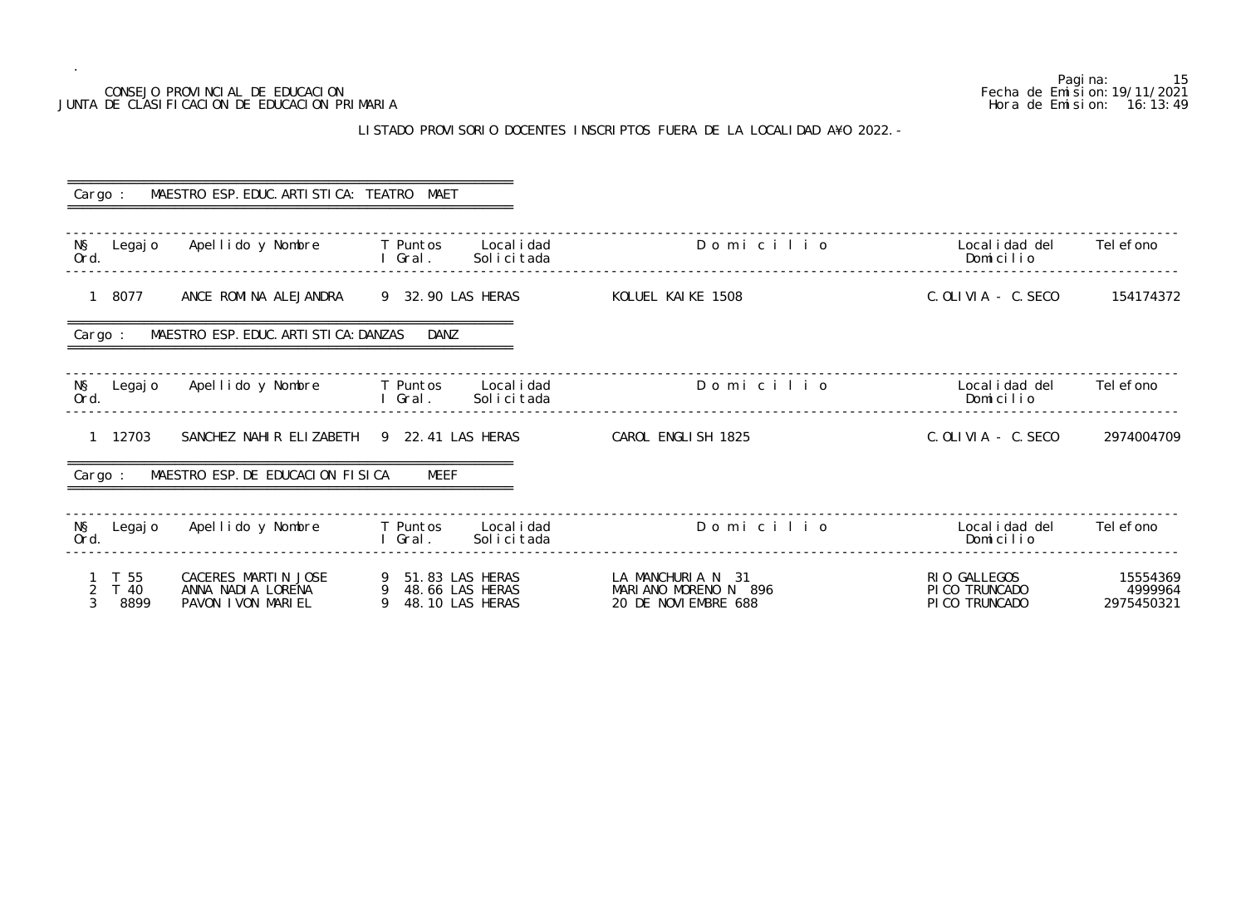## LISTADO PROVISORIO DOCENTES INSCRIPTOS FUERA DE LA LOCALIDAD A¥O 2022.-

Pagina: 15<br>Fecha de Emision: 19/11/2021 CONSEJO PROVINCIAL DE EDUCACION Fecha de Emision:19/11/2021 JUNTA DE CLASIFICACION DE EDUCACION PRIMARIA Hora de Emision: 16:13:49 ------------------------------------------------------------------------------------------------------------------------------------------------- C. OLI VIA - C. SECO 154174372 ------------------------------------------------------------------------------------------------------------------------------------------------ o 20 Localidad del 2006 Domicilio Apellidad del Regno Domicilio Norte Castro Controlleri anno 2016 Domicilio N<br>Note anno 2016 Domicilio Norte Castro Controlleri anno 2016 Domicilio Norte Castro Controlleri anno 2016 Domic ------------------------------------------------------------------------------------------------------------------------------------------------- C. OLIVIA - C. SECO 2974004709 ------------------------------------------------------------------------------------------------------------------------------------------------- -------------------------------------------------------------------------------------------------------------------------------------------------

| Cargo :                                | MAESTRO ESP. EDUC. ARTI STI CA: TEATRO MAET                    |                                                                 |                                                                   |                                                  |                                   |
|----------------------------------------|----------------------------------------------------------------|-----------------------------------------------------------------|-------------------------------------------------------------------|--------------------------------------------------|-----------------------------------|
| NŞ<br>Legaj o<br>Ord.                  | Apellido y Nombre T Puntos                                     | Local i dad<br>Solicitada<br>l Gral.                            | Domicilio                                                         | Local i dad del<br>Domicilio                     | Tel efono                         |
| 8077<br>$\mathbf{1}$                   | ANCE ROMINA ALEJANDRA                                          | 9 32.90 LAS HERAS                                               | KOLUEL KAIKE 1508                                                 | C. OLIVIA - C. SECO                              | 154174372                         |
| Cargo :                                | MAESTRO ESP. EDUC. ARTI STI CA: DANZAS                         | DANZ                                                            |                                                                   |                                                  |                                   |
| N§ Legajo<br>Ord.                      | Apellido y Nombre T Puntos Localidad                           | Solicitada<br>l Gral.                                           | Domicilio                                                         | Local i dad del<br>Domicilio                     | Tel efono                         |
| 1 12703                                | SANCHEZ NAHIR ELIZABETH 9 22.41 LAS HERAS                      |                                                                 | CAROL ENGLISH 1825                                                | C. OLIVIA - C. SECO                              | 2974004709                        |
| Cargo :                                | MAESTRO ESP. DE EDUCACION FISICA                               | MEEF                                                            |                                                                   |                                                  |                                   |
| NŞ<br>Legaj o<br>Ord.                  | Apellido y Nombre                                              | Local i dad<br><b>Example T</b> Puntos<br>I Gral.<br>Solicitada | Domicilio                                                         | Local i dad del<br>Domicilio                     | Tel efono                         |
| T 55<br>T 40<br>3 <sup>1</sup><br>8899 | CACERES MARTIN JOSE<br>ANNA NADIA LORENA<br>PAVON I VON MARIEL | 9 51.83 LAS HERAS<br>9 48.66 LAS HERAS<br>9 48.10 LAS HERAS     | LA MANCHURIA N 31<br>MARIANO MORENO N 896<br>20 DE NOVI EMBRE 688 | RIO GALLEGOS<br>PI CO TRUNCADO<br>PI CO TRUNCADO | 15554369<br>4999964<br>2975450321 |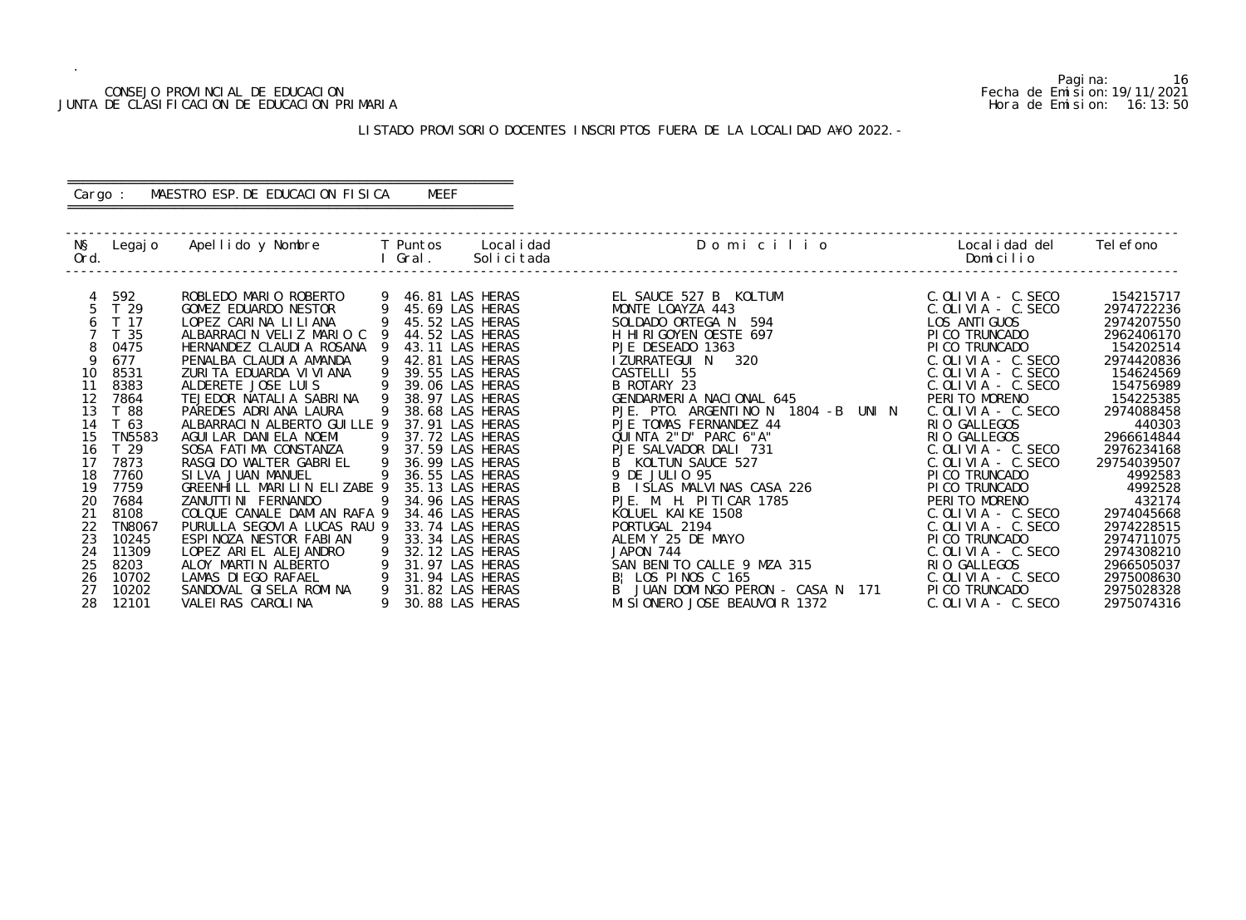#### CONSEJO PROVINCIAL DE EDUCACION Fecha de Emision:19/11/2021 JUNTA DE CLASIFICACION DE EDUCACION PRIMARIA Hora de Emision: 16:13:50

# LISTADO PROVISORIO DOCENTES INSCRIPTOS FUERA DE LA LOCALIDAD A¥O 2022.-

# ========================================================== Cargo : MAESTRO ESP.DE EDUCACION FISICA MEEF

==========================================================

| NŞ<br>Ord. | Legaj o         | Apellido y Nombre           |   | T Puntos<br>Gral. | Local i dad<br>Solicitada | Domicilio                                 | Local i dad del<br>Domicilio | Tel efono   |
|------------|-----------------|-----------------------------|---|-------------------|---------------------------|-------------------------------------------|------------------------------|-------------|
|            |                 | ROBLEDO MARIO ROBERTO       |   |                   | 46.81 LAS HERAS           |                                           | $C.$ OLIVIA - C. SECO        | 154215717   |
|            | 592<br>T 29     | GOMEZ EDUARDO NESTOR        |   |                   | 45.69 LAS HERAS           | EL SAUCE 527 B KOLTUM<br>MONTE LOAYZA 443 | $C.$ OLIVIA - $C.$ SECO      | 2974722236  |
|            | T 17            | LOPEZ CARINA LILIANA        |   |                   | 45.52 LAS HERAS           | SOLDADO ORTEGA N<br>594                   | LOS ANTI GUOS                | 2974207550  |
|            | T 35            | ALBARRACIN VELIZ MARIO C    |   |                   | 44.52 LAS HERAS           | H HIRIGOYEN OESTE 697                     | PI CO TRUNCADO               | 2962406170  |
|            | 0475            | HERNANDEZ CLAUDIA ROSANA    |   |                   | 43.11 LAS HERAS           | PJE DESEADO 1363                          | PI CO TRUNCADO               | 154202514   |
|            | 677             | PENALBA CLAUDIA AMANDA      | 9 |                   | 42.81 LAS HERAS           | I ZURRATEGUI N<br>320                     | $C.$ OLIVIA - $C.$ SECO      | 2974420836  |
| 10         | 8531            | ZURITA EDUARDA VI VI ANA    |   |                   | 39.55 LAS HERAS           | CASTELLI 55                               | $C.$ OLIVIA - $C.$ SECO      | 154624569   |
| 11         | 8383            | ALDERETE JOSE LUIS          |   |                   | 39.06 LAS HERAS           | B ROTARY 23                               | $C.$ OLIVIA - $C.$ SECO      | 154756989   |
| 12         | 7864            | TEJEDOR NATALIA SABRINA     |   |                   | 38.97 LAS HERAS           | GENDARMERIA NACIONAL 645                  | PERITO MORENO                | 154225385   |
| 13         | T 88            | PAREDES ADRIANA LAURA       |   |                   | 38.68 LAS HERAS           | PJE. PTO. ARGENTINO N 1804 -B<br>UNI N    | $C.$ OLIVIA - $C.$ SECO      | 2974088458  |
| 14         | T 63            | ALBARRACIN ALBERTO GUILLE 9 |   |                   | 37.91 LAS HERAS           | PJE TOMAS FERNANDEZ 44                    | RIO GALLEGOS                 | 440303      |
| 15         | <b>TN5583</b>   | AGUI LAR DANI ELA NOEMI     |   |                   | 37.72 LAS HERAS           | QUINTA 2"D" PARC 6"A"                     | RIO GALLEGOS                 | 2966614844  |
| 16         | T <sub>29</sub> | SOSA FATIMA CONSTANZA       | 9 |                   | 37.59 LAS HERAS           | PJE SALVADOR DALI 731                     | $C.$ OLIVIA - $C.$ SECO      | 2976234168  |
| 17         | 7873            | RASGI DO WALTER GABRI EL    | 9 |                   | 36.99 LAS HERAS           | B KOLTUN SAUCE 527                        | C. OLIVIA - C. SECO          | 29754039507 |
| 18         | 7760            | SILVA JUAN MANUEL           |   |                   | 36.55 LAS HERAS           | 9 DE JULIO 95                             | PI CO TRUNCADO               | 4992583     |
| 19         | 7759            | GREENHILL MARILIN ELIZABE 9 |   |                   | 35.13 LAS HERAS           | B ISLAS MALVINAS CASA 226                 | PICO TRUNCADO                | 4992528     |
| 20         | 7684            | ZANUTTI NI FERNANDO         |   |                   | 34.96 LAS HERAS           | PJE. M. H. PITICAR 1785                   | PERITO MORENO                | 432174      |
| 21         | 8108            | COLQUE CANALE DAMIAN RAFA 9 |   |                   | 34.46 LAS HERAS           | KOLUEL KAIKE 1508                         | $C.$ OLIVIA - $C.$ SECO      | 2974045668  |
|            | <b>TN8067</b>   | PURULLA SEGOVIA LUCAS RAU 9 |   |                   | 33.74 LAS HERAS           | PORTUGAL 2194                             | $C.$ OLIVIA - $C.$ SECO      | 2974228515  |
| 23         | 10245           | ESPINOZA NESTOR FABIAN      |   |                   | 33.34 LAS HERAS           | ALEM Y 25 DE MAYO                         | PI CO TRUNCADO               | 2974711075  |
| 24         | 11309           | LOPEZ ARIEL ALEJANDRO       |   |                   | 32.12 LAS HERAS           | JAPON 744                                 | $C.$ OLIVIA - $C.$ SECO      | 2974308210  |
| 25         | 8203            | ALOY MARTIN ALBERTO         |   |                   | 31.97 LAS HERAS           | SAN BENITO CALLE 9 MZA 315                | RIO GALLEGOS                 | 2966505037  |
| 26         | 10702           | LAMAS DI EGO RAFAEL         |   |                   | 31.94 LAS HERAS           | B! LOS PINOS C 165                        | $C.$ OLIVIA - $C.$ SECO      | 2975008630  |
| 27         | 10202           | SANDOVAL GISELA ROMINA      | 9 |                   | 31.82 LAS HERAS           | B JUAN DOMINGO PERON - CASA N 171         | PI CO TRUNCADO               | 2975028328  |
| 28         | 12101           | VALEI RAS CAROLI NA         |   |                   | 30.88 LAS HERAS           | MI SI ONERO JOSE BEAUVOIR 1372            | C. OLIVIA - C. SECO          | 2975074316  |

Pagina: 16<br>Fecha de Emision: 19/11/2021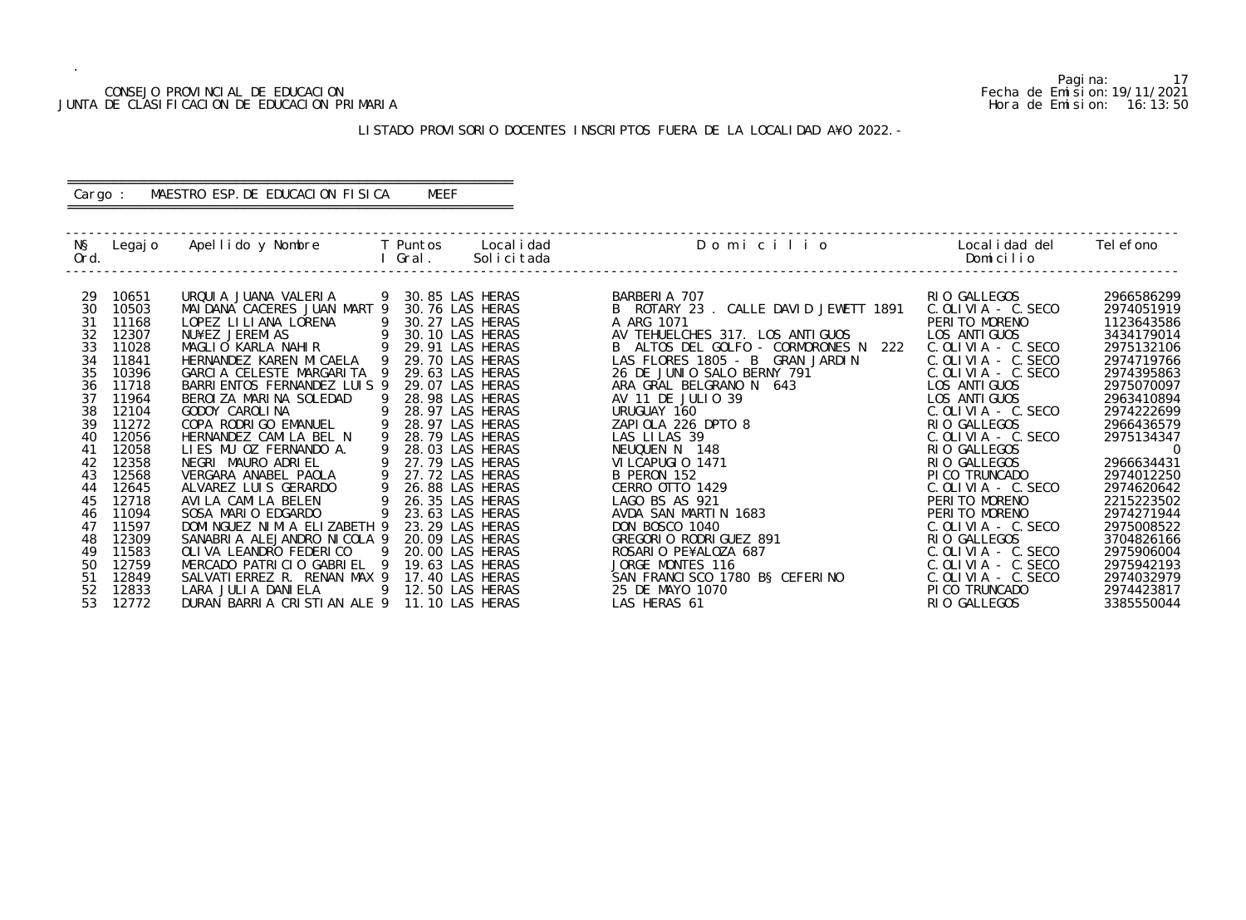#### CONSEJO PROVINCIAL DE EDUCACION Fecha de Emision:19/11/2021 JUNTA DE CLASIFICACION DE EDUCACION PRIMARIA Hora de Emision: 16:13:50

# LISTADO PROVISORIO DOCENTES INSCRIPTOS FUERA DE LA LOCALIDAD A¥O 2022.-

# ========================================================== Cargo : MAESTRO ESP.DE EDUCACION FISICA MEEF

==========================================================

| NŞ<br>Ord. | Legaj o        | Apellido y Nombre                            |    | T Puntos<br>Gral. | Local i dad<br>Solicitada          | Domicilio                             | Localidad del<br>Domicilio             | Tel efono                |
|------------|----------------|----------------------------------------------|----|-------------------|------------------------------------|---------------------------------------|----------------------------------------|--------------------------|
| 29         | 10651          | URQUI A JUANA VALERIA                        |    | 9 30.85 LAS HERAS |                                    | BARBERIA 707                          | RIO GALLEGOS                           | 2966586299               |
| 30         | 10503          | MAI DANA CACERES JUAN MART 9                 |    |                   | 30.76 LAS HERAS                    | B ROTARY 23 . CALLE DAVID JEWETT 1891 | $C.$ OLIVIA - $C.$ SECO                | 2974051919               |
| 31         | 11168          | LOPEZ LI LI ANA LORENA                       | -9 |                   | 30.27 LAS HERAS                    | A ARG 1071                            | PERITO MORENO                          | 1123643586               |
| 32         | 12307          | NU¥EZ JEREMIAS                               |    |                   | 30.10 LAS HERAS                    | AV TEHUELCHES 317. LOS ANTIGUOS       | LOS ANTI GUOS                          | 3434179014               |
| 33         | 11028          | MAGLIO KARLA NAHIR                           | 9  |                   | 29.91 LAS HERAS                    | B ALTOS DEL GOLFO - CORMORONES N 222  | $C.$ OLIVIA - $C.$ SECO                | 2975132106               |
| 34         | 11841          | HERNANDEZ KAREN MICAELA 9                    |    |                   | 29.70 LAS HERAS                    | LAS FLORES 1805 - B GRAN JARDIN       | $C.$ OLIVIA - C. SECO                  | 2974719766               |
| 35         | 10396          | GARCIA CELESTE MARGARITA 9                   |    |                   | 29.63 LAS HERAS                    | 26 DE JUNIO SALO BERNY 791            | $C.$ OLIVIA - C. SECO                  | 2974395863               |
| 36         | 11718          | BARRI ENTOS FERNANDEZ LUIS 9                 |    |                   | 29.07 LAS HERAS                    | ARA GRAL BELGRANO N 643               | LOS ANTI GUOS                          | 2975070097               |
| 37         | 11964          | BEROIZA MARINA SOLEDAD                       |    |                   | 28.98 LAS HERAS                    | AV 11 DE JULIO 39                     | LOS ANTI GUOS                          | 2963410894               |
| 38         | 12104          | GODOY CAROLINA                               | 9  |                   | 28.97 LAS HERAS                    | URUGUAY 160                           | $C.$ OLIVIA - $C.$ SECO                | 2974222699               |
| 39         | 11272          | COPA RODRIGO EMANUEL                         |    |                   | 28.97 LAS HERAS                    | ZAPIOLA 226 DPTO 8                    | RIO GALLEGOS                           | 2966436579               |
| 40         | 12056          | HERNANDEZ CAMILA BEL N                       | 9  |                   | 28.79 LAS HERAS                    | LAS LILAS 39                          | $C.$ OLIVIA - C. SECO                  | 2975134347               |
| 41         | 12058          | LIES MU OZ FERNANDO A.                       |    |                   | 28.03 LAS HERAS                    | NEUQUEN N 148                         | RIO GALLEGOS                           | $\overline{0}$           |
| 42         | 12358          | NEGRI MAURO ADRIEL                           |    |                   | 27.79 LAS HERAS                    | VILCAPUGIO 1471                       | RIO GALLEGOS                           | 2966634431               |
| 43         | 12568          | VERGARA ANABEL PAOLA<br>ALVAREZ LUIS GERARDO | 9  |                   | 27.72 LAS HERAS                    | B PERON 152<br>CERRO OTTO 1429        | PI CO TRUNCADO                         | 2974012250               |
| 44<br>45   | 12645<br>12718 | AVILA CAMILA BELEN                           |    |                   | 26.88 LAS HERAS<br>26.35 LAS HERAS | LAGO BS AS 921                        | $C.$ OLIVIA - C. SECO<br>PERITO MORENO | 2974620642<br>2215223502 |
| 46         | 11094          | SOSA MARIO EDGARDO                           | 9  |                   | 23.63 LAS HERAS                    | AVDA SAN MARTIN 1683                  | PERITO MORENO                          | 2974271944               |
| 47         | 11597          | DOMINGUEZ NIMIA ELIZABETH 9                  |    |                   | 23.29 LAS HERAS                    | DON BOSCO 1040                        | $C.$ OLIVIA - $C.$ SECO                | 2975008522               |
| 48         | 12309          | SANABRIA ALEJANDRO NICOLA 9                  |    |                   | 20.09 LAS HERAS                    | GREGORIO RODRIGUEZ 891                | RIO GALLEGOS                           | 3704826166               |
| 49         | 11583          | OLIVA LEANDRO FEDERICO                       | -9 |                   | 20.00 LAS HERAS                    | ROSARIO PE¥ALOZA 687                  | $C.$ OLIVIA - $C.$ SECO                | 2975906004               |
| 50         | 12759          | MERCADO PATRICIO GABRIEL 9                   |    | 19.63 LAS HERAS   |                                    | JORGE MONTES 116                      | $C.$ OLIVIA - $C.$ SECO                | 2975942193               |
| 51         | 12849          | SALVATI ERREZ R. RENAN MAX 9                 |    |                   | 17.40 LAS HERAS                    | SAN FRANCISCO 1780 BS CEFERINO        | $C.$ OLIVIA - $C.$ SECO                | 2974032979               |
| 52         | 12833          | LARA JULIA DANIELA                           | 9  |                   | 12.50 LAS HERAS                    | 25 DE MAYO 1070                       | PI CO TRUNCADO                         | 2974423817               |
| 53         | 12772          | DURAN BARRIA CRISTIAN ALE 9                  |    |                   | 11.10 LAS HERAS                    | LAS HERAS 61                          | RIO GALLEGOS                           | 3385550044               |

Pagina: 17<br>Fecha de Emision: 19/11/2021<br>Hora de Emision: 16: 13: 50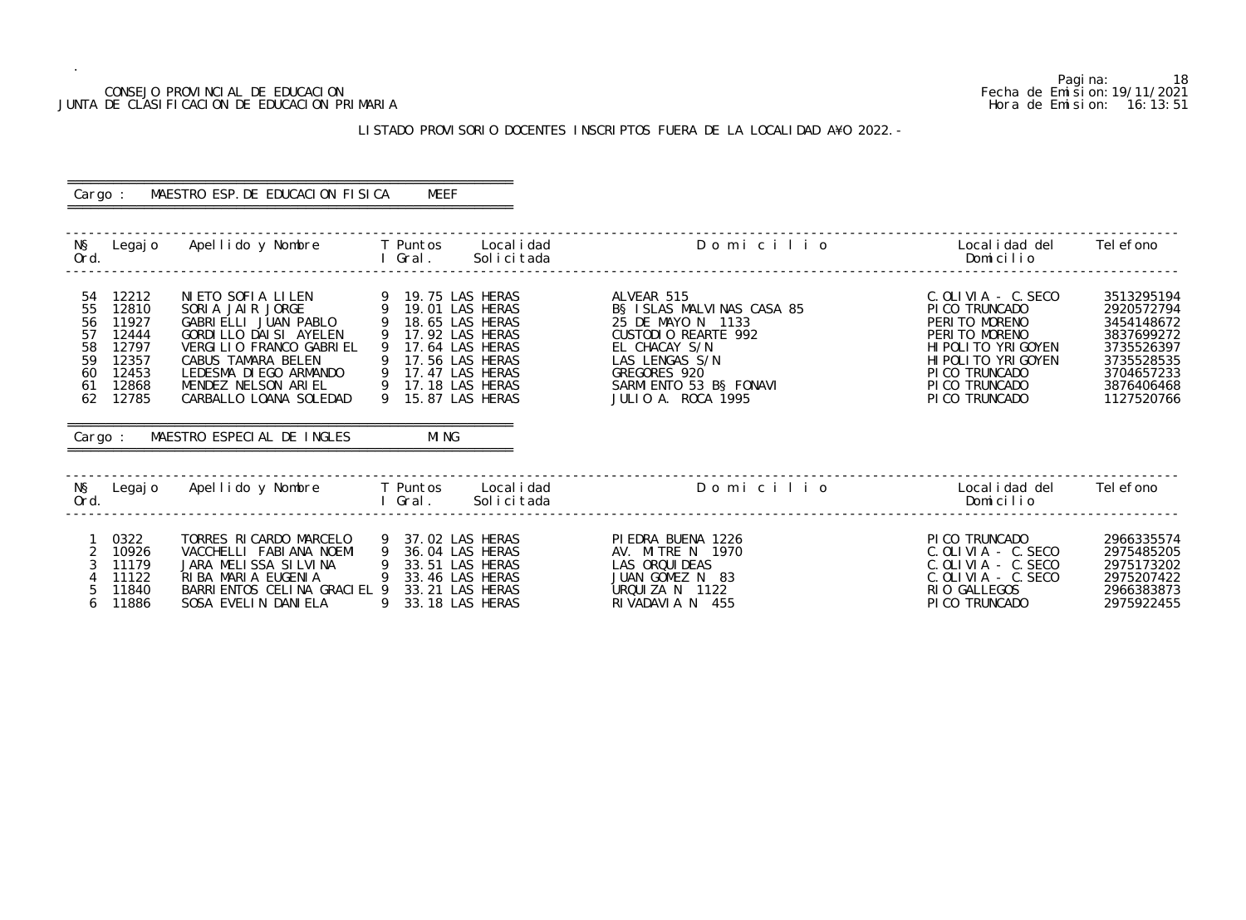#### CONSEJO PROVINCIAL DE EDUCACION Fecha de Emision:19/11/2021 JUNTA DE CLASIFICACION DE EDUCACION PRIMARIA Hora de Emision: 16:13:51

# LISTADO PROVISORIO DOCENTES INSCRIPTOS FUERA DE LA LOCALIDAD A¥O 2022.-

| Cargo :                                                                                                                                  | MAESTRO ESP. DE EDUCACION FISICA                                                                                                                                                                                                                                                                                                                                                | MEEF                                                        |                                                                                                                                                                                         |                                                                                                                                                                                  |                                                                                                                            |
|------------------------------------------------------------------------------------------------------------------------------------------|---------------------------------------------------------------------------------------------------------------------------------------------------------------------------------------------------------------------------------------------------------------------------------------------------------------------------------------------------------------------------------|-------------------------------------------------------------|-----------------------------------------------------------------------------------------------------------------------------------------------------------------------------------------|----------------------------------------------------------------------------------------------------------------------------------------------------------------------------------|----------------------------------------------------------------------------------------------------------------------------|
| Ord.                                                                                                                                     | N§ Legajo Apellido y Nombre T Puntos Localidad<br><u>and the second second second second second second second second second second second second second second second second second second second second second second second second second second second second second second sec</u>                                                                                          | Solicitada                                                  | Domicilio                                                                                                                                                                               | Localidad del Telefono<br>Domicilio                                                                                                                                              |                                                                                                                            |
| 54 12212<br>55<br>12810<br>56<br>11927<br>57<br>12444<br>58<br>12797<br>59<br>12357<br>60<br>12453<br>61 12868<br>62<br>12785<br>Cargo : | NIETO SOFIA LILEN 9 19.75 LAS HERAS<br>SORIA JAIR JORGE 9 19.01 LAS HERAS<br>GABRIELLI JUAN PABLO 9 18.65 LAS HERAS<br>GORDILLO DAISI AYELEN<br>VERGILIO FRANCO GABRIEL<br>CABUS TAMARA BELEN (17.56 LAS HERAS<br>LEDESMA DIEGO ARMANDO (9 17.47 LAS HERAS<br>MENDEZ NELSON ARIEL (9 17.18 LAS HERAS<br>CARBALLO LOANA SOLEDAD (9 15.87 LAS HERAS<br>MAESTRO ESPECIAL DE INGLES | 9 17.92 LAS HERAS<br>9 17.64 LAS HERAS<br>MI NG             | ALVEAR 515<br>B§ ISLAS MALVINAS CASA 85<br>25 DE MAYO N 1133<br>CUSTODIO REARTE 992<br>EL CHACAY S/N<br>LAS LENGAS S/N<br>GREGORES 920<br>SARMI ENTO 53 B§ FONAVI<br>JULIO A. ROCA 1995 | $C.$ OLIVIA - $C.$ SECO<br>PI CO TRUNCADO<br>PERITO MORENO<br>PERITO MORENO<br>HI POLI TO YRI GOYEN<br>HI POLI TO YRI GOYEN<br>PI CO TRUNCADO<br>PI CO TRUNCADO<br>PICO TRUNCADO | 3513295194<br>2920572794<br>3454148672<br>3837699272<br>3735526397<br>3735528535<br>3704657233<br>3876406468<br>1127520766 |
|                                                                                                                                          |                                                                                                                                                                                                                                                                                                                                                                                 |                                                             |                                                                                                                                                                                         |                                                                                                                                                                                  |                                                                                                                            |
| Ord.                                                                                                                                     |                                                                                                                                                                                                                                                                                                                                                                                 | I Gral. Solicitada                                          | N§ Legajo Apellido y Nombre T Puntos Localidad Domicilio Domiculio Localidad del Telefono                                                                                               | Domicilio                                                                                                                                                                        |                                                                                                                            |
| 0322<br>$2^{\circ}$<br>10926<br>3<br>11179<br>11122<br>11840<br>5<br>11886<br>6                                                          | TORRES RICARDO MARCELO<br>VACCHELLI FABIANA NOEMI<br>JARA MELISSA SILVINA 9 33.51 LAS HERAS<br>RIBA MARIA EUGENIA 9 33.46 LAS HERAS<br>BARRI ENTOS CELINA GRACI EL 9 33.21 LAS HERAS<br>SOSA EVELIN DANIELA                                                                                                                                                                     | 9 37.02 LAS HERAS<br>9 36.04 LAS HERAS<br>9 33.18 LAS HERAS | PIEDRA BUENA 1226<br>AV. MITRE N 1970<br>LAS ORQUI DEAS<br>JUAN GOMEZ N 83<br>URQUIZA N 1122<br>RIVADAVIA N 455                                                                         | PICO TRUNCADO<br>C. OLIVIA - C. SECO<br>C. OLIVIA - C. SECO<br>$C.$ OLIVIA - $C.$ SECO<br>RIO GALLEGOS<br>PICO TRUNCADO                                                          | 2966335574<br>2975485205<br>2975173202<br>2975207422<br>2966383873<br>2975922455                                           |

Pagina: 18<br>Fecha de Emision: 19/11/2021<br>Hora de Emision: 16:13:51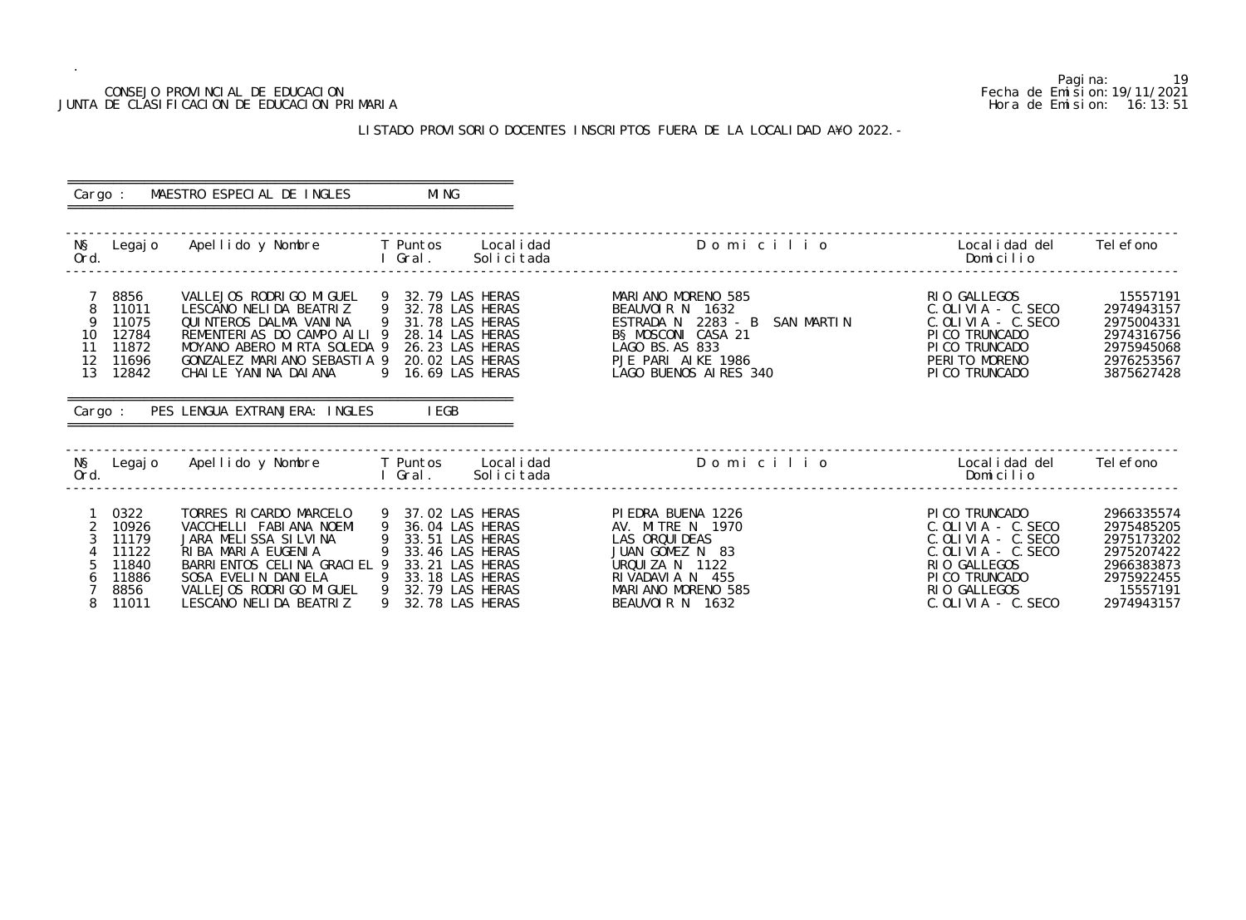# Pagina: 19 CONSEJO PROVINCIAL DE EDUCACION Fecha de Emision:19/11/2021

## LISTADO PROVISORIO DOCENTES INSCRIPTOS FUERA DE LA LOCALIDAD A¥O 2022.-

JUNTA DE CLASIFICACION DE EDUCACION PRIMARIA **Hora de Emision:** 16:13:51 o Localidad del Telefono<br>Domicilio ------------------------------------------------------------------------------------------------------------------------------------------------- 8 11011 C.OLIVIA - C.SECO 2974943157<br>1975004331 C.OLIVIA - C.SECO 0 127 11075 C.OLIVIA - C. SECO 2975004331.<br>PICO TRUNCADO 2974316756 ------------------------------------------------------------------------------------------------------------------------------------------------ o 20 Localidad del 2006 Localidad del Nombre T Puntos Localidad del 2006 Localidad del Telefono e l<br>Nomi cilio -------------------------------------------------------------------------------------------------------------------------------------------------

| Cargo :                                                                                                | MAESTRO ESPECIAL DE INGLES                                                                                                                                                                                                                                                                                                        | MI NG                                                          |            |                                                                                                                                                                |                                                                                                                                                                  |                                                                                                            |
|--------------------------------------------------------------------------------------------------------|-----------------------------------------------------------------------------------------------------------------------------------------------------------------------------------------------------------------------------------------------------------------------------------------------------------------------------------|----------------------------------------------------------------|------------|----------------------------------------------------------------------------------------------------------------------------------------------------------------|------------------------------------------------------------------------------------------------------------------------------------------------------------------|------------------------------------------------------------------------------------------------------------|
| Ord.                                                                                                   | N§ Legajo Apellido y Nombre T Puntos Localidad<br><b>Example 2019</b> The Contract of Contract of Contract of Contract of Contract of Contract of Contract of Contract o                                                                                                                                                          |                                                                | Solicitada | Domicilio                                                                                                                                                      | Localidad del<br>Domicilio                                                                                                                                       | Tel efono                                                                                                  |
| 8856<br>$7\overline{ }$<br>8<br>11011<br>9<br>11075<br>10 12784<br>11 11872<br>12 11696<br>13<br>12842 | VALLEJOS RODRIGO MIGUEL 9 32.79 LAS HERAS<br>LESCANO NELIDA BEATRIZ 9 32.78 LAS HERAS<br>QUINTEROS DALMA VANINA<br>REMENTERIAS DO CAMPO AILI 9 28.14 LAS HERAS<br>MOYANO ABERO MIRTA SOLEDA 9 26.23 LAS HERAS<br>GONZALEZ MARIANO SEBASTIA 9 20.02 LAS HERAS<br>CHAILE YANINA DAIANA<br>Cargo: PES LENGUA EXTRANJERA: INGLES IEGB | 9 31.78 LAS HERAS<br>9 16.69 LAS HERAS                         |            | MARIANO MORENO 585<br>BEAUVOIR N 1632<br>ESTRADA N 2283 - B SAN MARTIN<br>BS MOSCONI CASA 21<br>LAGO BS. AS 833<br>PJE PARI AIKE 1986<br>LAGO BUENOS ALRES 340 | RIO GALLEGOS<br>C. OLI VI A - C. SECO<br>$C.$ OLIVIA - C. SECO<br>PICO TRUNCADO<br>PICO TRUNCADO<br>PERITO MORENO<br>PICO TRUNCADO                               | 15557191<br>2974943157<br>2975004331<br>2974316756<br>2975945068<br>2976253567<br>3875627428               |
| Ord.                                                                                                   |                                                                                                                                                                                                                                                                                                                                   | I Gral.                                                        | Solicitada | N§ Legajo Apellido y Nombre T Puntos Localidad N§ Domicilio                                                                                                    | Localidad del       Telefono<br>Domicilio                                                                                                                        |                                                                                                            |
| 0322<br>$\overline{2}$<br>10926<br>3<br>11179<br>11122<br>11840<br>11886<br>8856<br>11011              | TORRES RICARDO MARCELO 9 37.02 LAS HERAS<br>VACCHELLI FABIANA NOEMI<br>JARA MELISSA SILVINA 9 33.51 LAS HERAS<br>RIBA MARIA EUGENIA<br>BARRI ENTOS CELINA GRACI EL 9 33.21 LAS HERAS<br>SOSA EVELIN DANIELA 9 33.18 LAS HERAS<br>VALLEJOS RODRIGO MIGUEL 9 32.79 LAS HERAS<br>LESCANO NELIDA BEATRIZ                              | 9 36.04 LAS HERAS<br>9 33.46 LAS HERAS<br>9<br>32.78 LAS HERAS |            | PIEDRA BUENA 1226<br>AV. MITRE N 1970<br>LAS ORQUI DEAS<br>JUAN GOMEZ N 83<br>URQUIZA N 1122<br>RIVADAVIA N 455<br>MARIANO MORENO 585<br>BEAUVOIR N 1632       | PICO TRUNCADO<br>C. OLI VI A - C. SECO<br>$C.$ OLIVIA - $C.$ SECO<br>C. OLIVIA - C. SECO<br>RIO GALLEGOS<br>PICO TRUNCADO<br>RIO GALLEGOS<br>C. OLIVIA - C. SECO | 2966335574<br>2975485205<br>2975173202<br>2975207422<br>2966383873<br>2975922455<br>15557191<br>2974943157 |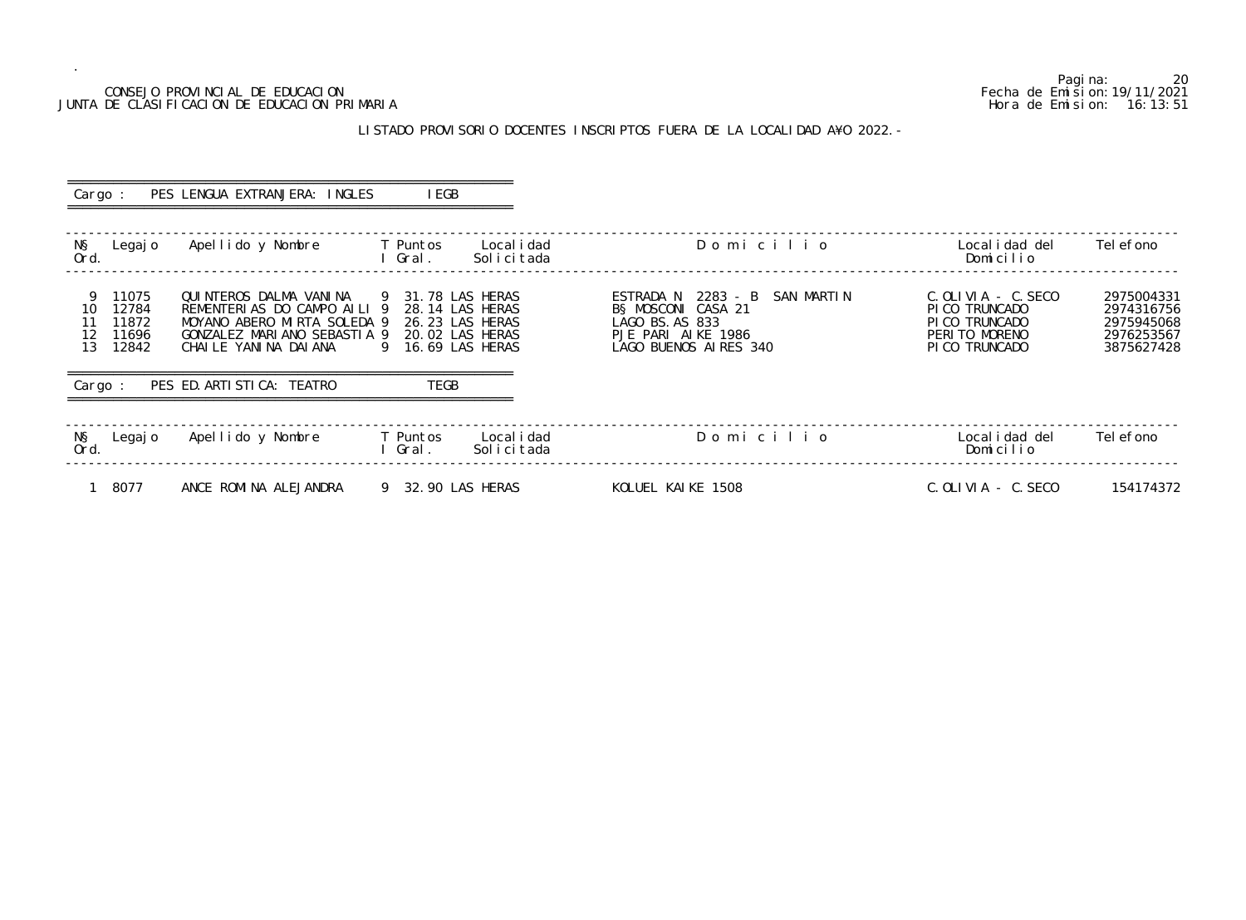#### CONSEJO PROVINCIAL DE EDUCACION Fecha de Emision:19/11/2021 JUNTA DE CLASIFICACION DE EDUCACION PRIMARIA Hora de Emision: 16:13:51

# LISTADO PROVISORIO DOCENTES INSCRIPTOS FUERA DE LA LOCALIDAD A¥O 2022.-

| Cargo :                                                                     | PES LENGUA EXTRANJERA: INGLES                                                                                                                                                                | I EGB                                                                                        |                                                                                                                       |                                                                                                |                                                                    |
|-----------------------------------------------------------------------------|----------------------------------------------------------------------------------------------------------------------------------------------------------------------------------------------|----------------------------------------------------------------------------------------------|-----------------------------------------------------------------------------------------------------------------------|------------------------------------------------------------------------------------------------|--------------------------------------------------------------------|
| NŞ<br>Legaj o<br>Ord.                                                       | Apellido y Nombre                                                                                                                                                                            | T Puntos<br>Local i dad<br>Gral.<br>Solicitada                                               | Domicilio                                                                                                             | Local i dad del<br>Domicilio                                                                   | Tel efono                                                          |
| 11075<br>12784<br>10<br>11872<br>11<br>12<br>11696<br>13<br>12842<br>Cargo: | QUINTEROS DALMA VANINA 9 31.78 LAS HERAS<br>REMENTERIAS DO CAMPO AILI 9<br>MOYANO ABERO MIRTA SOLEDA 9<br>GONZALEZ MARIANO SEBASTIA 9<br>CHAILE YANINA DAIANA<br>PES ED. ARTI STI CA: TEATRO | 28.14 LAS HERAS<br>26.23 LAS HERAS<br>20.02 LAS HERAS<br>16.69 LAS HERAS<br>9<br><b>TEGB</b> | ESTRADA N 2283 - B SAN MARTIN<br>B§ MOSCONI CASA 21<br>LAGO BS. AS 833<br>PJE PARI AIKE 1986<br>LAGO BUENOS AIRES 340 | $C.$ OLIVIA - $C.$ SECO<br>PI CO TRUNCADO<br>PI CO TRUNCADO<br>PERITO MORENO<br>PI CO TRUNCADO | 2975004331<br>2974316756<br>2975945068<br>2976253567<br>3875627428 |
| NŞ<br>Legaj o<br>Ord.                                                       | Apellido y Nombre                                                                                                                                                                            | Local i dad<br>T Puntos<br>Gral.<br>Solicitada                                               | Domicilio                                                                                                             | Local i dad del<br>Domicilio                                                                   | Tel efono                                                          |
| 8077                                                                        | ANCE ROMINA ALEJANDRA                                                                                                                                                                        | 9 32.90 LAS HERAS                                                                            | KOLUEL KAIKE 1508                                                                                                     | $C.$ OLIVIA - $C.$ SECO                                                                        | 154174372                                                          |

20<br>Fecha de Emision: 19/11/2021<br>Hora de Emision: 16: 13: 51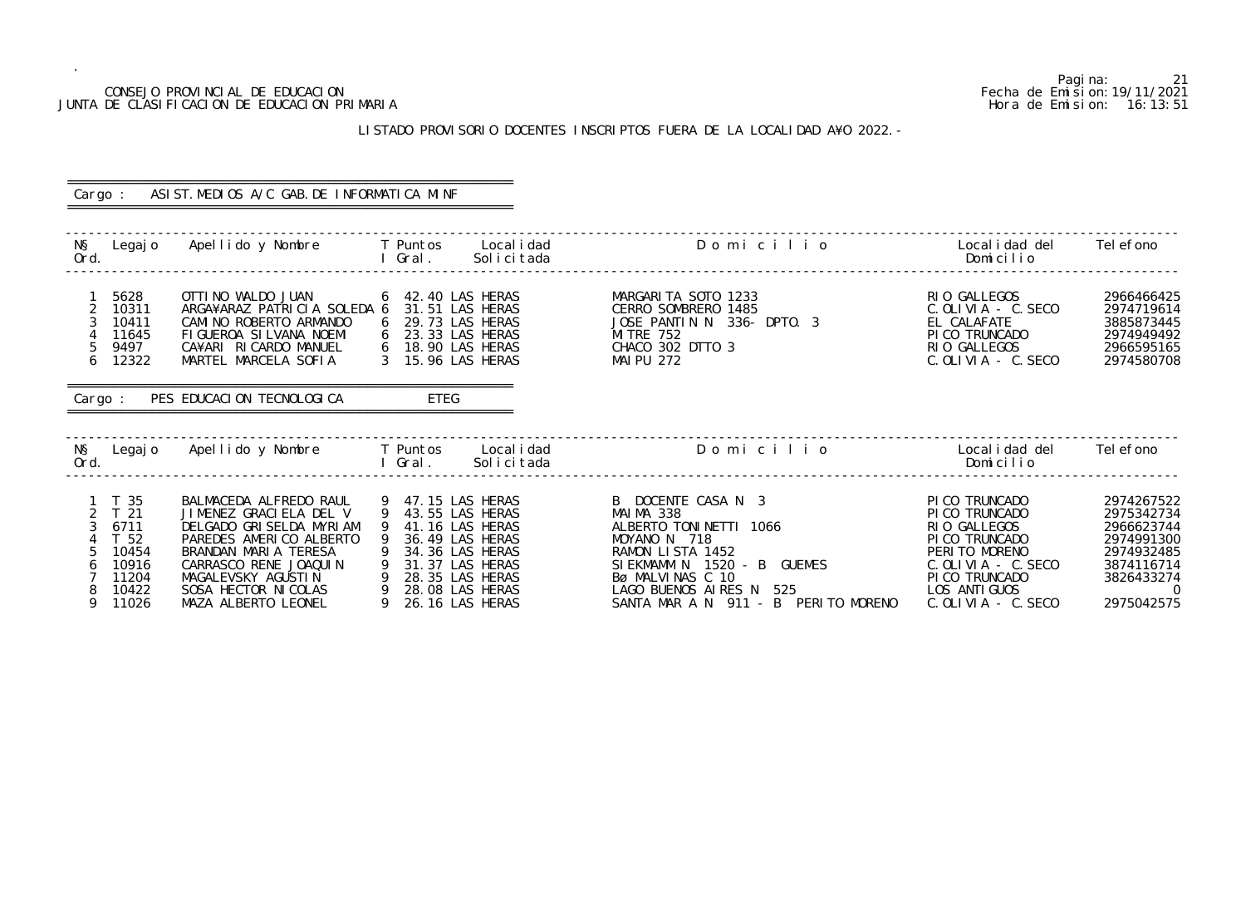|            |                                                                                                 | CONSEJO PROVINCIAL DE EDUCACION<br>JUNTA DE CLASIFICACION DE EDUCACION PRIMARIA                                                                                                                                                |                   |                                                                                                                                                                         |                                                                                                                                                                                                                   | Hora de Emision:                                                                                                                                                          | Pagi na:<br>-21<br>Fecha de Emi si on: 19/11/2021<br>16:13:51                                                |
|------------|-------------------------------------------------------------------------------------------------|--------------------------------------------------------------------------------------------------------------------------------------------------------------------------------------------------------------------------------|-------------------|-------------------------------------------------------------------------------------------------------------------------------------------------------------------------|-------------------------------------------------------------------------------------------------------------------------------------------------------------------------------------------------------------------|---------------------------------------------------------------------------------------------------------------------------------------------------------------------------|--------------------------------------------------------------------------------------------------------------|
|            |                                                                                                 |                                                                                                                                                                                                                                |                   |                                                                                                                                                                         | LISTADO PROVISORIO DOCENTES INSCRIPTOS FUERA DE LA LOCALIDAD A¥O 2022. -                                                                                                                                          |                                                                                                                                                                           |                                                                                                              |
|            |                                                                                                 |                                                                                                                                                                                                                                |                   |                                                                                                                                                                         |                                                                                                                                                                                                                   |                                                                                                                                                                           |                                                                                                              |
| Cargo :    |                                                                                                 | ASIST. MEDIOS A/C GAB. DE INFORMATICA MINF                                                                                                                                                                                     |                   |                                                                                                                                                                         |                                                                                                                                                                                                                   |                                                                                                                                                                           |                                                                                                              |
|            |                                                                                                 |                                                                                                                                                                                                                                |                   |                                                                                                                                                                         |                                                                                                                                                                                                                   |                                                                                                                                                                           |                                                                                                              |
| NŞ<br>Ord. | Legaj o                                                                                         | Apellido y Nombre                                                                                                                                                                                                              | T Puntos<br>Gral. | Local i dad<br>Solicitada                                                                                                                                               | Domicilio                                                                                                                                                                                                         | Local i dad del<br>Domicilio                                                                                                                                              | Tel efono                                                                                                    |
|            | 5628<br>10311<br>10411<br>11645<br>9497<br>12322                                                | OTTI NO WALDO JUAN<br>ARGA¥ARAZ PATRICIA SOLEDA 6<br>CAMINO ROBERTO ARMANDO<br>FIGUEROA SILVANA NOEMI<br>CA¥ARI RICARDO MANUEL<br>MARTEL MARCELA SOFIA                                                                         |                   | 42.40 LAS HERAS<br>31.51 LAS HERAS<br>29.73 LAS HERAS<br>23.33 LAS HERAS<br>18.90 LAS HERAS<br>15.96 LAS HERAS                                                          | MARGARITA SOTO 1233<br>CERRO SOMBRERO<br>1485<br>JOSE PANTIN N<br>336- DPT0. 3<br><b>MI TRE 752</b><br>CHACO 302 DTTO 3<br><b>MAI PU 272</b>                                                                      | RIO GALLEGOS<br>$C.$ OLIVIA - C. SECO<br>EL CALAFATE<br>PI CO TRUNCADO<br>RIO GALLEGOS<br>C. OLIVIA - C. SECO                                                             | 2966466425<br>2974719614<br>3885873445<br>2974949492<br>2966595165<br>2974580708                             |
| Cargo:     |                                                                                                 | PES EDUCACION TECNOLOGICA                                                                                                                                                                                                      |                   | ETEG                                                                                                                                                                    |                                                                                                                                                                                                                   |                                                                                                                                                                           |                                                                                                              |
|            |                                                                                                 |                                                                                                                                                                                                                                |                   |                                                                                                                                                                         |                                                                                                                                                                                                                   |                                                                                                                                                                           |                                                                                                              |
| NŞ<br>Ord. | Legaj o                                                                                         | Apellido y Nombre                                                                                                                                                                                                              | T Puntos<br>Gral. | Local i dad<br>Solicitada                                                                                                                                               | Domicilio                                                                                                                                                                                                         | Local i dad del<br>Domicilio                                                                                                                                              | Tel efono                                                                                                    |
| 8<br>9     | T 35<br>T <sub>21</sub><br>6711<br>T <sub>52</sub><br>10454<br>10916<br>11204<br>10422<br>11026 | BALMACEDA ALFREDO RAUL<br>JIMENEZ GRACIELA DEL V<br>DELGADO GRI SELDA MYRI AM<br>PAREDES AMERICO ALBERTO<br>BRANDAN MARIA TERESA<br>CARRASCO RENE JOAQUIN<br>MAGALEVSKY AGUSTIN<br>SOSA HECTOR NI COLAS<br>MAZA ALBERTO LEONEL |                   | 47.15 LAS HERAS<br>43.55 LAS HERAS<br>41.16 LAS HERAS<br>36.49 LAS HERAS<br>34.36 LAS HERAS<br>31.37 LAS HERAS<br>28.35 LAS HERAS<br>28.08 LAS HERAS<br>26.16 LAS HERAS | B DOCENTE CASA N 3<br>MAIMA 338<br>ALBERTO TONINETTI 1066<br>MOYANO N 718<br>RAMON LISTA 1452<br>SIEKMAMM N 1520 - B GUEMES<br>Bø MALVINAS C 10<br>LAGO BUENOS AIRES N 525<br>SANTA MAR A N 911 - B PERITO MORENO | PI CO TRUNCADO<br>PICO TRUNCADO<br>RIO GALLEGOS<br>PI CO TRUNCADO<br>PERITO MORENO<br>$C.$ OLIVIA - $C.$ SECO<br>PI CO TRUNCADO<br>LOS ANTI GUOS<br>$C.$ OLIVIA - C. SECO | 2974267522<br>2975342734<br>2966623744<br>2974991300<br>2974932485<br>3874116714<br>3826433274<br>2975042575 |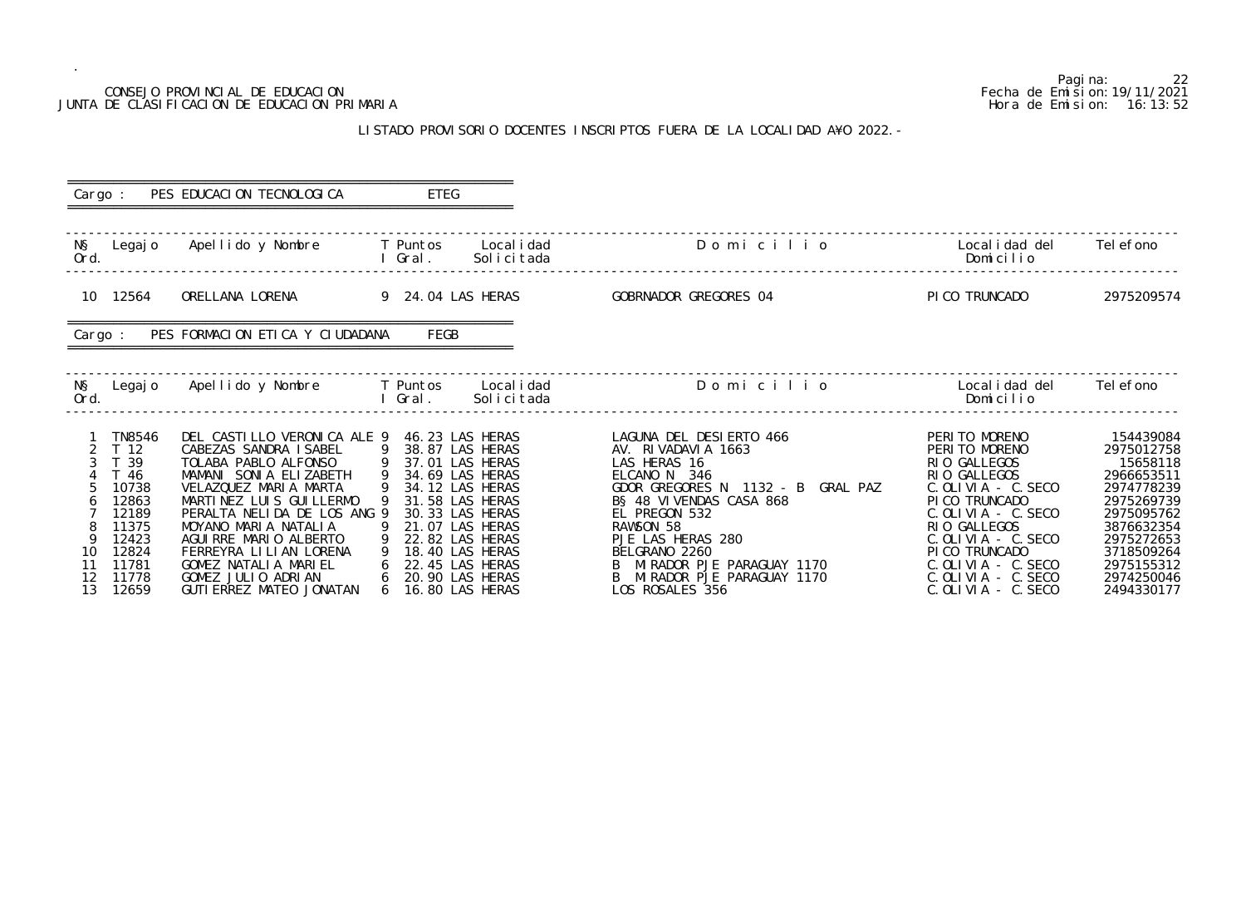## CONSEJO PROVINCIAL DE EDUCACION JUNTA DE CLASIFICACION DE EDUCACION PRIMARIA

.

#### LISTADO PROVISORIO DOCENTES INSCRIPTOS FUERA DE LA LOCALIDAD

|                                                                                                                                                                        | CONSEJO PROVINCIAL DE EDUCACION<br>JUNTA DE CLASIFICACION DE EDUCACION PRIMARIA                                                                                                                                                                                                                                                                                | 22<br>Pagi na:<br>Fecha de Emi si on: 19/11/2021<br>Hora de Emision: 16:13:52                        |                                                                                                                                                      |                                                                                                                                                                                                                                                                                                  |                                                                                                                                                                                                                                                                                |                                                                                                                                                                                 |
|------------------------------------------------------------------------------------------------------------------------------------------------------------------------|----------------------------------------------------------------------------------------------------------------------------------------------------------------------------------------------------------------------------------------------------------------------------------------------------------------------------------------------------------------|------------------------------------------------------------------------------------------------------|------------------------------------------------------------------------------------------------------------------------------------------------------|--------------------------------------------------------------------------------------------------------------------------------------------------------------------------------------------------------------------------------------------------------------------------------------------------|--------------------------------------------------------------------------------------------------------------------------------------------------------------------------------------------------------------------------------------------------------------------------------|---------------------------------------------------------------------------------------------------------------------------------------------------------------------------------|
|                                                                                                                                                                        |                                                                                                                                                                                                                                                                                                                                                                |                                                                                                      |                                                                                                                                                      | LISTADO PROVISORIO DOCENTES INSCRIPTOS FUERA DE LA LOCALIDAD A¥O 2022. -                                                                                                                                                                                                                         |                                                                                                                                                                                                                                                                                |                                                                                                                                                                                 |
| Cargo :                                                                                                                                                                | PES EDUCACION TECNOLOGICA                                                                                                                                                                                                                                                                                                                                      | ETEG                                                                                                 |                                                                                                                                                      |                                                                                                                                                                                                                                                                                                  |                                                                                                                                                                                                                                                                                |                                                                                                                                                                                 |
| NŞ<br>Legaj o<br>Ord.                                                                                                                                                  | Apellido y Nombre                                                                                                                                                                                                                                                                                                                                              | Gral.                                                                                                | T Puntos Localidad<br>Solicitada                                                                                                                     | Domicilio                                                                                                                                                                                                                                                                                        | Local i dad del<br>Domicilio                                                                                                                                                                                                                                                   | Tel efono                                                                                                                                                                       |
| 10 12564                                                                                                                                                               | ORELLANA LORENA                                                                                                                                                                                                                                                                                                                                                | 9 24.04 LAS HERAS                                                                                    |                                                                                                                                                      | GOBRNADOR GREGORES 04                                                                                                                                                                                                                                                                            | PI CO TRUNCADO                                                                                                                                                                                                                                                                 | 2975209574                                                                                                                                                                      |
| Cargo :                                                                                                                                                                | PES FORMACION ETICA Y CIUDADANA                                                                                                                                                                                                                                                                                                                                | FEGB                                                                                                 |                                                                                                                                                      |                                                                                                                                                                                                                                                                                                  |                                                                                                                                                                                                                                                                                |                                                                                                                                                                                 |
| NŞ<br>Legaj o<br>Ord.                                                                                                                                                  | Apellido y Nombre                                                                                                                                                                                                                                                                                                                                              | T Puntos<br>Gral.                                                                                    | Local i dad<br>Solicitada                                                                                                                            | Domicilio                                                                                                                                                                                                                                                                                        | Local i dad del<br>Domicilio                                                                                                                                                                                                                                                   | Tel efono                                                                                                                                                                       |
| <b>TN8546</b><br>T <sub>12</sub><br>39<br>T 46<br>10738<br>12863<br>12189<br>11375<br>12423<br>12824<br>10<br>11781<br>11<br>$12 \overline{ }$<br>11778<br>12659<br>13 | DEL CASTILLO VERONICA ALE 9 46.23 LAS HERAS<br>CABEZAS SANDRA ISABEL<br>TOLABA PABLO ALFONSO<br>MAMANI SONIA ELIZABETH<br>VELAZQUEZ MARIA MARTA<br>MARTINEZ LUIS GUILLERMO<br>PERALTA NELIDA DE LOS ANG 9<br>MOYANO MARIA NATALIA<br>AGUIRRE MARIO ALBERTO<br>FERREYRA LILIAN LORENA<br>GOMEZ NATALIA MARIEL<br>GOMEZ JULIO ADRIAN<br>GUTI ERREZ MATEO JONATAN | 9 38.87 LAS HERAS<br>9 37.01 LAS HERAS<br>9 34.69 LAS HERAS<br>9<br>9<br>6<br>6<br>6 16.80 LAS HERAS | 34.12 LAS HERAS<br>31.58 LAS HERAS<br>30.33 LAS HERAS<br>21.07 LAS HERAS<br>22.82 LAS HERAS<br>18.40 LAS HERAS<br>22.45 LAS HERAS<br>20.90 LAS HERAS | LAGUNA DEL DESIERTO 466<br>AV. RIVADAVIA 1663<br>LAS HERAS 16<br>ELCANO N 346<br>GDOR GREGORES N 1132 - B GRAL PAZ<br>B§ 48 VIVENDAS CASA 868<br>EL PREGON 532<br>RAWSON 58<br>PJE LAS HERAS 280<br>BELGRANO 2260<br>B MIRADOR PJE PARAGUAY 1170<br>MIRADOR PJE PARAGUAY 1170<br>LOS ROSALES 356 | PERITO MORENO<br>PERITO MORENO<br>RIO GALLEGOS<br>RIO GALLEGOS<br>C. OLIVIA - C. SECO<br>PICO TRUNCADO<br>$C.$ OLIVIA - $C.$ SECO<br>RIO GALLEGOS<br>$C.$ OLIVIA - $C.$ SECO<br>PICO TRUNCADO<br>$C.$ OLIVIA - $C.$ SECO<br>$C.$ OLIVIA - $C.$ SECO<br>$C.$ OLIVIA $-$ C. SECO | 154439084<br>2975012758<br>15658118<br>2966653511<br>2974778239<br>2975269739<br>2975095762<br>3876632354<br>2975272653<br>3718509264<br>2975155312<br>2974250046<br>2494330177 |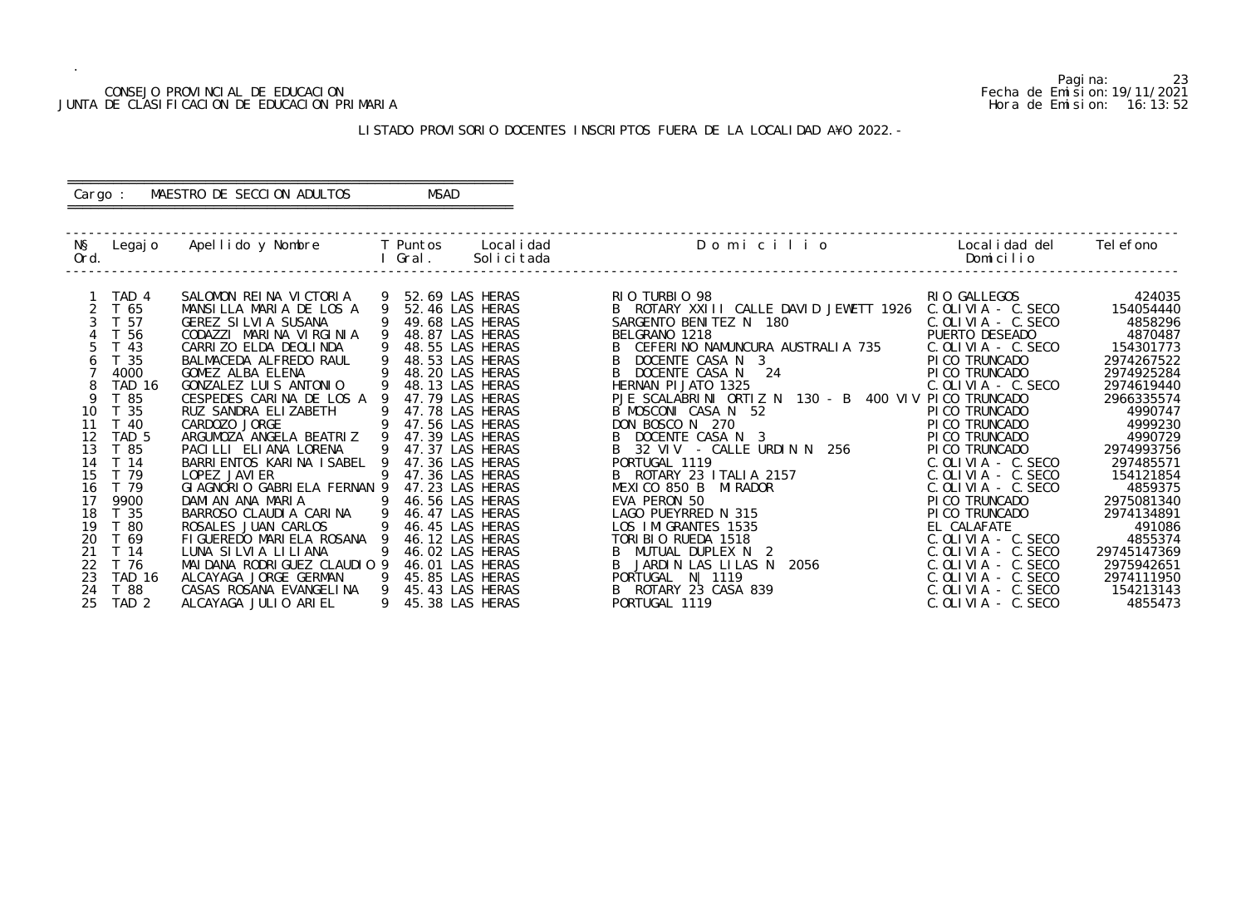#### CONSEJO PROVINCIAL DE EDUCACION Fecha de Emision:19/11/2021 JUNTA DE CLASIFICACION DE EDUCACION PRIMARIA Hora de Emision: 16:13:52

# ========================================================== Cargo : MAESTRO DE SECCION ADULTOS MSAD

# LISTADO PROVISORIO DOCENTES INSCRIPTOS FUERA DE LA LOCALIDAD A¥O 2022.-

==========================================================

| NŞ<br>Ord. |                  | Legajo Apellido y Nombre T Puntos |                | Gral.             | Local i dad<br>Solicitada | Domicilio                                            | Local i dad del<br>Domicilio | Tel efono   |
|------------|------------------|-----------------------------------|----------------|-------------------|---------------------------|------------------------------------------------------|------------------------------|-------------|
|            |                  |                                   |                |                   |                           |                                                      |                              |             |
|            | TAD 4            | SALOMON REINA VICTORIA            | 9              | 52.69 LAS HERAS   |                           | RIO TURBIO 98                                        | RIO GALLEGOS                 | 424035      |
|            | T 65             | MANSILLA MARIA DE LOS A           | 9              | 52.46 LAS HERAS   |                           | ROTARY XXIII CALLE DAVID JEWETT 1926<br>B.           | $C.$ OLIVIA - $C.$ SECO      | 154054440   |
|            | T 57             | <b>GEREZ SILVIA SUSANA</b>        |                | 49.68 LAS HERAS   |                           | SARGENTO BENITEZ N 180                               | C. OLIVIA - C. SECO          | 4858296     |
|            | T 56             | CODAZZI MARINA VIRGINIA           |                | 48.87 LAS HERAS   |                           | BELGRANO 1218                                        | PUERTO DESEADO               | 4870487     |
|            | T <sub>43</sub>  | CARRIZO ELDA DEOLINDA             |                | 48.55 LAS HERAS   |                           | CEFERINO NAMUNCURA AUSTRALIA 735                     | C. OLIVIA - C. SECO          | 154301773   |
|            | T <sub>35</sub>  | BALMACEDA ALFREDO RAUL            |                | 48.53 LAS HERAS   |                           | DOCENTE CASA N 3                                     | PI CO TRUNCADO               | 2974267522  |
|            | 4000             | GOMEZ ALBA ELENA                  |                | 48.20 LAS HERAS   |                           | B<br>DOCENTE CASA N 24                               | PI CO TRUNCADO               | 2974925284  |
|            | <b>TAD 16</b>    | GONZALEZ LUIS ANTONIO             |                | 48.13 LAS HERAS   |                           | HERNAN PI JATO 1325                                  | $C.$ OLIVIA - $C.$ SECO      | 2974619440  |
| 9          | T 85             | CESPEDES CARINA DE LOS A 9        |                | 47.79 LAS HERAS   |                           | PJE SCALABRINI ORTIZ N 130 - B 400 VIV PICO TRUNCADO |                              | 2966335574  |
| 10         | T 35             | RUZ SANDRA ELIZABETH              |                | 47.78 LAS HERAS   |                           | B MOSCONI CASA N 52                                  | PI CO TRUNCADO               | 4990747     |
| 11         | T 40             | CARDOZO JORGE                     | -9             | 47.56 LAS HERAS   |                           | DON BOSCO N 270                                      | PI CO TRUNCADO               | 4999230     |
| 12         | TAD <sub>5</sub> | ARGUMOZA ANGELA BEATRIZ           | $\overline{9}$ | 47.39 LAS HERAS   |                           | DOCENTE CASA N 3                                     | PI CO TRUNCADO               | 4990729     |
| 13         | T 85             | PACILLI ELIANA LORENA             | -9             | 47.37 LAS HERAS   |                           | 32 VIV - CALLE URDIN N 256<br>B                      | PI CO TRUNCADO               | 2974993756  |
| 14         | T 14             | BARRI ENTOS KARI NA I SABEL       | -9             | 47.36 LAS HERAS   |                           | PORTUGAL 1119                                        | $C.$ OLIVIA - C. SECO        | 297485571   |
| 15         | T 79             | LOPEZ JAVI ER                     | 9              | 47.36 LAS HERAS   |                           | B ROTARY 23 ITALIA 2157                              | $C.$ OLIVIA - $C.$ SECO      | 154121854   |
| 16         | T 79             | GI AGNORIO GABRI ELA FERNAN 9     |                | 47.23 LAS HERAS   |                           | MEXICO 850 B<br>MI RADOR                             | $C.$ OLIVIA - C. SECO        | 4859375     |
| 17         | 9900             | DAMIAN ANA MARIA                  | - 9            | 46.56 LAS HERAS   |                           | EVA PERON 50                                         | PI CO TRUNCADO               | 2975081340  |
| 18         | T <sub>35</sub>  | BARROSO CLAUDIA CARINA            | 9              | 46.47 LAS HERAS   |                           | LAGO PUEYRRED N 315                                  | PICO TRUNCADO                | 2974134891  |
| 19         | T 80             | ROSALES JUAN CARLOS               | 9              | 46.45 LAS HERAS   |                           | LOS IMIGRANTES 1535                                  | EL CALAFATE                  | 491086      |
| 20         | T 69             | FIGUEREDO MARIELA ROSANA 9        |                | 46.12 LAS HERAS   |                           | TORIBIO RUEDA 1518                                   | $C.$ OLIVIA - $C.$ SECO      | 4855374     |
| 21         | T 14             | LUNA SILVIA LILIANA               | 9              | 46.02 LAS HERAS   |                           | MUTUAL DUPLEX N 2<br>B.                              | $C.$ OLIVIA - $C.$ SECO      | 29745147369 |
| 22         | T 76             | MAI DANA RODRI GUEZ CLAUDIO 9     |                | 46.01 LAS HERAS   |                           | 2056<br>JARDIN LAS LILAS N                           | $C.$ OLIVIA - $C.$ SECO      | 2975942651  |
| 23         | TAD 16           | ALCAYAGA JORGE GERMAN             | - 9            | 45.85 LAS HERAS   |                           | PORTUGAL N   1119                                    | $C.$ OLIVIA - $C.$ SECO      | 2974111950  |
| 24         | T 88             | CASAS ROSANA EVANGELINA           | - 9            | 45.43 LAS HERAS   |                           | ROTARY 23 CASA 839<br>B                              | $C.$ OLIVIA - $C.$ SECO      | 154213143   |
| 25         | TAD <sub>2</sub> | ALCAYAGA JULIO ARIEL              |                | 9 45.38 LAS HERAS |                           | PORTUGAL 1119                                        | $C.$ OLIVIA - C. SECO        | 4855473     |

Pagina: 23<br>Fecha de Emision: 19/11/2021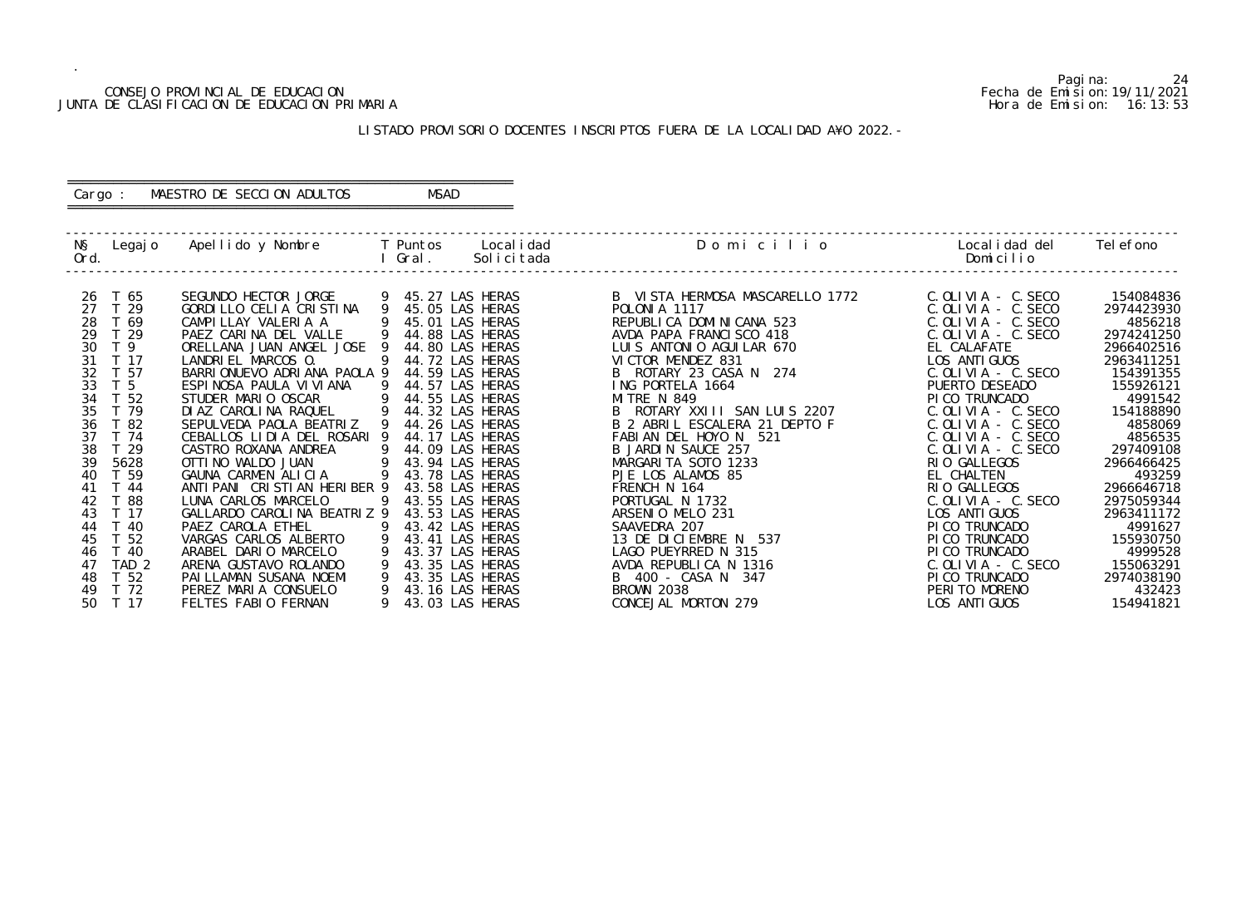#### CONSEJO PROVINCIAL DE EDUCACION Fecha de Emision:19/11/2021 JUNTA DE CLASIFICACION DE EDUCACION PRIMARIA Hora de Emision: 16:13:53

# ========================================================== Cargo : MAESTRO DE SECCION ADULTOS MSAD

# LISTADO PROVISORIO DOCENTES INSCRIPTOS FUERA DE LA LOCALIDAD A¥O 2022.-

==========================================================

| NŞ<br>Ord.                                                                  | Legajo Apellido y Nombre     T Puntos     Localidad                                                                    | l Gral.        | Solicitada                                                                 | Domicilio                                                                                                              | Local i dad del<br>Domicilio                                                                     | Tel efono                                          |
|-----------------------------------------------------------------------------|------------------------------------------------------------------------------------------------------------------------|----------------|----------------------------------------------------------------------------|------------------------------------------------------------------------------------------------------------------------|--------------------------------------------------------------------------------------------------|----------------------------------------------------|
| T 65<br>26<br>27<br>T 29<br>T 69<br>28<br>T 29<br>29                        | SEGUNDO HECTOR JORGE<br>GORDILLO CELIA CRISTINA 9<br>CAMPILLAY VALERIA A<br>PAEZ CARINA DEL VALLE                      | 9              | 9 45.27 LAS HERAS<br>45.05 LAS HERAS<br>45.01 LAS HERAS<br>44.88 LAS HERAS | B VISTA HERMOSA MASCARELLO 1772<br>POLONIA 1117<br>FULUNIA III/<br>REPUBLICA DOMINICANA 523<br>AVDA PAPA FRANCISCO 418 | C. OLIVIA - C. SECO<br>C. OLIVIA - C. SECO<br>$C.$ OLIVIA - $C.$ SECO<br>$C.$ OLIVIA - $C.$ SECO | 154084836<br>2974423930<br>4856218<br>2974241250   |
| 30<br>T 9<br>T 17<br>31<br>T 57<br>32<br>33<br>T <sub>5</sub>               | ORELLANA JUAN ANGEL JOSE 9<br>LANDRIEL MARCOS 0.<br>BARRIONUEVO ADRIANA PAOLA 9<br>ESPINOSA PAULA VI VI ANA            | 9<br>9         | 44.80 LAS HERAS<br>44.72 LAS HERAS<br>44.59 LAS HERAS<br>44.57 LAS HERAS   | LUIS ANTONIO AGUILAR 670<br>VICTOR MENDEZ 831<br>B ROTARY 23 CASA N 274<br>ING PORTELA 1664                            | EL CALAFATE<br>LOS ANTI GUOS<br>C. OLIVIA - C. SECO<br>PUERTO DESEADO                            | 2966402516<br>2963411251<br>154391355<br>155926121 |
| 34<br>T 52<br>35<br>T 79<br>36<br>T 82<br>37<br>T 74                        | STUDER MARIO OSCAR<br>DIAZ CAROLINA RAQUEL 9 44.32 LAS HERAS<br>SEPULVEDA PAOLA BEATRIZ<br>CEBALLOS LIDIA DEL ROSARI 9 | $\overline{9}$ | 44.55 LAS HERAS<br>44.26 LAS HERAS<br>44.17 LAS HERAS                      | <b>MITRE N 849</b><br>B ROTARY XXIII SAN LUIS 2207<br>B 2 ABRIL ESCALERA 21 DEPTO F                                    | PICO TRUNCADO<br>$C.$ OLIVIA - $C.$ SECO<br>$C.$ OLIVIA - $C.$ SECO                              | 4991542<br>154188890<br>4858069                    |
| 38<br>T 29<br>39<br>5628<br>T 59<br>40                                      | CASTRO ROXANA ANDREA<br>OTTI NO WALDO JUAN<br>GAUNA CARMEN ALICIA                                                      | -9<br>-9       | 44.09 LAS HERAS<br>43.94 LAS HERAS<br>9 43.78 LAS HERAS                    | FABIAN DEL HOYO N 521<br>B JARDIN SAUCE 257<br>MARGARITA SOTO 1233<br>PJE LOS ALAMOS 85                                | $C.$ OLIVIA - $C.$ SECO<br>$C.$ OLIVIA - $C.$ SECO<br>RIO GALLEGOS<br>EL CHALTEN                 | 4856535<br>297409108<br>2966466425<br>493259       |
| 41<br>T 44<br>42<br>T 88<br>T 17<br>43<br>44<br>T 40                        | ANTI PANI CRISTIAN HERIBER 9<br>LUNA CARLOS MARCELO<br>GALLARDO CAROLINA BEATRIZ 9<br>PAEZ CAROLA ETHEL                | 9              | 43.58 LAS HERAS<br>43.55 LAS HERAS<br>43.53 LAS HERAS<br>43.42 LAS HERAS   | FRENCH N 164<br>PORTUGAL N 1732<br>ARSENIO MELO 231<br>SAAVEDRA 207                                                    | RIO GALLEGOS<br>$C.$ OLIVIA - $C.$ SECO<br>LOS ANTI GUOS<br>PI CO TRUNCADO                       | 2966646718<br>2975059344<br>2963411172<br>4991627  |
| T 52<br>45<br>T 40<br>46<br>TAD <sub>2</sub><br>47<br>T <sub>52</sub><br>48 | VARGAS CARLOS ALBERTO<br>ARABEL DARIO MARCELO<br>ARENA GUSTAVO ROLANDO<br>PAI LLAMAN SUSANA NOEMI                      | - 9            | 43.41 LAS HERAS<br>43.37 LAS HERAS<br>43.35 LAS HERAS<br>43.35 LAS HERAS   | 13 DE DICIEMBRE N 537<br>LAGO PUEYRRED N 315<br>AVDA REPUBLICA N 1316<br>B 400 - CASA N 347                            | PI CO TRUNCADO<br>PI CO TRUNCADO<br>$C.$ OLIVIA - $C.$ SECO<br>PI CO TRUNCADO                    | 155930750<br>4999528<br>155063291<br>2974038190    |
| T 72<br>49<br>T 17<br>50                                                    | PEREZ MARIA CONSUELO<br>FELTES FABIO FERNAN                                                                            |                | 43.16 LAS HERAS<br>43.03 LAS HERAS                                         | <b>BROWN 2038</b><br>CONCEJAL MORTON 279                                                                               | PERITO MORENO<br>LOS ANTI GUOS                                                                   | 432423<br>154941821                                |

Pagina: 24<br>Fecha de Emision: 19/11/2021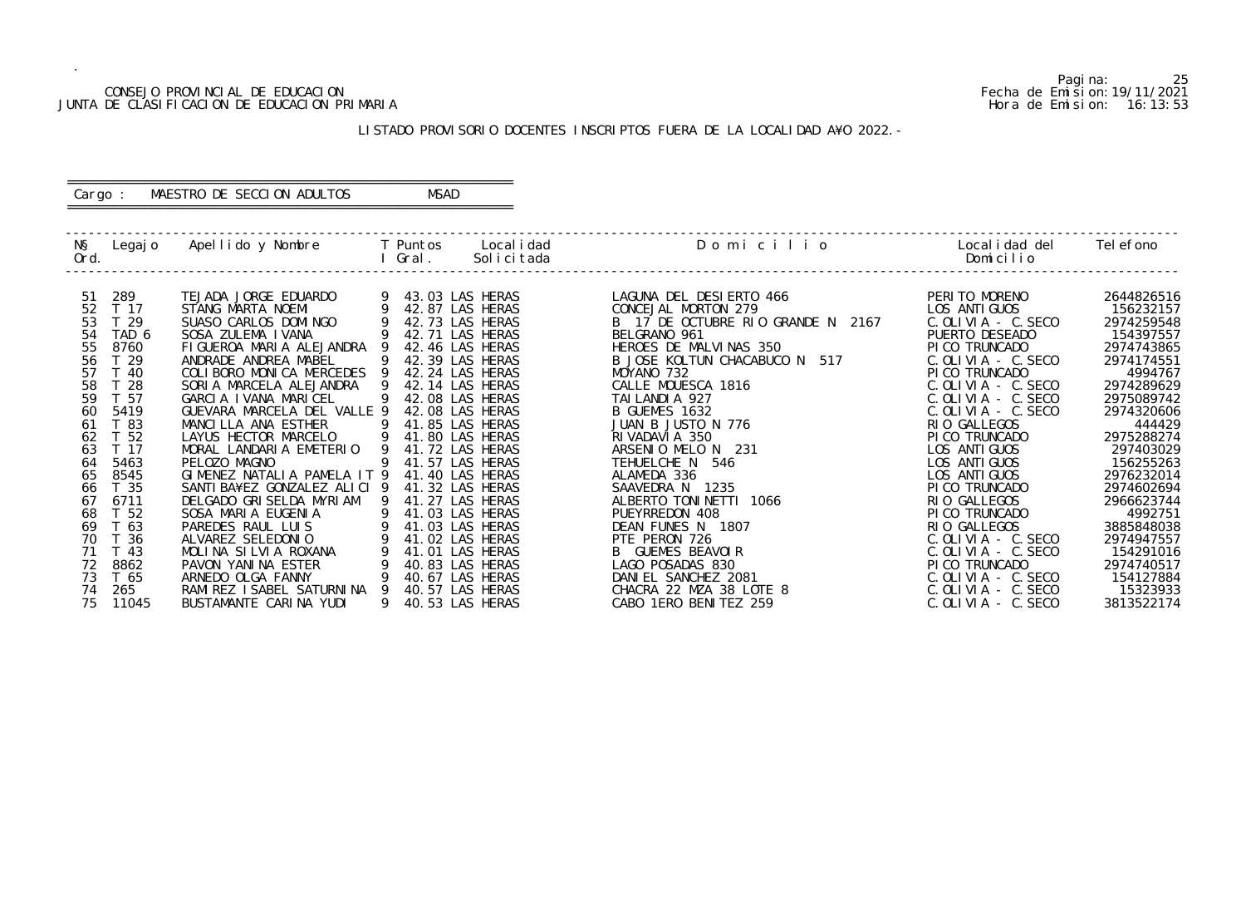#### CONSEJO PROVINCIAL DE EDUCACION Fecha de Emision:19/11/2021 JUNTA DE CLASIFICACION DE EDUCACION PRIMARIA Hora de Emision: 16:13:53

# ========================================================== Cargo : MAESTRO DE SECCION ADULTOS MSAD

# LISTADO PROVISORIO DOCENTES INSCRIPTOS FUERA DE LA LOCALIDAD A¥O 2022.-

==========================================================

| NŞ<br>Ord. | Legaj o         | Apellido y Nombre                       |   | T Puntos<br>Local i dad<br>Solicitada<br>Gral. | Domicilio                           | Local i dad del<br>Domicilio   | Tel efono             |
|------------|-----------------|-----------------------------------------|---|------------------------------------------------|-------------------------------------|--------------------------------|-----------------------|
| -51        | 289             | TEJADA JORGE EDUARDO                    |   | 43.03 LAS HERAS                                | LAGUNA DEL DESIERTO 466             | PERITO MORENO                  | 2644826516            |
| 52         | T 17            | STANG MARTA NOEMI                       |   | 42.87 LAS HERAS                                | CONCEJAL MORTON 279                 | LOS ANTI GUOS                  | 156232157             |
| 53         | T <sub>29</sub> | SUASO CARLOS DOMINGO                    |   | 42.73 LAS HERAS                                | B 17 DE OCTUBRE RIO GRANDE N 2167   | $C.$ OLIVIA - C. SECO          | 2974259548            |
| 54         | TAD 6           | SOSA ZULEMA I VANA                      |   | 42.71 LAS HERAS                                | BELGRANO 961                        | PUERTO DESEADO                 | 154397557             |
| 55         | 8760            | FIGUEROA MARIA ALEJANDRA                |   | 42.46 LAS HERAS                                | HEROES DE MALVINAS 350              | PI CO TRUNCADO                 | 2974743865            |
| 56         | T 29            | ANDRADE ANDREA MABEL                    |   | 42.39 LAS HERAS                                | B JOSE KOLTUN CHACABUCO N<br>517    | $C.$ OLIVIA - $C.$ SECO        | 2974174551            |
| 57         | T 40            | COLIBORO MONICA MERCEDES                |   | 42.24 LAS HERAS                                | MOYANO 732                          | PI CO TRUNCADO                 | 4994767               |
| 58         | $\overline{28}$ | SORIA MARCELA ALEJANDRA                 |   | 42.14 LAS HERAS                                | CALLE MOUESCA 1816                  | $C.$ OLIVIA - C. SECO          | 2974289629            |
| 59         | T 57            | GARCIA IVANA MARICEL                    |   | 42.08 LAS HERAS                                | TAI LANDI A 927                     | $C.$ OLIVIA - $C.$ SECO        | 2975089742            |
| 60         | 5419            | GUEVARA MARCELA DEL VALLE 9             |   | 42.08 LAS HERAS                                | B GUEMES 1632                       | $C.$ OLIVIA - $C.$ SECO        | 2974320606            |
| 61         | T 83            | MANCILLA ANA ESTHER                     |   | 41.85 LAS HERAS                                | JUAN B JUSTO N 776                  | RIO GALLEGOS                   | 444429                |
| 62         | T 52            | LAYUS HECTOR MARCELO                    |   | 41.80 LAS HERAS                                | RIVADAVIA 350                       | PI CO TRUNCADO                 | 2975288274            |
| 63         | T 17            | MORAL LANDARIA EMETERIO                 | 9 | 41.72 LAS HERAS                                | ARSENIO MELO N 231                  | LOS ANTI GUOS                  | 297403029             |
| 64         | 5463            | PELOZO MAGNO                            | 9 | 41.57 LAS HERAS                                | TEHUELCHE N 546                     | LOS ANTI GUOS                  | 156255263             |
| 65         | 8545            | GIMENEZ NATALIA PAMELA IT 9             |   | 41.40 LAS HERAS                                | ALAMEDA 336                         | LOS ANTI GUOS                  | 2976232014            |
| 66         | T 35            | SANTI BA¥EZ GONZALEZ ALICI 9            |   | 41.32 LAS HERAS                                | SAAVEDRA N 1235                     | PI CO TRUNCADO                 | 2974602694            |
| 67<br>68   | 6711            | DELGADO GRISELDA MYRIAM                 |   | 41.27 LAS HERAS                                | ALBERTO TONINETTI 1066              | RIO GALLEGOS                   | 2966623744            |
| 69         | T 52<br>T 63    | SOSA MARIA EUGENIA<br>PAREDES RAUL LUIS |   | 41.03 LAS HERAS<br>41.03 LAS HERAS             | PUEYRREDON 408<br>DEAN FUNES N 1807 | PI CO TRUNCADO<br>RIO GALLEGOS | 4992751<br>3885848038 |
| 70         | T 36            | ALVAREZ SELEDONIO                       |   | 41.02 LAS HERAS                                | PTE PERON 726                       | $C.$ OLIVIA - $C.$ SECO        | 2974947557            |
| 71         | T 43            | MOLINA SILVIA ROXANA                    |   | 41.01 LAS HERAS                                | <b>B</b> GUEMES BEAVOIR             | $C.$ OLIVIA - $C.$ SECO        | 154291016             |
| 72         | 8862            | PAVON YANINA ESTER                      |   | 40.83 LAS HERAS                                | LAGO POSADAS 830                    | PI CO TRUNCADO                 | 2974740517            |
| 73         | T 65            | ARNEDO OLGA FANNY                       |   | 40.67 LAS HERAS                                | DANIEL SANCHEZ 2081                 | $C.$ OLIVIA - $C.$ SECO        | 154127884             |
| 74         | 265             | RAMI REZ I SABEL SATURNI NA 9           |   | 40.57 LAS HERAS                                | CHACRA 22 MZA 38 LOTE 8             | $C.$ OLIVIA - $C.$ SECO        | 15323933              |
| 75         | 11045           | BUSTAMANTE CARINA YUDI                  |   | 40.53 LAS HERAS                                | CABO 1ERO BENITEZ 259               | $C.$ OLIVIA - $C.$ SECO        | 3813522174            |
|            |                 |                                         |   |                                                |                                     |                                |                       |

Pagina: 25<br>Fecha de Emision: 19/11/2021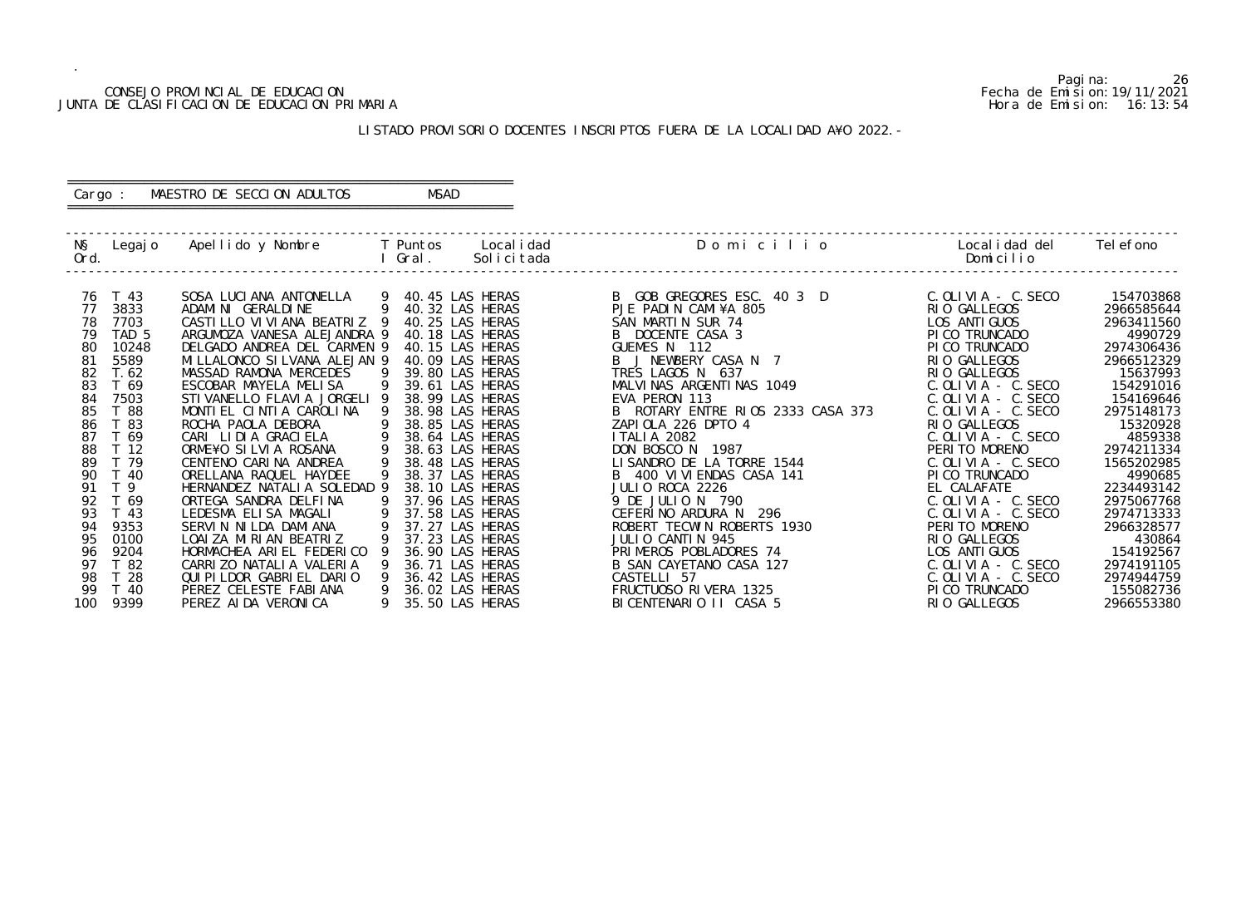#### CONSEJO PROVINCIAL DE EDUCACION Fecha de Emision:19/11/2021 JUNTA DE CLASIFICACION DE EDUCACION PRIMARIA Hora de Emision: 16:13:54

# ========================================================== Cargo : MAESTRO DE SECCION ADULTOS MSAD

# LISTADO PROVISORIO DOCENTES INSCRIPTOS FUERA DE LA LOCALIDAD A¥O 2022.-

==========================================================

| NŞ<br>Ord. | Legaj o                 | Apellido y Nombre                             |   | Local i dad<br>T Puntos<br>Gral.<br>Solicitada | Domicilio                                     | Local i dad del<br>Domicilio             | Tel efono                |
|------------|-------------------------|-----------------------------------------------|---|------------------------------------------------|-----------------------------------------------|------------------------------------------|--------------------------|
| 76         | T 43                    | SOSA LUCIANA ANTONELLA                        |   | 9 40.45 LAS HERAS                              | B GOB GREGORES ESC. 40 3 D                    | $C.$ OLIVIA - $C.$ SECO                  | 154703868                |
| 77         | 3833                    | ADAMI NI GERALDI NE                           | 9 | 40.32 LAS HERAS                                | PJE PADIN CAMI¥A 805                          | RIO GALLEGOS                             | 2966585644               |
| 78         | 7703                    | CASTILLO VI VI ANA BEATRIZ 9                  |   | 40.25 LAS HERAS                                | SAN MARTIN SUR 74                             | LOS ANTI GUOS                            | 2963411560               |
| 79         | TAD <sub>5</sub>        | ARGUMOZA VANESA ALEJANDRA 9                   |   | 40.18 LAS HERAS                                | B DOCENTE CASA 3                              | PI CO TRUNCADO                           | 4990729                  |
| 80         | 10248                   | DELGADO ANDREA DEL CARMEN 9                   |   | 40.15 LAS HERAS                                | GUEMES N 112                                  | PICO TRUNCADO                            | 2974306436               |
| 81         | 5589                    | MILLALONCO SILVANA ALEJAN 9                   |   | 40.09 LAS HERAS                                | B J NEWBERY CASA N 7                          | RIO GALLEGOS                             | 2966512329               |
| 82         | T. 62                   | MASSAD RAMONA MERCEDES                        |   | 39.80 LAS HERAS                                | TRES LAGOS N 637                              | RIO GALLEGOS                             | 15637993                 |
| 83         | T 69                    | ESCOBAR MAYELA MELISA                         |   | 39.61 LAS HERAS                                | MALVINAS ARGENTINAS 1049                      | $C.$ OLIVIA - $C.$ SECO                  | 154291016                |
| 84         | 7503                    | STIVANELLO FLAVIA JORGELI 9                   |   | 38.99 LAS HERAS                                | EVA PERON 113                                 | $C.$ OLIVIA - $C.$ SECO                  | 154169646                |
| 85         | T 88                    | MONTIEL CINTIA CAROLINA                       |   | 38.98 LAS HERAS                                | B ROTARY ENTRE RIOS 2333 CASA 373             | $C.$ OLIVIA - $C.$ SECO                  | 2975148173               |
| 86         | T 83                    | ROCHA PAOLA DEBORA                            |   | 38.85 LAS HERAS                                | ZAPIOLA 226 DPTO 4                            | RIO GALLEGOS                             | 15320928                 |
| 87         | T 69                    | CARI LIDIA GRACIELA                           |   | 38.64 LAS HERAS                                | <b>ITALIA 2082</b>                            | $C.$ OLIVIA $-$ C. SECO                  | 4859338                  |
| 88<br>89   | T <sub>12</sub><br>T 79 | ORME¥O SILVIA ROSANA<br>CENTENO CARINA ANDREA |   | 38.63 LAS HERAS<br>38.48 LAS HERAS             | DON BOSCO N 1987<br>LISANDRO DE LA TORRE 1544 | PERITO MORENO<br>$C.$ OLIVIA - $C.$ SECO | 2974211334<br>1565202985 |
| 90         | T 40                    | ORELLANA RAQUEL HAYDEE                        |   | 38.37 LAS HERAS                                | B 400 VI VI ENDAS CASA 141                    | PI CO TRUNCADO                           | 4990685                  |
| 91         | T <sub>9</sub>          | HERNANDEZ NATALIA SOLEDAD 9                   |   | 38.10 LAS HERAS                                | JULIO ROCA 2226                               | EL CALAFATE                              | 2234493142               |
| 92         | T 69                    | ORTEGA SANDRA DELFINA                         |   | 37.96 LAS HERAS                                | 9 DE JULIO N 790                              | $C.$ OLIVIA - $C.$ SECO                  | 2975067768               |
| 93         | T 43                    | LEDESMA ELISA MAGALI                          |   | 37.58 LAS HERAS                                | CEFERINO ARDURA N<br>296                      | $C.$ OLIVIA - C. SECO                    | 2974713333               |
| 94         | 9353                    | SERVIN NILDA DAMIANA                          |   | 37.27 LAS HERAS                                | ROBERT TECWIN ROBERTS 1930                    | PERITO MORENO                            | 2966328577               |
| 95         | 0100                    | LOAI ZA MIRIAN BEATRIZ                        |   | 37.23 LAS HERAS                                | JULIO CANTIN 945                              | RIO GALLEGOS                             | 430864                   |
| 96         | 9204                    | HORMACHEA ARIEL FEDERICO                      |   | 36.90 LAS HERAS                                | PRIMEROS POBLADORES 74                        | LOS ANTI GUOS                            | 154192567                |
| 97         | T 82                    | CARRIZO NATALIA VALERIA                       |   | 36.71 LAS HERAS                                | B SAN CAYETANO CASA 127                       | $C.$ OLIVIA - $C.$ SECO                  | 2974191105               |
| 98         | T 28                    | QUI PI LDOR GABRI EL DARIO                    |   | 36.42 LAS HERAS                                | CASTELLI 57                                   | $C.$ OLIVIA - $C.$ SECO                  | 2974944759               |
| 99         | T 40                    | PEREZ CELESTE FABIANA                         |   | 36.02 LAS HERAS                                | FRUCTUOSO RIVERA 1325                         | PI CO TRUNCADO                           | 155082736                |
| 100        | 9399                    | PEREZ AI DA VERONI CA                         |   | 35.50 LAS HERAS                                | BICENTENARIO II CASA 5                        | RIO GALLEGOS                             | 2966553380               |
|            |                         |                                               |   |                                                |                                               |                                          |                          |

Pagina: 26<br>Fecha de Emision: 19/11/2021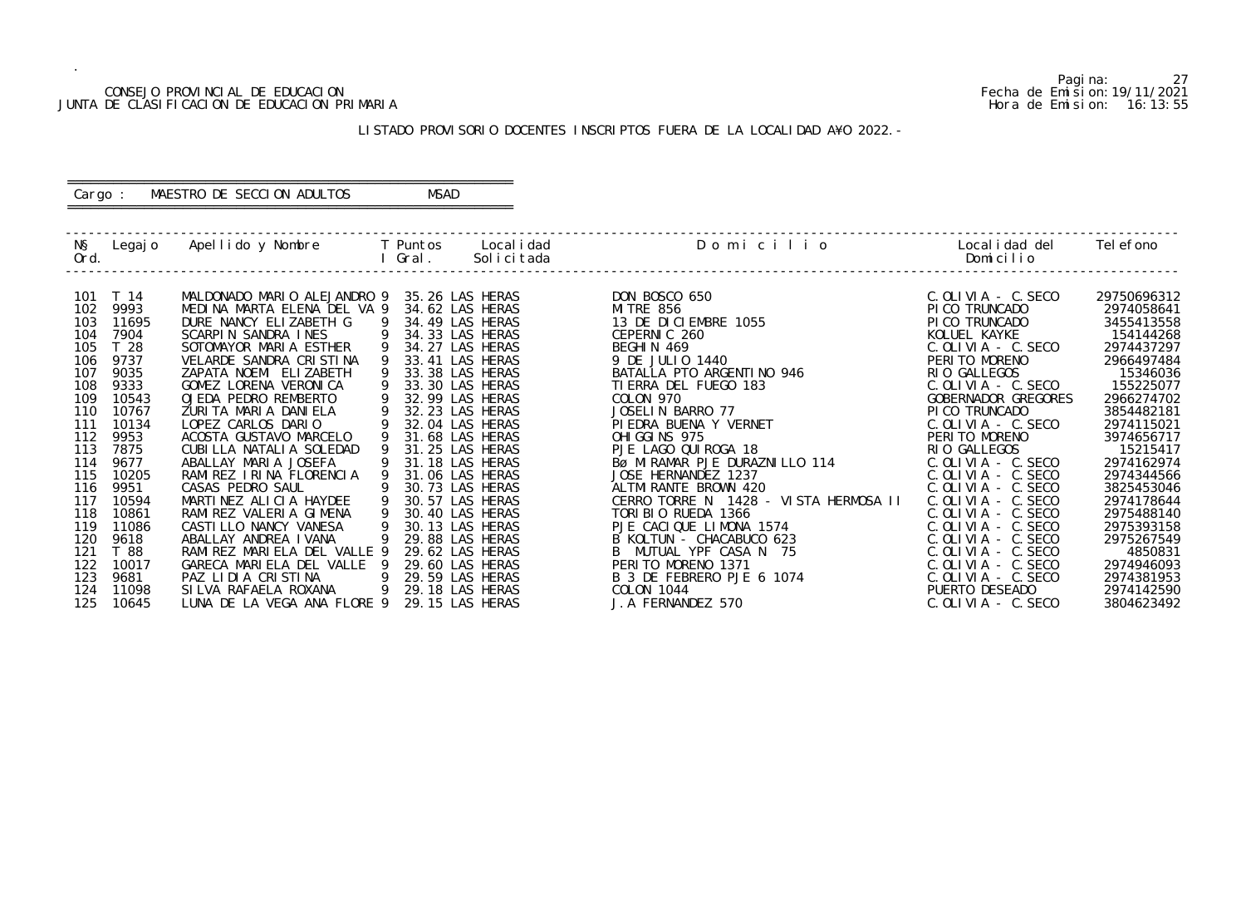#### CONSEJO PROVINCIAL DE EDUCACION Fecha de Emision:19/11/2021 JUNTA DE CLASIFICACION DE EDUCACION PRIMARIA Hora de Emision: 16:13:55

# ========================================================== Cargo : MAESTRO DE SECCION ADULTOS MSAD

# LISTADO PROVISORIO DOCENTES INSCRIPTOS FUERA DE LA LOCALIDAD A¥O 2022.-

==========================================================

| NŞ<br>Ord. | Legaj o        | Apellido y Nombre         T Puntos     Localidad  |    | l Gral. | Solicitada                         | Domicilio                                     | Local i dad del<br>Domicilio                       | Tel efono                |
|------------|----------------|---------------------------------------------------|----|---------|------------------------------------|-----------------------------------------------|----------------------------------------------------|--------------------------|
| 101        | T 14           | MALDONADO MARIO ALEJANDRO 9                       |    |         | 35.26 LAS HERAS                    | DON BOSCO 650                                 | $C.$ OLIVIA - $C.$ SECO                            | 29750696312              |
| 102        | 9993           | MEDINA MARTA ELENA DEL VA 9                       |    |         | 34.62 LAS HERAS                    | MI TRE 856                                    | PI CO TRUNCADO                                     | 2974058641               |
| 103<br>104 | 11695<br>7904  | DURE NANCY ELIZABETH G<br>SCARPIN SANDRA INES     | 9  |         | 34.49 LAS HERAS<br>34.33 LAS HERAS | 13 DE DICIEMBRE 1055<br>CEPERNIC 260          | PI CO TRUNCADO<br>KOLUEL KAYKE                     | 3455413558<br>154144268  |
| 105        | T 28           | SOTOMAYOR MARIA ESTHER                            |    |         | 34.27 LAS HERAS                    | BEGHIN 469                                    | $C.$ OLIVIA - $C.$ SECO                            | 2974437297               |
| 106        | 9737           | VELARDE SANDRA CRISTINA                           |    |         | 33.41 LAS HERAS                    | 9 DE JULIO 1440                               | PERITO MORENO                                      | 2966497484               |
| 107        | 9035           | ZAPATA NOEMI ELIZABETH                            |    |         | 33.38 LAS HERAS                    | BATALLA PTO ARGENTINO 946                     | RIO GALLEGOS                                       | 15346036                 |
| 108        | 9333           | GOMEZ LORENA VERONICA                             |    |         | 33.30 LAS HERAS                    | TI ERRA DEL FUEGO 183                         | $C.$ OLIVIA - $C.$ SECO                            | 155225077                |
| 109        | 10543          | OJEDA PEDRO REMBERTO                              |    |         | 32.99 LAS HERAS                    | COLON 970                                     | GOBERNADOR GREGORES                                | 2966274702               |
| 110        | 10767          | ZURITA MARIA DANIELA                              | 9  |         | 32.23 LAS HERAS                    | JOSELIN BARRO 77                              | PI CO TRUNCADO                                     | 3854482181               |
| 111        | 10134          | LOPEZ CARLOS DARIO                                |    |         | 32.04 LAS HERAS                    | PI EDRA BUENA Y VERNET                        | $C.$ OLIVIA - $C.$ SECO                            | 2974115021               |
| 112        | 9953           | ACOSTA GUSTAVO MARCELO                            |    |         | 31.68 LAS HERAS                    | OHI GGI NS 975                                | PERITO MORENO                                      | 3974656717               |
| 113        | 7875           | CUBILLA NATALIA SOLEDAD                           |    |         | 31.25 LAS HERAS                    | PJE LAGO QUI ROGA 18                          | RIO GALLEGOS                                       | 15215417                 |
| 114        | 9677           | ABALLAY MARIA JOSEFA                              |    |         | 31.18 LAS HERAS                    | BØ MIRAMAR PJE DURAZNILLO 114                 | $C.$ OLIVIA - $C.$ SECO                            | 2974162974               |
| 115        | 10205          | RAMIREZ IRINA FLORENCIA                           |    |         | 31.06 LAS HERAS                    | JOSE HERNANDEZ 1237                           | $C. OLI VIA - C. SECO$                             | 2974344566               |
| 116        | 9951           | CASAS PEDRO SAUL                                  |    |         | 30.73 LAS HERAS                    | ALTMI RANTE BROWN 420                         | $C.$ OLIVIA - $C.$ SECO                            | 3825453046               |
| 117        | 10594          | MARTINEZ ALICIA HAYDEE                            | 9  |         | 30.57 LAS HERAS                    | CERRO TORRE N 1428 - VISTA HERMOSA II         | $C.$ OLIVIA - $C.$ SECO                            | 2974178644               |
| 118<br>119 | 10861<br>11086 | RAMI REZ VALERIA GIMENA<br>CASTI LLO NANCY VANESA | 9  |         | 30.40 LAS HERAS<br>30.13 LAS HERAS | TORIBIO RUEDA 1366<br>PJE CACIQUE LIMONA 1574 | $C.$ OLIVIA - $C.$ SECO<br>$C.$ OLIVIA - $C.$ SECO | 2975488140<br>2975393158 |
| 120        | 9618           | ABALLAY ANDREA IVANA                              |    |         | 29.88 LAS HERAS                    | B KOLTUN - CHACABUCO 623                      | $C.$ OLIVIA - $C.$ SECO                            | 2975267549               |
| 121        | T 88           | RAMI REZ MARI ELA DEL VALLE 9                     |    |         | 29.62 LAS HERAS                    | B MUTUAL YPF CASA N 75                        | $C. OLI VIA - C. SECO$                             | 4850831                  |
| 122        | 10017          | GARECA MARIELA DEL VALLE 9                        |    |         | 29.60 LAS HERAS                    | PERITO MORENO 1371                            | $C.$ OLIVIA - $C.$ SECO                            | 2974946093               |
| 123        | 9681           | PAZ LIDIA CRISTINA                                | 9  |         | 29.59 LAS HERAS                    | B 3 DE FEBRERO PJE 6 1074                     | $C.$ OLIVIA - $C.$ SECO                            | 2974381953               |
| 124        | 11098          | SI LVA RAFAELA ROXANA                             | -9 |         | 29.18 LAS HERAS                    | COLON 1044                                    | PUERTO DESEADO                                     | 2974142590               |
| 125        | 10645          | LUNA DE LA VEGA ANA FLORE 9                       |    |         | 29.15 LAS HERAS                    | J. A FERNANDEZ 570                            | $C.$ OLIVIA - $C.$ SECO                            | 3804623492               |
|            |                |                                                   |    |         |                                    |                                               |                                                    |                          |

Pagina: 27<br>Fecha de Emision: 19/11/2021<br>Hora de Emision: 16: 13: 55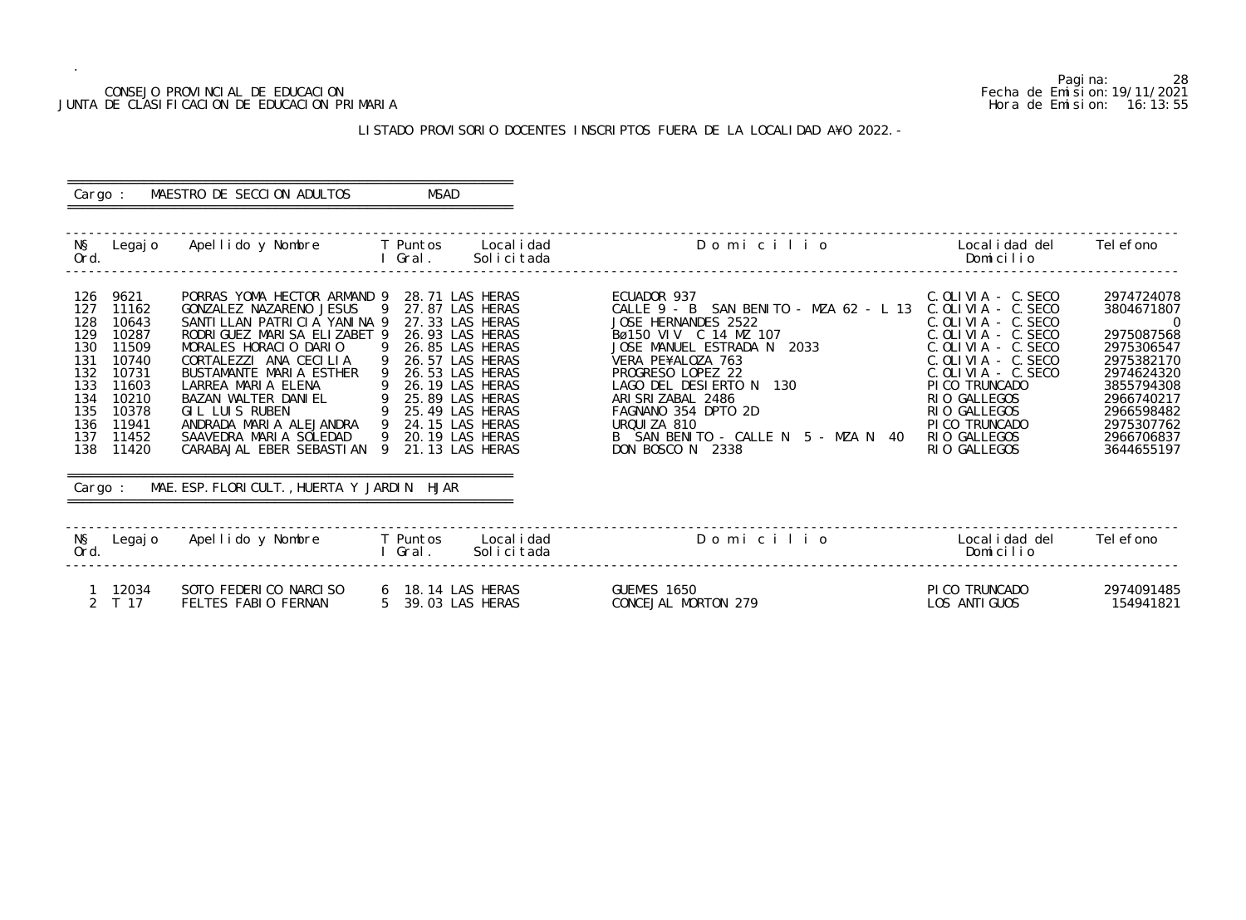#### CONSEJO PROVINCIAL DE EDUCACION Fecha de Emision:19/11/2021 JUNTA DE CLASIFICACION DE EDUCACION PRIMARIA Hora de Emision: 16:13:55

# ========================================================== Cargo : MAESTRO DE SECCION ADULTOS MSAD

# LISTADO PROVISORIO DOCENTES INSCRIPTOS FUERA DE LA LOCALIDAD A¥O 2022.-

==========================================================

| Ord.                                                                                    |                                                                                                                             | N§ Legajo Apellido y Nombre T Puntos Localidad                                                                                                                                                                                                                                                                                                                                                                           |                                        | l Gral.                                                                                                                                                                                                                                               | Solicitada                | Domicilio                                                                                                                                                                                                                                                                                                                                         | Localidad del<br>Domicilio                                                                                                                                                                                                                                 | Tel efono                                                                                                                                                                              |
|-----------------------------------------------------------------------------------------|-----------------------------------------------------------------------------------------------------------------------------|--------------------------------------------------------------------------------------------------------------------------------------------------------------------------------------------------------------------------------------------------------------------------------------------------------------------------------------------------------------------------------------------------------------------------|----------------------------------------|-------------------------------------------------------------------------------------------------------------------------------------------------------------------------------------------------------------------------------------------------------|---------------------------|---------------------------------------------------------------------------------------------------------------------------------------------------------------------------------------------------------------------------------------------------------------------------------------------------------------------------------------------------|------------------------------------------------------------------------------------------------------------------------------------------------------------------------------------------------------------------------------------------------------------|----------------------------------------------------------------------------------------------------------------------------------------------------------------------------------------|
| 126<br>127<br>128<br>129<br>130<br>131<br>132<br>133<br>134<br>135<br>136<br>137<br>138 | 9621<br>11162<br>10643<br>10287<br>11509<br>10740<br>10731<br>11603<br>10210<br>10378<br>11941<br>11452<br>11420<br>Cargo : | PORRAS YOMA HECTOR ARMAND 9<br>GONZALEZ NAZARENO JESUS<br>SANTILLAN PATRICIA YANINA 9<br>RODRI GUEZ MARI SA ELIZABET 9<br>MORALES HORACIO DARIO<br>CORTALEZZI ANA CECILIA<br>BUSTAMANTE MARIA ESTHER<br>LARREA MARIA ELENA<br>BAZAN WALTER DANIEL<br>$\overline{9}$<br>GIL LUIS RUBEN<br>ANDRADA MARIA ALEJANDRA 9<br>SAAVEDRA MARIA SOLEDAD<br>CARABAJAL EBER SEBASTIAN 9<br>MAE. ESP. FLORICULT., HUERTA Y JARDIN HJAR | - 9<br>- 9<br>$\overline{9}$<br>9<br>9 | 28.71 LAS HERAS<br>27.87 LAS HERAS<br>27.33 LAS HERAS<br>26.93 LAS HERAS<br>26.85 LAS HERAS<br>26.57 LAS HERAS<br>26.53 LAS HERAS<br>26.19 LAS HERAS<br>9 25.89 LAS HERAS<br>25.49 LAS HERAS<br>24.15 LAS HERAS<br>20.19 LAS HERAS<br>21.13 LAS HERAS |                           | ECUADOR 937<br>CALLE 9 - B SAN BENITO - MZA 62 - L 13 C.OLIVIA - C.SECO<br>JOSE HERNANDES 2522<br>Bø150 VIV C 14 MZ 107<br>JOSE MANUEL ESTRADA N 2033<br>VERA PE¥ALOZA 763<br>PROGRESO LOPEZ 22<br>LAGO DEL DESIERTO N 130<br>ARI SRI ZABAL 2486<br>FAGNANO 354 DPTO 2D<br>URQUIZA 810<br>B SAN BENITO - CALLE N 5 - MZA N 40<br>DON BOSCO N 2338 | C. OLIVIA - C. SECO<br>$C.$ OLIVIA - $C.$ SECO<br>C. OLIVIA - C. SECO<br>$C.$ OLIVIA - $C.$ SECO<br>$C.$ OLIVIA - $C.$ SECO<br>$C.$ OLIVIA - $C.$ SECO<br>PI CO TRUNCADO<br>RIO GALLEGOS<br>RIO GALLEGOS<br>PI CO TRUNCADO<br>RIO GALLEGOS<br>RIO GALLEGOS | 2974724078<br>3804671807<br>$\overline{0}$<br>2975087568<br>2975306547<br>2975382170<br>2974624320<br>3855794308<br>2966740217<br>2966598482<br>2975307762<br>2966706837<br>3644655197 |
| Ord.                                                                                    |                                                                                                                             | N§ Legajo Apellido y Nombre T Puntos                                                                                                                                                                                                                                                                                                                                                                                     |                                        | I Gral.                                                                                                                                                                                                                                               | Local i dad<br>Solicitada | Domicilio                                                                                                                                                                                                                                                                                                                                         | Localidad del<br>Domicilio                                                                                                                                                                                                                                 | Tel efono                                                                                                                                                                              |
|                                                                                         | 1 12034<br>2 T 17                                                                                                           | SOTO FEDERICO NARCISO<br>FELTES FABIO FERNAN                                                                                                                                                                                                                                                                                                                                                                             |                                        | 6 18.14 LAS HERAS<br>5 39.03 LAS HERAS                                                                                                                                                                                                                |                           | GUEMES 1650<br>CONCEJAL MORTON 279                                                                                                                                                                                                                                                                                                                | PICO TRUNCADO<br>LOS ANTI GUOS                                                                                                                                                                                                                             | 2974091485<br>154941821                                                                                                                                                                |

Pagina: 28<br>Fecha de Emision: 19/11/2021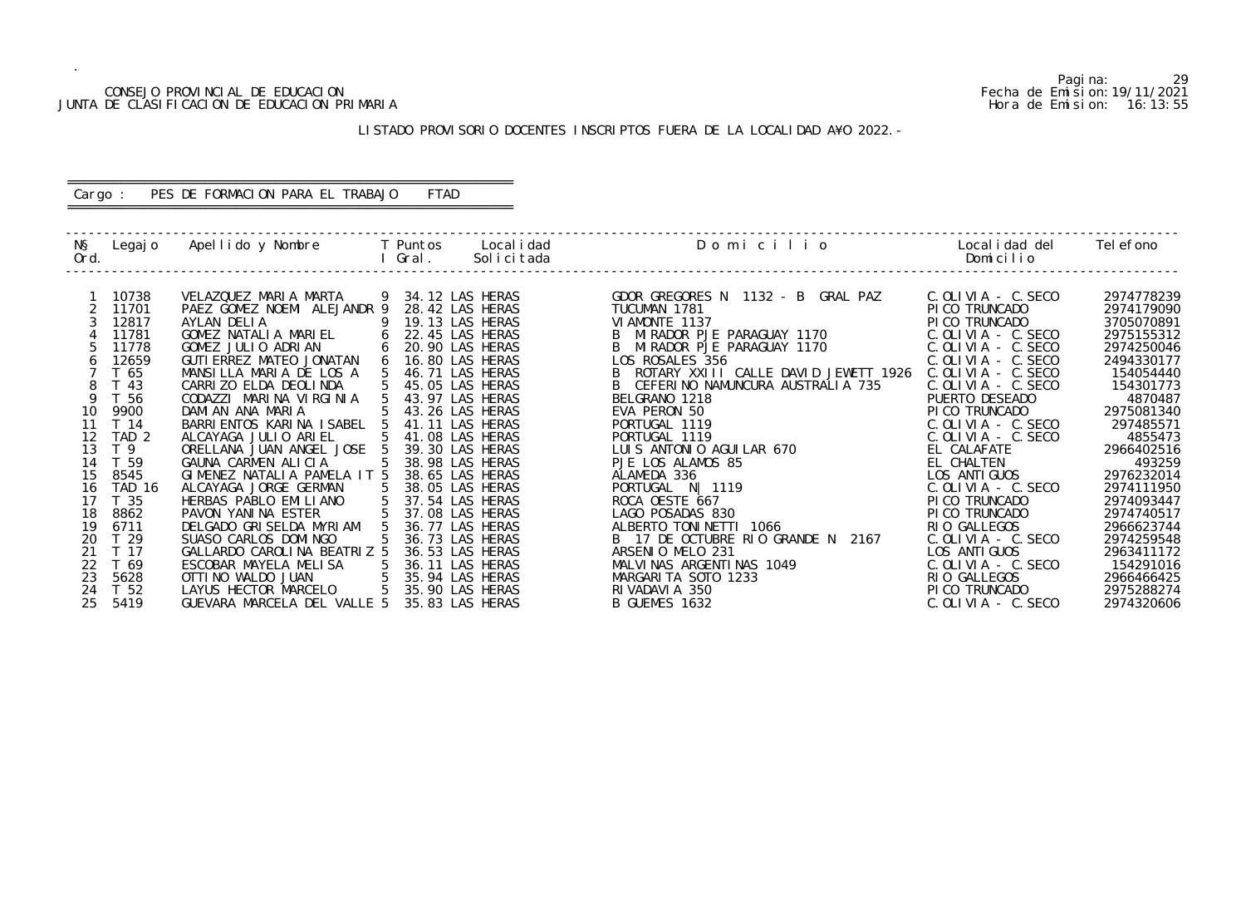#### CONSEJO PROVINCIAL DE EDUCACION Fecha de Emision:19/11/2021 JUNTA DE CLASIFICACION DE EDUCACION PRIMARIA Hora de Emision: 16:13:55

# LISTADO PROVISORIO DOCENTES INSCRIPTOS FUERA DE LA LOCALIDAD A¥O 2022.-

# ========================================================== Cargo : PES DE FORMACION PARA EL TRABAJO FTAD

==========================================================

| NŞ<br>Ord. | Legaj o                 | Apellido y Nombre     T Puntos                  |                 | Gral.             | Local i dad<br>Solicitada          | Domicilio                                     | Local i dad del<br>Domicilio | Tel efono            |
|------------|-------------------------|-------------------------------------------------|-----------------|-------------------|------------------------------------|-----------------------------------------------|------------------------------|----------------------|
|            | 10738                   | VELAZQUEZ MARIA MARTA                           |                 | 9 34.12 LAS HERAS |                                    | GDOR GREGORES N 1132 - B GRAL PAZ             | C. OLIVIA - C. SECO          | 2974778239           |
|            | 11701                   | PAEZ GOMEZ NOEMI ALEJANDR 9                     |                 |                   | 28.42 LAS HERAS                    | TUCUMAN 1781                                  | PI CO TRUNCADO               | 2974179090           |
|            | 12817                   | AYLAN DELIA                                     |                 |                   | 19.13 LAS HERAS                    | VI AMONTE 1137                                | PI CO TRUNCADO               | 3705070891           |
|            | 11781                   | GOMEZ NATALIA MARIEL                            | 6               |                   | 22.45 LAS HERAS                    | MI RADOR PJE PARAGUAY 1170                    | $C. OLI VIA - C. SECO$       | 2975155312           |
|            | 11778                   | GOMEZ JULIO ADRIAN                              | 6               |                   | 20.90 LAS HERAS                    | MIRADOR PJE PARAGUAY 1170                     | $C.$ OLIVIA - $C.$ SECO      | 2974250046           |
| 6          | 12659                   | GUTI ERREZ MATEO JONATAN                        | 6               |                   | 16.80 LAS HERAS                    | LOS ROSALES 356                               | $C.$ OLIVIA - $C.$ SECO      | 2494330177           |
|            | T 65                    | MANSILLA MARIA DE LOS A                         |                 |                   | 46.71 LAS HERAS                    | ROTARY XXIII CALLE DAVID JEWETT 1926          | $C.$ OLIVIA - $C.$ SECO      | 154054440            |
| 8          | T 43                    | CARRIZO ELDA DEOLINDA                           |                 |                   | 45.05 LAS HERAS                    | CEFERINO NAMUNCURA AUSTRALIA 735              | $C.$ OLIVIA - $C.$ SECO      | 154301773            |
| <b>Q</b>   | T 56                    | CODAZZI MARINA VIRGINIA                         |                 |                   | 43.97 LAS HERAS                    | BELGRANO 1218                                 | PUERTO DESEADO               | 4870487              |
| 10         | 9900                    | DAMIAN ANA MARIA                                |                 |                   | 43.26 LAS HERAS                    | EVA PERON 50                                  | PI CO TRUNCADO               | 2975081340           |
|            | T 14                    | BARRI ENTOS KARI NA I SABEL                     |                 |                   | 41.11 LAS HERAS                    | PORTUGAL 1119                                 | C. OLIVIA - C. SECO          | 297485571            |
| 12<br>13   | TAD <sub>2</sub><br>T 9 | ALCAYAGA JULIO ARIEL                            |                 |                   | 41.08 LAS HERAS                    | PORTUGAL 1119                                 | $C.$ OLIVIA - $C.$ SECO      | 4855473              |
| 14         | T 59                    | ORELLANA JUAN ANGEL JOSE<br>GAUNA CARMEN ALICIA |                 |                   | 39.30 LAS HERAS<br>38.98 LAS HERAS | LUIS ANTONIO AGUILAR 670<br>PJE LOS ALAMOS 85 | EL CALAFATE<br>EL CHALTEN    | 2966402516<br>493259 |
| 15         | 8545                    | GIMENEZ NATALIA PAMELA IT 5                     |                 |                   | 38.65 LAS HERAS                    | ALAMEDA 336                                   | LOS ANTI GUOS                | 2976232014           |
| 16         | <b>TAD 16</b>           | ALCAYAGA JORGE GERMAN                           |                 |                   | 38.05 LAS HERAS                    | PORTUGAL N   1119                             | $C.$ OLIVIA - $C.$ SECO      | 2974111950           |
| 17         | T <sub>35</sub>         | HERBAS PABLO EMILIANO                           |                 |                   | 37.54 LAS HERAS                    | ROCA OESTE 667                                | PI CO TRUNCADO               | 2974093447           |
| 18         | 8862                    | PAVON YANINA ESTER                              |                 |                   | 37.08 LAS HERAS                    | LAGO POSADAS 830                              | PI CO TRUNCADO               | 2974740517           |
| 19         | 6711                    | DELGADO GRISELDA MYRIAM                         |                 |                   | 36.77 LAS HERAS                    | ALBERTO TONINETTI 1066                        | RIO GALLEGOS                 | 2966623744           |
| 20         | T <sub>29</sub>         | SUASO CARLOS DOMINGO                            |                 |                   | 36.73 LAS HERAS                    | B 17 DE OCTUBRE RIO GRANDE N 2167             | $C.$ OLIVIA - $C.$ SECO      | 2974259548           |
| 21         | T 17                    | GALLARDO CAROLINA BEATRIZ 5                     |                 |                   | 36.53 LAS HERAS                    | ARSENIO MELO 231                              | LOS ANTI GUOS                | 2963411172           |
| 22         | T 69                    | ESCOBAR MAYELA MELISA                           | 5               |                   | 36.11 LAS HERAS                    | MALVINAS ARGENTINAS 1049                      | $C.$ OLIVIA - $C.$ SECO      | 154291016            |
| 23         | 5628                    | OTTI NO WALDO JUAN                              | $5\overline{)}$ |                   | 35.94 LAS HERAS                    | MARGARITA SOTO 1233                           | RIO GALLEGOS                 | 2966466425           |
| 24         | T <sub>52</sub>         | LAYUS HECTOR MARCELO                            | 5               |                   | 35.90 LAS HERAS                    | RI VADAVI A 350                               | PI CO TRUNCADO               | 2975288274           |
| 25         | 5419                    | GUEVARA MARCELA DEL VALLE 5                     |                 |                   | 35.83 LAS HERAS                    | B GUEMES 1632                                 | $C.$ OLIVIA - $C.$ SECO      | 2974320606           |
|            |                         |                                                 |                 |                   |                                    |                                               |                              |                      |

Pagina: 29<br>Fecha de Emision: 19/11/2021